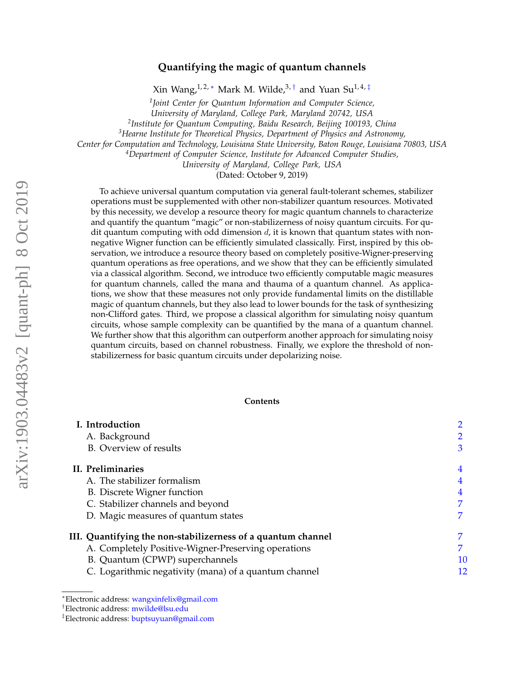# arXiv:1903.04483v2 [quant-ph] 8 Oct 2019 arXiv:1903.04483v2 [quant-ph] 8 Oct 2019

# **Quantifying the magic of quantum channels**

Xin Wang,<sup>1,2,\*</sup> Mark M. Wilde,<sup>3,[†](#page-0-1)</sup> and Yuan Su<sup>1,4,[‡](#page-0-2)</sup>

*1 Joint Center for Quantum Information and Computer Science,*

*University of Maryland, College Park, Maryland 20742, USA*

*2 Institute for Quantum Computing, Baidu Research, Beijing 100193, China*

*<sup>3</sup>Hearne Institute for Theoretical Physics, Department of Physics and Astronomy,*

*Center for Computation and Technology, Louisiana State University, Baton Rouge, Louisiana 70803, USA*

*<sup>4</sup>Department of Computer Science, Institute for Advanced Computer Studies,*

*University of Maryland, College Park, USA*

(Dated: October 9, 2019)

To achieve universal quantum computation via general fault-tolerant schemes, stabilizer operations must be supplemented with other non-stabilizer quantum resources. Motivated by this necessity, we develop a resource theory for magic quantum channels to characterize and quantify the quantum "magic" or non-stabilizerness of noisy quantum circuits. For qudit quantum computing with odd dimension  $d$ , it is known that quantum states with nonnegative Wigner function can be efficiently simulated classically. First, inspired by this observation, we introduce a resource theory based on completely positive-Wigner-preserving quantum operations as free operations, and we show that they can be efficiently simulated via a classical algorithm. Second, we introduce two efficiently computable magic measures for quantum channels, called the mana and thauma of a quantum channel. As applications, we show that these measures not only provide fundamental limits on the distillable magic of quantum channels, but they also lead to lower bounds for the task of synthesizing non-Clifford gates. Third, we propose a classical algorithm for simulating noisy quantum circuits, whose sample complexity can be quantified by the mana of a quantum channel. We further show that this algorithm can outperform another approach for simulating noisy quantum circuits, based on channel robustness. Finally, we explore the threshold of nonstabilizerness for basic quantum circuits under depolarizing noise.

## **Contents**

| I. Introduction                                              |    |
|--------------------------------------------------------------|----|
| A. Background                                                |    |
| B. Overview of results                                       | 3  |
| II. Preliminaries                                            | 4  |
| A. The stabilizer formalism                                  | 4  |
| B. Discrete Wigner function                                  | 4  |
| C. Stabilizer channels and beyond                            |    |
| D. Magic measures of quantum states                          | 7  |
| III. Quantifying the non-stabilizerness of a quantum channel |    |
| A. Completely Positive-Wigner-Preserving operations          | 7  |
| B. Quantum (CPWP) superchannels                              | 10 |
| C. Logarithmic negativity (mana) of a quantum channel        | 12 |

<span id="page-0-0"></span><sup>∗</sup>Electronic address: [wangxinfelix@gmail.com](mailto:wangxinfelix@gmail.com)

<span id="page-0-1"></span><sup>†</sup>Electronic address: [mwilde@lsu.edu](mailto:mwilde@lsu.edu)

<span id="page-0-2"></span><sup>‡</sup>Electronic address: [buptsuyuan@gmail.com](mailto:buptsuyuan@gmail.com)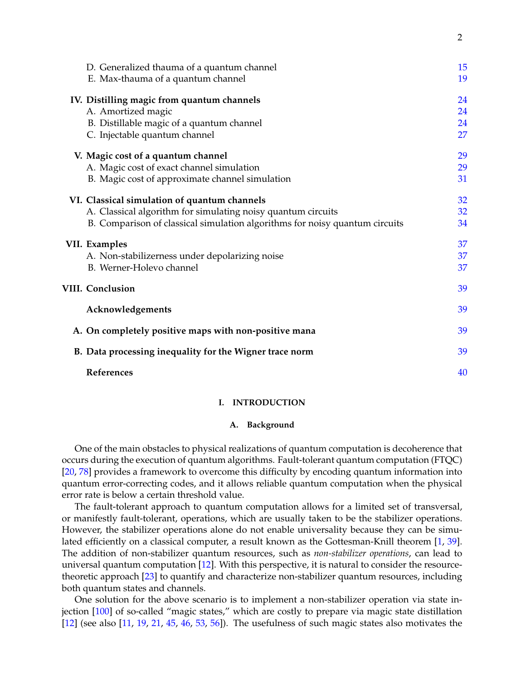| D. Generalized thauma of a quantum channel<br>E. Max-thauma of a quantum channel | 15<br>19 |
|----------------------------------------------------------------------------------|----------|
| IV. Distilling magic from quantum channels                                       | 24       |
| A. Amortized magic                                                               | 24       |
| B. Distillable magic of a quantum channel                                        | 24       |
| C. Injectable quantum channel                                                    | 27       |
| V. Magic cost of a quantum channel                                               | 29       |
| A. Magic cost of exact channel simulation                                        | 29       |
| B. Magic cost of approximate channel simulation                                  | 31       |
| VI. Classical simulation of quantum channels                                     | 32       |
| A. Classical algorithm for simulating noisy quantum circuits                     | 32       |
| B. Comparison of classical simulation algorithms for noisy quantum circuits      | 34       |
| VII. Examples                                                                    | 37       |
| A. Non-stabilizerness under depolarizing noise                                   | 37       |
| B. Werner-Holevo channel                                                         | 37       |
| <b>VIII. Conclusion</b>                                                          | 39       |
| Acknowledgements                                                                 | 39       |
| A. On completely positive maps with non-positive mana                            | 39       |
| B. Data processing inequality for the Wigner trace norm                          | 39       |
| References                                                                       | 40       |

## <span id="page-1-0"></span>**I. INTRODUCTION**

# <span id="page-1-1"></span>**A. Background**

One of the main obstacles to physical realizations of quantum computation is decoherence that occurs during the execution of quantum algorithms. Fault-tolerant quantum computation (FTQC) [\[20,](#page-40-0) [78\]](#page-42-0) provides a framework to overcome this difficulty by encoding quantum information into quantum error-correcting codes, and it allows reliable quantum computation when the physical error rate is below a certain threshold value.

The fault-tolerant approach to quantum computation allows for a limited set of transversal, or manifestly fault-tolerant, operations, which are usually taken to be the stabilizer operations. However, the stabilizer operations alone do not enable universality because they can be simulated efficiently on a classical computer, a result known as the Gottesman-Knill theorem [\[1,](#page-39-1) [39\]](#page-40-1). The addition of non-stabilizer quantum resources, such as *non-stabilizer operations*, can lead to universal quantum computation [\[12\]](#page-39-2). With this perspective, it is natural to consider the resourcetheoretic approach [\[23\]](#page-40-2) to quantify and characterize non-stabilizer quantum resources, including both quantum states and channels.

One solution for the above scenario is to implement a non-stabilizer operation via state in-jection [\[100\]](#page-43-0) of so-called "magic states," which are costly to prepare via magic state distillation [\[12\]](#page-39-2) (see also [\[11,](#page-39-3) [19,](#page-40-3) [21,](#page-40-4) [45,](#page-41-0) [46,](#page-41-1) [53,](#page-41-2) [56\]](#page-41-3)). The usefulness of such magic states also motivates the

2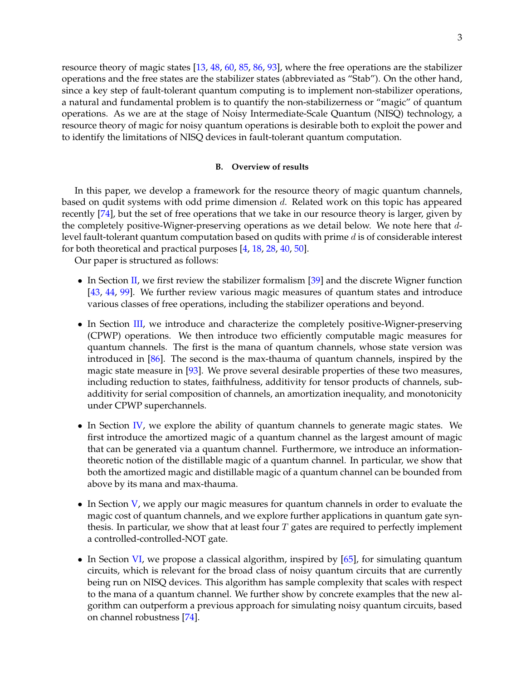resource theory of magic states [\[13,](#page-39-4) [48,](#page-41-4) [60,](#page-41-5) [85,](#page-42-1) [86,](#page-42-2) [93\]](#page-43-1), where the free operations are the stabilizer operations and the free states are the stabilizer states (abbreviated as "Stab"). On the other hand, since a key step of fault-tolerant quantum computing is to implement non-stabilizer operations, a natural and fundamental problem is to quantify the non-stabilizerness or "magic" of quantum operations. As we are at the stage of Noisy Intermediate-Scale Quantum (NISQ) technology, a resource theory of magic for noisy quantum operations is desirable both to exploit the power and to identify the limitations of NISQ devices in fault-tolerant quantum computation.

## <span id="page-2-0"></span>**B. Overview of results**

In this paper, we develop a framework for the resource theory of magic quantum channels, based on qudit systems with odd prime dimension d. Related work on this topic has appeared recently [\[74\]](#page-42-3), but the set of free operations that we take in our resource theory is larger, given by the completely positive-Wigner-preserving operations as we detail below. We note here that dlevel fault-tolerant quantum computation based on qudits with prime d is of considerable interest for both theoretical and practical purposes [\[4,](#page-39-5) [18,](#page-40-5) [28,](#page-40-6) [40,](#page-40-7) [50\]](#page-41-6).

Our paper is structured as follows:

- In Section [II,](#page-3-0) we first review the stabilizer formalism [\[39\]](#page-40-1) and the discrete Wigner function [\[43,](#page-41-7) [44,](#page-41-8) [99\]](#page-43-2). We further review various magic measures of quantum states and introduce various classes of free operations, including the stabilizer operations and beyond.
- In Section [III,](#page-6-2) we introduce and characterize the completely positive-Wigner-preserving (CPWP) operations. We then introduce two efficiently computable magic measures for quantum channels. The first is the mana of quantum channels, whose state version was introduced in [\[86\]](#page-42-2). The second is the max-thauma of quantum channels, inspired by the magic state measure in [\[93\]](#page-43-1). We prove several desirable properties of these two measures, including reduction to states, faithfulness, additivity for tensor products of channels, subadditivity for serial composition of channels, an amortization inequality, and monotonicity under CPWP superchannels.
- In Section [IV,](#page-23-0) we explore the ability of quantum channels to generate magic states. We first introduce the amortized magic of a quantum channel as the largest amount of magic that can be generated via a quantum channel. Furthermore, we introduce an informationtheoretic notion of the distillable magic of a quantum channel. In particular, we show that both the amortized magic and distillable magic of a quantum channel can be bounded from above by its mana and max-thauma.
- In Section [V,](#page-28-0) we apply our magic measures for quantum channels in order to evaluate the magic cost of quantum channels, and we explore further applications in quantum gate synthesis. In particular, we show that at least four  $T$  gates are required to perfectly implement a controlled-controlled-NOT gate.
- In Section [VI,](#page-31-0) we propose a classical algorithm, inspired by [\[65\]](#page-41-9), for simulating quantum circuits, which is relevant for the broad class of noisy quantum circuits that are currently being run on NISQ devices. This algorithm has sample complexity that scales with respect to the mana of a quantum channel. We further show by concrete examples that the new algorithm can outperform a previous approach for simulating noisy quantum circuits, based on channel robustness [\[74\]](#page-42-3).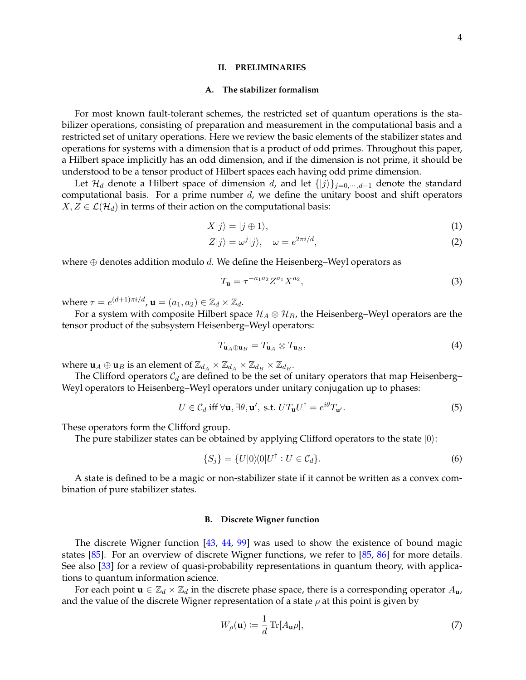#### <span id="page-3-0"></span>**II. PRELIMINARIES**

#### <span id="page-3-1"></span>**A. The stabilizer formalism**

For most known fault-tolerant schemes, the restricted set of quantum operations is the stabilizer operations, consisting of preparation and measurement in the computational basis and a restricted set of unitary operations. Here we review the basic elements of the stabilizer states and operations for systems with a dimension that is a product of odd primes. Throughout this paper, a Hilbert space implicitly has an odd dimension, and if the dimension is not prime, it should be understood to be a tensor product of Hilbert spaces each having odd prime dimension.

Let  $\mathcal{H}_d$  denote a Hilbert space of dimension d, and let  $\{|j\rangle\}_{j=0,\cdots,d-1}$  denote the standard computational basis. For a prime number  $d$ , we define the unitary boost and shift operators  $X, Z \in \mathcal{L}(\mathcal{H}_d)$  in terms of their action on the computational basis:

$$
X|j\rangle = |j \oplus 1\rangle,\tag{1}
$$

$$
Z|j\rangle = \omega^j|j\rangle, \quad \omega = e^{2\pi i/d},\tag{2}
$$

where  $\oplus$  denotes addition modulo d. We define the Heisenberg–Weyl operators as

$$
T_{\mathbf{u}} = \tau^{-a_1 a_2} Z^{a_1} X^{a_2},\tag{3}
$$

where  $\tau = e^{(d+1)\pi i/d}$ ,  $\mathbf{u} = (a_1, a_2) \in \mathbb{Z}_d \times \mathbb{Z}_d$ .

For a system with composite Hilbert space  $\mathcal{H}_A \otimes \mathcal{H}_B$ , the Heisenberg–Weyl operators are the tensor product of the subsystem Heisenberg–Weyl operators:

$$
T_{\mathbf{u}_A \oplus \mathbf{u}_B} = T_{\mathbf{u}_A} \otimes T_{\mathbf{u}_B},\tag{4}
$$

where  $\mathbf{u}_A \oplus \mathbf{u}_B$  is an element of  $\mathbb{Z}_{d_A} \times \mathbb{Z}_{d_A} \times \mathbb{Z}_{d_B} \times \mathbb{Z}_{d_B}$ .

The Clifford operators  $C_d$  are defined to be the set of unitary operators that map Heisenberg– Weyl operators to Heisenberg–Weyl operators under unitary conjugation up to phases:

$$
U \in \mathcal{C}_d \text{ iff } \forall \mathbf{u}, \exists \theta, \mathbf{u}', \text{ s.t. } UT_{\mathbf{u}}U^{\dagger} = e^{i\theta}T_{\mathbf{u}'}.
$$
 (5)

These operators form the Clifford group.

The pure stabilizer states can be obtained by applying Clifford operators to the state  $|0\rangle$ :

$$
\{S_j\} = \{U|0\rangle\langle 0|U^\dagger : U \in \mathcal{C}_d\}.
$$
\n
$$
(6)
$$

A state is defined to be a magic or non-stabilizer state if it cannot be written as a convex combination of pure stabilizer states.

# <span id="page-3-2"></span>**B. Discrete Wigner function**

The discrete Wigner function [\[43,](#page-41-7) [44,](#page-41-8) [99\]](#page-43-2) was used to show the existence of bound magic states [\[85\]](#page-42-1). For an overview of discrete Wigner functions, we refer to [\[85,](#page-42-1) [86\]](#page-42-2) for more details. See also [\[33\]](#page-40-8) for a review of quasi-probability representations in quantum theory, with applications to quantum information science.

For each point  $\mathbf{u} \in \mathbb{Z}_d \times \mathbb{Z}_d$  in the discrete phase space, there is a corresponding operator  $A_{\mathbf{u}}$ , and the value of the discrete Wigner representation of a state  $\rho$  at this point is given by

<span id="page-3-3"></span>
$$
W_{\rho}(\mathbf{u}) \coloneqq \frac{1}{d} \operatorname{Tr}[A_{\mathbf{u}} \rho],\tag{7}
$$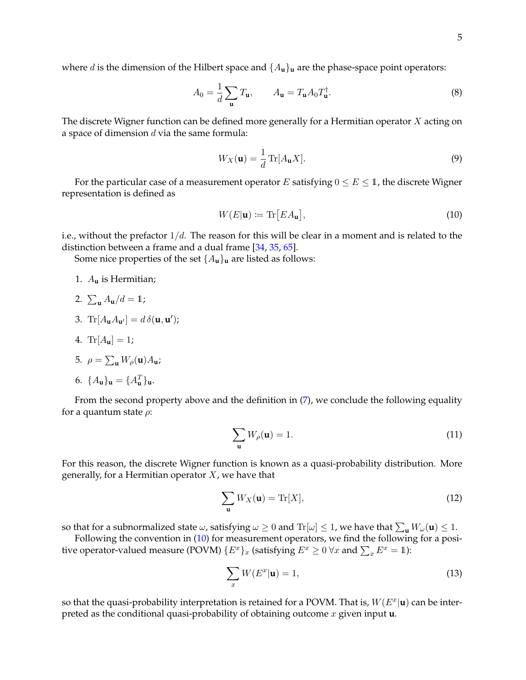where d is the dimension of the Hilbert space and  $\{A_u\}_u$  are the phase-space point operators:

$$
A_0 = \frac{1}{d} \sum_{\mathbf{u}} T_{\mathbf{u}}, \qquad A_{\mathbf{u}} = T_{\mathbf{u}} A_0 T_{\mathbf{u}}^{\dagger}.
$$
 (8)

The discrete Wigner function can be defined more generally for a Hermitian operator  $X$  acting on a space of dimension  $d$  via the same formula:

$$
W_X(\mathbf{u}) = \frac{1}{d} \operatorname{Tr}[A_{\mathbf{u}} X]. \tag{9}
$$

For the particular case of a measurement operator E satisfying  $0 \le E \le 1$ , the discrete Wigner representation is defined as

<span id="page-4-0"></span>
$$
W(E|\mathbf{u}) \coloneqq \text{Tr}[EA_{\mathbf{u}}],\tag{10}
$$

i.e., without the prefactor  $1/d$ . The reason for this will be clear in a moment and is related to the distinction between a frame and a dual frame [\[34,](#page-40-9) [35,](#page-40-10) [65\]](#page-41-9).

Some nice properties of the set  $\{A_u\}_u$  are listed as follows:

- 1. A**<sup>u</sup>** is Hermitian;
- 2.  $\sum_{\mathbf{u}} A_{\mathbf{u}}/d = 1;$
- 3.  $\text{Tr}[A_{\mathbf{u}}A_{\mathbf{u}'}] = d\,\delta(\mathbf{u},\mathbf{u}');$
- 4. Tr $[A_{\mathbf{u}}] = 1;$

5. 
$$
\rho = \sum_{\mathbf{u}} W_{\rho}(\mathbf{u}) A_{\mathbf{u}};
$$

$$
6. \ \{A_{\mathbf{u}}\}_{\mathbf{u}} = \{A_{\mathbf{u}}^T\}_{\mathbf{u}}.
$$

From the second property above and the definition in  $(7)$ , we conclude the following equality for a quantum state  $\rho$ :

<span id="page-4-1"></span>
$$
\sum_{\mathbf{u}} W_{\rho}(\mathbf{u}) = 1.
$$
 (11)

For this reason, the discrete Wigner function is known as a quasi-probability distribution. More generally, for a Hermitian operator  $X$ , we have that

$$
\sum_{\mathbf{u}} W_X(\mathbf{u}) = \text{Tr}[X],\tag{12}
$$

so that for a subnormalized state  $\omega$ , satisfying  $\omega \ge 0$  and  $\text{Tr}[\omega] \le 1$ , we have that  $\sum_{\mathbf{u}} W_\omega(\mathbf{u}) \le 1$ .

Following the convention in [\(10\)](#page-4-0) for measurement operators, we find the following for a positive operator-valued measure (POVM)  $\{E^x\}_x$  (satisfying  $E^x \geq 0 \ \forall x$  and  $\sum_x E^x = 1$ ):

$$
\sum_{x} W(E^x | \mathbf{u}) = 1,\tag{13}
$$

so that the quasi-probability interpretation is retained for a POVM. That is,  $W(E^x|\mathbf{u})$  can be interpreted as the conditional quasi-probability of obtaining outcome x given input **u**.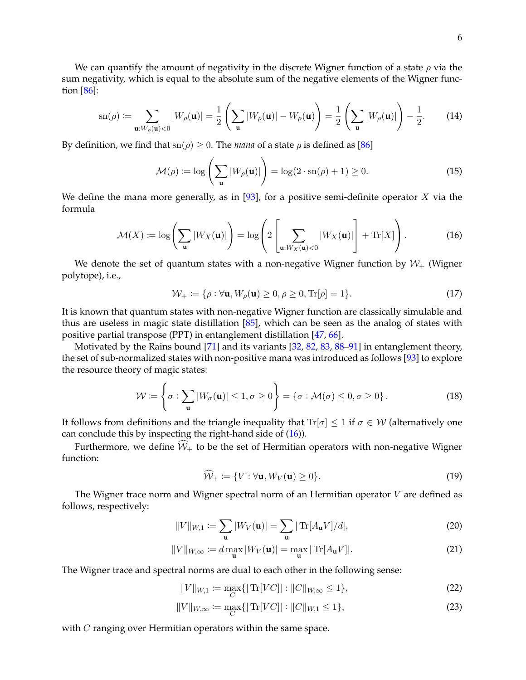We can quantify the amount of negativity in the discrete Wigner function of a state  $\rho$  via the sum negativity, which is equal to the absolute sum of the negative elements of the Wigner function [\[86\]](#page-42-2):

$$
\operatorname{sn}(\rho) := \sum_{\mathbf{u}:W_{\rho}(\mathbf{u}) < 0} |W_{\rho}(\mathbf{u})| = \frac{1}{2} \left( \sum_{\mathbf{u}} |W_{\rho}(\mathbf{u})| - W_{\rho}(\mathbf{u}) \right) = \frac{1}{2} \left( \sum_{\mathbf{u}} |W_{\rho}(\mathbf{u})| \right) - \frac{1}{2}.\tag{14}
$$

By definition, we find that  $\text{sn}(\rho) \geq 0$ . The *mana* of a state  $\rho$  is defined as [\[86\]](#page-42-2)

$$
\mathcal{M}(\rho) \coloneqq \log \left( \sum_{\mathbf{u}} |W_{\rho}(\mathbf{u})| \right) = \log(2 \cdot \mathrm{sn}(\rho) + 1) \ge 0. \tag{15}
$$

We define the mana more generally, as in  $[93]$ , for a positive semi-definite operator X via the formula

$$
\mathcal{M}(X) := \log \left( \sum_{\mathbf{u}} |W_X(\mathbf{u})| \right) = \log \left( 2 \left[ \sum_{\mathbf{u}: W_X(\mathbf{u}) < 0} |W_X(\mathbf{u})| \right] + \text{Tr}[X] \right). \tag{16}
$$

We denote the set of quantum states with a non-negative Wigner function by  $W_{+}$  (Wigner polytope), i.e.,

<span id="page-5-0"></span>
$$
\mathcal{W}_{+} \coloneqq \{ \rho : \forall \mathbf{u}, W_{\rho}(\mathbf{u}) \ge 0, \rho \ge 0, \text{Tr}[\rho] = 1 \}. \tag{17}
$$

It is known that quantum states with non-negative Wigner function are classically simulable and thus are useless in magic state distillation [\[85\]](#page-42-1), which can be seen as the analog of states with positive partial transpose (PPT) in entanglement distillation [\[47,](#page-41-10) [66\]](#page-42-4).

Motivated by the Rains bound [\[71\]](#page-42-5) and its variants [\[32,](#page-40-11) [82,](#page-42-6) [83,](#page-42-7) [88–](#page-42-8)[91\]](#page-43-3) in entanglement theory, the set of sub-normalized states with non-positive mana was introduced as follows [\[93\]](#page-43-1) to explore the resource theory of magic states:

$$
\mathcal{W} := \left\{ \sigma : \sum_{\mathbf{u}} |W_{\sigma}(\mathbf{u})| \leq 1, \sigma \geq 0 \right\} = \left\{ \sigma : \mathcal{M}(\sigma) \leq 0, \sigma \geq 0 \right\}.
$$
 (18)

It follows from definitions and the triangle inequality that  $\text{Tr}[\sigma] \leq 1$  if  $\sigma \in \mathcal{W}$  (alternatively one can conclude this by inspecting the right-hand side of [\(16\)](#page-5-0)).

Furthermore, we define  $\widehat{W}_+$  to be the set of Hermitian operators with non-negative Wigner function:

$$
\widehat{\mathcal{W}}_+ := \{ V : \forall \mathbf{u}, W_V(\mathbf{u}) \ge 0 \}. \tag{19}
$$

The Wigner trace norm and Wigner spectral norm of an Hermitian operator  $V$  are defined as follows, respectively:

$$
||V||_{W,1} := \sum_{\mathbf{u}} |W_V(\mathbf{u})| = \sum_{\mathbf{u}} |\operatorname{Tr}[A_{\mathbf{u}} V]/d|,
$$
 (20)

$$
||V||_{W,\infty} := d \max_{\mathbf{u}} |W_V(\mathbf{u})| = \max_{\mathbf{u}} |\operatorname{Tr}[A_{\mathbf{u}} V]|.
$$
 (21)

The Wigner trace and spectral norms are dual to each other in the following sense:

$$
||V||_{W,1} := \max_{C} \{ |\operatorname{Tr}[VC]| : ||C||_{W,\infty} \le 1 \},\tag{22}
$$

$$
||V||_{W,\infty} := \max_{C} \{ |\operatorname{Tr}[VC]| : ||C||_{W,1} \le 1 \},\tag{23}
$$

with C ranging over Hermitian operators within the same space.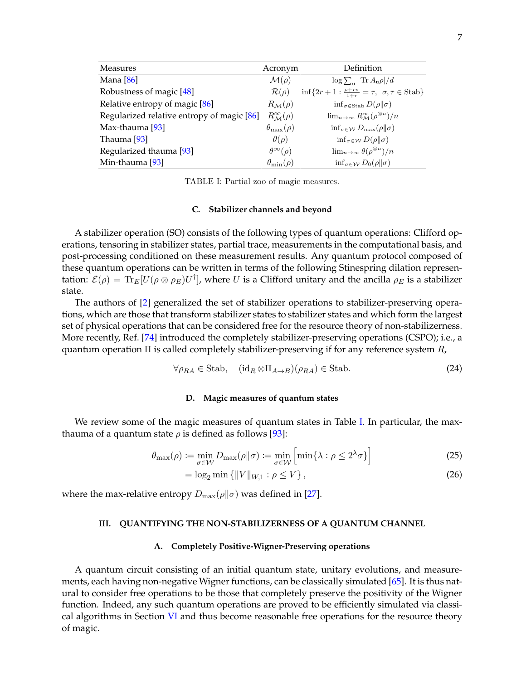| Measures                                   | Acronym                          | Definition                                                                 |
|--------------------------------------------|----------------------------------|----------------------------------------------------------------------------|
| Mana [86]                                  | $\mathcal{M}(\rho)$              | $\log \sum_{\mathbf{u}}  \text{Tr } A_{\mathbf{u}}\rho /d$                 |
| Robustness of magic [48]                   | $\mathcal{R}(\rho)$              | $\inf\{2r+1:\frac{\rho+r\sigma}{1+r}=\tau, \ \sigma,\tau\in\text{Stab}\}\$ |
| Relative entropy of magic [86]             | $R_{\mathcal{M}}(\rho)$          | $\inf_{\sigma \in \text{Stab}} D(\rho \ \sigma)$                           |
| Regularized relative entropy of magic [86] | $R^{\infty}_{\mathcal{M}}(\rho)$ | $\lim_{n\to\infty} R_{\mathcal{M}}^{\infty}(\rho^{\otimes n})/n$           |
| Max-thauma [93]                            | $\theta_{\max}(\rho)$            | $\inf_{\sigma \in \mathcal{W}} D_{\max}(\rho    \sigma)$                   |
| Thauma [93]                                | $\theta(\rho)$                   | $\inf_{\sigma \in \mathcal{W}} D(\rho    \sigma)$                          |
| Regularized thauma [93]                    | $\theta^{\infty}(\rho)$          | $\lim_{n\to\infty}\theta(\rho^{\otimes n})/n$                              |
| Min-thauma [93]                            | $\theta_{\min}(\rho)$            | $\inf_{\sigma \in \mathcal{W}} D_0(\rho \ \sigma)$                         |

<span id="page-6-4"></span>TABLE I: Partial zoo of magic measures.

#### <span id="page-6-0"></span>**C. Stabilizer channels and beyond**

A stabilizer operation (SO) consists of the following types of quantum operations: Clifford operations, tensoring in stabilizer states, partial trace, measurements in the computational basis, and post-processing conditioned on these measurement results. Any quantum protocol composed of these quantum operations can be written in terms of the following Stinespring dilation representation:  $\mathcal{E}(\rho) = \text{Tr}_E[U(\rho \otimes \rho_E)U^{\dagger}]$ , where U is a Clifford unitary and the ancilla  $\rho_E$  is a stabilizer state.

The authors of [\[2\]](#page-39-6) generalized the set of stabilizer operations to stabilizer-preserving operations, which are those that transform stabilizer states to stabilizer states and which form the largest set of physical operations that can be considered free for the resource theory of non-stabilizerness. More recently, Ref. [\[74\]](#page-42-3) introduced the completely stabilizer-preserving operations (CSPO); i.e., a quantum operation  $\Pi$  is called completely stabilizer-preserving if for any reference system  $R$ ,

$$
\forall \rho_{RA} \in \text{Stab}, \quad (\text{id}_R \otimes \Pi_{A \to B})(\rho_{RA}) \in \text{Stab}. \tag{24}
$$

## <span id="page-6-1"></span>**D. Magic measures of quantum states**

We review some of the magic measures of quantum states in Table [I.](#page-6-4) In particular, the maxthauma of a quantum state  $\rho$  is defined as follows [\[93\]](#page-43-1):

$$
\theta_{\max}(\rho) := \min_{\sigma \in \mathcal{W}} D_{\max}(\rho \| \sigma) := \min_{\sigma \in \mathcal{W}} \left[ \min \{ \lambda : \rho \le 2^{\lambda} \sigma \} \right] \tag{25}
$$

$$
= \log_2 \min \{ ||V||_{W,1} : \rho \le V \},
$$
\n(26)

where the max-relative entropy  $D_{\text{max}}(\rho||\sigma)$  was defined in [\[27\]](#page-40-12).

# <span id="page-6-2"></span>**III. QUANTIFYING THE NON-STABILIZERNESS OF A QUANTUM CHANNEL**

### <span id="page-6-3"></span>**A. Completely Positive-Wigner-Preserving operations**

A quantum circuit consisting of an initial quantum state, unitary evolutions, and measurements, each having non-negative Wigner functions, can be classically simulated [\[65\]](#page-41-9). It is thus natural to consider free operations to be those that completely preserve the positivity of the Wigner function. Indeed, any such quantum operations are proved to be efficiently simulated via classical algorithms in Section [VI](#page-31-0) and thus become reasonable free operations for the resource theory of magic.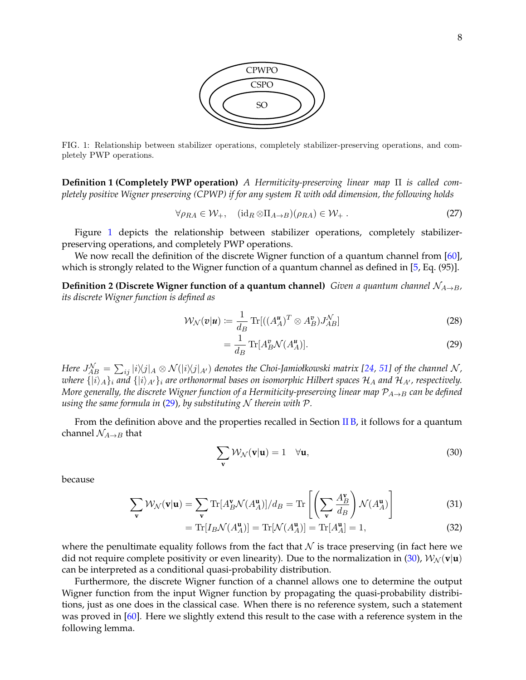

<span id="page-7-0"></span>FIG. 1: Relationship between stabilizer operations, completely stabilizer-preserving operations, and completely PWP operations.

**Definition 1 (Completely PWP operation)** *A Hermiticity-preserving linear map* Π *is called completely positive Wigner preserving (CPWP) if for any system* R *with odd dimension, the following holds*

$$
\forall \rho_{RA} \in \mathcal{W}_{+}, \quad (\mathrm{id}_{R} \otimes \Pi_{A \to B})(\rho_{RA}) \in \mathcal{W}_{+} \,. \tag{27}
$$

Figure [1](#page-7-0) depicts the relationship between stabilizer operations, completely stabilizerpreserving operations, and completely PWP operations.

We now recall the definition of the discrete Wigner function of a quantum channel from [\[60\]](#page-41-5), which is strongly related to the Wigner function of a quantum channel as defined in [\[5,](#page-39-7) Eq. (95)].

**Definition 2 (Discrete Wigner function of a quantum channel)** *Given a quantum channel*  $\mathcal{N}_{A\rightarrow B}$ , *its discrete Wigner function is defined as*

$$
\mathcal{W}_{\mathcal{N}}(\mathbf{v}|\mathbf{u}) := \frac{1}{d_B} \operatorname{Tr}[(A_A^{\mathbf{u}})^T \otimes A_B^{\mathbf{v}}) J_{AB}^{\mathcal{N}}]
$$
(28)

<span id="page-7-4"></span><span id="page-7-1"></span>
$$
=\frac{1}{d_B}\operatorname{Tr}[A_B^p\mathcal{N}(A_A^u)].\tag{29}
$$

 $H$ ere  $J_{AB}^{\mathcal{N}}=\sum_{ij}|i\rangle\!\langle j|_A\otimes\mathcal{N}(|i\rangle\!\langle j|_{A'})$  denotes the Choi-Jamiołkowski matrix [\[24,](#page-40-13) [51\]](#page-41-11) of the channel  $\mathcal{N}$  , *where*  $\{|i\rangle_A\}_i$  *and*  $\{|i\rangle_{A'}\}_i$  *are orthonormal bases on isomorphic Hilbert spaces*  $H_A$  *and*  $H_{A'}$ *, respectively. More generally, the discrete Wigner function of a Hermiticity-preserving linear map*  $P_{A\rightarrow B}$  *can be defined using the same formula in* [\(29\)](#page-7-1)*, by substituting* N *therein with* P*.*

From the definition above and the properties recalled in Section [II B,](#page-3-2) it follows for a quantum channel  $\mathcal{N}_{A\rightarrow B}$  that

<span id="page-7-2"></span>
$$
\sum_{\mathbf{v}} \mathcal{W}_{\mathcal{N}}(\mathbf{v}|\mathbf{u}) = 1 \quad \forall \mathbf{u},
$$
\n(30)

because

$$
\sum_{\mathbf{v}} \mathcal{W}_{\mathcal{N}}(\mathbf{v}|\mathbf{u}) = \sum_{\mathbf{v}} \text{Tr}[A_B^{\mathbf{v}} \mathcal{N}(A_A^{\mathbf{u}})]/d_B = \text{Tr}\left[\left(\sum_{\mathbf{v}} \frac{A_B^{\mathbf{v}}}{d_B}\right) \mathcal{N}(A_A^{\mathbf{u}})\right]
$$
(31)

$$
= \operatorname{Tr}[I_B \mathcal{N}(A_A^{\mathbf{u}})] = \operatorname{Tr}[\mathcal{N}(A_A^{\mathbf{u}})] = \operatorname{Tr}[A_A^{\mathbf{u}}] = 1,\tag{32}
$$

where the penultimate equality follows from the fact that  $N$  is trace preserving (in fact here we did not require complete positivity or even linearity). Due to the normalization in [\(30\)](#page-7-2),  $W_N(\mathbf{v}|\mathbf{u})$ can be interpreted as a conditional quasi-probability distribution.

<span id="page-7-3"></span>Furthermore, the discrete Wigner function of a channel allows one to determine the output Wigner function from the input Wigner function by propagating the quasi-probability distribitions, just as one does in the classical case. When there is no reference system, such a statement was proved in [\[60\]](#page-41-5). Here we slightly extend this result to the case with a reference system in the following lemma.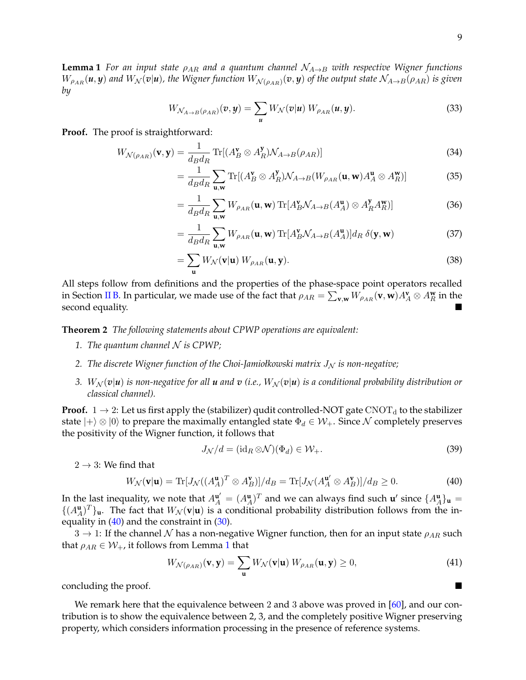**Lemma 1** *For an input state*  $\rho_{AR}$  *and a quantum channel*  $N_{A\rightarrow B}$  *with respective Wigner functions*  $W_{\rho_{AR}}(\pmb{u},\pmb{y})$  and  $W_{\mathcal{N}}(\pmb{v}|\pmb{u})$ , the Wigner function  $W_{\mathcal{N}(\rho_{AR})}(\pmb{v},\pmb{y})$  of the output state  $\mathcal{N}_{A\to B}(\rho_{AR})$  is given *by*

$$
W_{\mathcal{N}_{A\to B}(\rho_{AR})}(v,y) = \sum_{u} W_{\mathcal{N}}(v|u) W_{\rho_{AR}}(u,y).
$$
 (33)

**Proof.** The proof is straightforward:

$$
W_{\mathcal{N}(\rho_{AR})}(\mathbf{v}, \mathbf{y}) = \frac{1}{d_B d_R} \operatorname{Tr}[(A_B^{\mathbf{v}} \otimes A_R^{\mathbf{y}}) \mathcal{N}_{A \to B}(\rho_{AR})]
$$
(34)

$$
= \frac{1}{d_B d_R} \sum_{\mathbf{u}, \mathbf{w}} \text{Tr}[(A_B^{\mathbf{v}} \otimes A_R^{\mathbf{y}}) \mathcal{N}_{A \to B} (W_{\rho_{AR}}(\mathbf{u}, \mathbf{w}) A_A^{\mathbf{u}} \otimes A_R^{\mathbf{w}})] \tag{35}
$$

$$
= \frac{1}{d_B d_R} \sum_{\mathbf{u}, \mathbf{w}} W_{\rho_{AR}}(\mathbf{u}, \mathbf{w}) \operatorname{Tr} [A_B^{\mathbf{v}} \mathcal{N}_{A \to B}(A_A^{\mathbf{u}}) \otimes A_R^{\mathbf{y}} A_B^{\mathbf{w}}]] \tag{36}
$$

$$
= \frac{1}{d_B d_R} \sum_{\mathbf{u}, \mathbf{w}} W_{\rho_{AR}}(\mathbf{u}, \mathbf{w}) \operatorname{Tr}[A_B^{\mathbf{v}} \mathcal{N}_{A \to B}(A_A^{\mathbf{u}})] d_R \delta(\mathbf{y}, \mathbf{w}) \tag{37}
$$

$$
=\sum_{\mathbf{u}} W_{\mathcal{N}}(\mathbf{v}|\mathbf{u}) W_{\rho_{AR}}(\mathbf{u}, \mathbf{y}).
$$
\n(38)

All steps follow from definitions and the properties of the phase-space point operators recalled in Section [II B.](#page-3-2) In particular, we made use of the fact that  $\rho_{AR}=\sum_{{\bf v},{\bf w}}W_{\rho_{AR}}({\bf v},{\bf w})A_A^{\bf v}\otimes A_B^{\bf w}$  in the second equality.

<span id="page-8-1"></span>**Theorem 2** *The following statements about CPWP operations are equivalent:*

- *1. The quantum channel* N *is CPWP;*
- 2. *The discrete Wigner function of the Choi-Jamiołkowski matrix*  $J<sub>N</sub>$  *is non-negative;*
- *3.*  $W_N(v|u)$  is non-negative for all **u** and **v** (i.e.,  $W_N(v|u)$  is a conditional probability distribution or *classical channel).*

**Proof.**  $1 \rightarrow 2$ : Let us first apply the (stabilizer) qudit controlled-NOT gate CNOT<sub>d</sub> to the stabilizer state  $|+\rangle \otimes |0\rangle$  to prepare the maximally entangled state  $\Phi_d \in \mathcal{W}_+$ . Since N completely preserves the positivity of the Wigner function, it follows that

<span id="page-8-0"></span>
$$
J_{\mathcal{N}}/d = (\mathrm{id}_R \otimes \mathcal{N})(\Phi_d) \in \mathcal{W}_+.
$$
\n(39)

 $2 \rightarrow 3$ : We find that

$$
W_{\mathcal{N}}(\mathbf{v}|\mathbf{u}) = \text{Tr}[J_{\mathcal{N}}((A_A^{\mathbf{u}})^T \otimes A_B^{\mathbf{v}})]/d_B = \text{Tr}[J_{\mathcal{N}}(A_A^{\mathbf{u}'} \otimes A_B^{\mathbf{v}})]/d_B \ge 0.
$$
 (40)

In the last inequality, we note that  $A^{\mathbf{u}'}_A = (A^{\mathbf{u}}_A)^T$  and we can always find such  $\mathbf{u}'$  since  $\{A^{\mathbf{u}}_A\}_{\mathbf{u}} =$  $\{(A_A^{\mathbf{u}})^T\}_{\mathbf{u}}$ . The fact that  $W_N(\mathbf{v}|\mathbf{u})$  is a conditional probability distribution follows from the inequality in  $(40)$  and the constraint in  $(30)$ .

 $3 \rightarrow 1$ : If the channel N has a non-negative Wigner function, then for an input state  $\rho_{AR}$  such that  $\rho_{AR} \in \mathcal{W}_+$ , it follows from Lemma [1](#page-7-3) that

$$
W_{\mathcal{N}(\rho_{AR})}(\mathbf{v}, \mathbf{y}) = \sum_{\mathbf{u}} W_{\mathcal{N}}(\mathbf{v}|\mathbf{u}) \ W_{\rho_{AR}}(\mathbf{u}, \mathbf{y}) \ge 0,
$$
 (41)

concluding the proof.

We remark here that the equivalence between 2 and 3 above was proved in  $[60]$ , and our contribution is to show the equivalence between 2, 3, and the completely positive Wigner preserving property, which considers information processing in the presence of reference systems.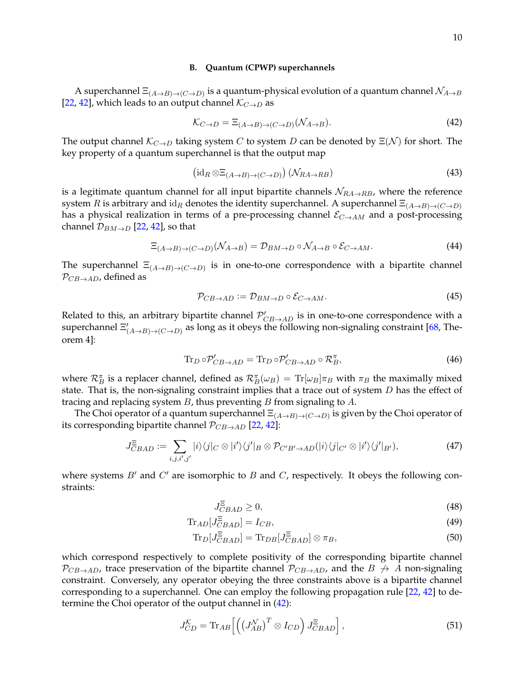#### <span id="page-9-0"></span>**B. Quantum (CPWP) superchannels**

A superchannel  $\Xi_{(A\to B)\to (C\to D)}$  is a quantum-physical evolution of a quantum channel  $\mathcal{N}_{A\to B}$ [\[22,](#page-40-14) [42\]](#page-41-12), which leads to an output channel  $\mathcal{K}_{C\rightarrow D}$  as

<span id="page-9-1"></span>
$$
\mathcal{K}_{C \to D} = \Xi_{(A \to B) \to (C \to D)}(\mathcal{N}_{A \to B}).\tag{42}
$$

The output channel  $\mathcal{K}_{C\to D}$  taking system C to system D can be denoted by  $\Xi(\mathcal{N})$  for short. The key property of a quantum superchannel is that the output map

$$
\left(\mathrm{id}_R \otimes \Xi_{(A \to B) \to (C \to D)}\right) \left(\mathcal{N}_{RA \to RB}\right) \tag{43}
$$

is a legitimate quantum channel for all input bipartite channels  $\mathcal{N}_{RA\rightarrow RB}$ , where the reference system R is arbitrary and  $id_R$  denotes the identity superchannel. A superchannel  $\Xi_{(A\to B)\to (C\to D)}$ has a physical realization in terms of a pre-processing channel  $\mathcal{E}_{C\rightarrow AM}$  and a post-processing channel  $\mathcal{D}_{BM\rightarrow D}$  [\[22,](#page-40-14) [42\]](#page-41-12), so that

$$
\Xi_{(A \to B) \to (C \to D)}(\mathcal{N}_{A \to B}) = \mathcal{D}_{BM \to D} \circ \mathcal{N}_{A \to B} \circ \mathcal{E}_{C \to AM}.
$$
\n(44)

The superchannel  $\Xi_{(A\to B)\to (C\to D)}$  is in one-to-one correspondence with a bipartite channel  $\mathcal{P}_{CB\rightarrow AD}$ , defined as

$$
\mathcal{P}_{CB \to AD} := \mathcal{D}_{BM \to D} \circ \mathcal{E}_{C \to AM}.
$$
\n(45)

Related to this, an arbitrary bipartite channel  $\mathcal{P}'_{CB\rightarrow AD}$  is in one-to-one correspondence with a superchannel  $\Xi'_{(A\to B)\to (C\to D)}$  as long as it obeys the following non-signaling constraint [\[68,](#page-42-9) Theorem 4]:

<span id="page-9-2"></span>
$$
\operatorname{Tr}_{D} \circ \mathcal{P}'_{CB \to AD} = \operatorname{Tr}_{D} \circ \mathcal{P}'_{CB \to AD} \circ \mathcal{R}_{B}^{\pi},\tag{46}
$$

where  $\mathcal{R}_B^{\pi}$  is a replacer channel, defined as  $\mathcal{R}_B^{\pi}(\omega_B) = \text{Tr}[\omega_B]\pi_B$  with  $\pi_B$  the maximally mixed state. That is, the non-signaling constraint implies that a trace out of system  $D$  has the effect of tracing and replacing system  $B$ , thus preventing  $B$  from signaling to  $A$ .

The Choi operator of a quantum superchannel  $\Xi_{(A\to B)\to (C\to D)}$  is given by the Choi operator of its corresponding bipartite channel  $\mathcal{P}_{CB\rightarrow AD}$  [\[22,](#page-40-14) [42\]](#page-41-12):

$$
J_{CBAD}^{\Xi} := \sum_{i,j,i',j'} |i\rangle\langle j|_{C} \otimes |i'\rangle\langle j'|_{B} \otimes \mathcal{P}_{C'B'\to AD}(|i\rangle\langle j|_{C'} \otimes |i'\rangle\langle j'|_{B'}), \tag{47}
$$

where systems  $B'$  and  $C'$  are isomorphic to  $B$  and  $C$ , respectively. It obeys the following constraints:

$$
J_{CBAD}^{\Xi} \ge 0,\tag{48}
$$

$$
\text{Tr}_{AD}[J_{CBAD}^{\Xi}]=I_{CB},\tag{49}
$$

$$
\text{Tr}_D[J_{CBAD}^{\Xi}] = \text{Tr}_{DB}[J_{CBAD}^{\Xi}] \otimes \pi_B,
$$
\n(50)

which correspond respectively to complete positivity of the corresponding bipartite channel  $\mathcal{P}_{CB\rightarrow AD}$ , trace preservation of the bipartite channel  $\mathcal{P}_{CB\rightarrow AD}$ , and the  $B \not\rightarrow A$  non-signaling constraint. Conversely, any operator obeying the three constraints above is a bipartite channel corresponding to a superchannel. One can employ the following propagation rule [\[22,](#page-40-14) [42\]](#page-41-12) to determine the Choi operator of the output channel in [\(42\)](#page-9-1):

<span id="page-9-3"></span>
$$
J_{CD}^{\mathcal{K}} = \text{Tr}_{AB} \Big[ \Big( \big( J_{AB}^{\mathcal{N}} \big)^{T} \otimes I_{CD} \Big) J_{CBAD}^{\Xi} \Big], \tag{51}
$$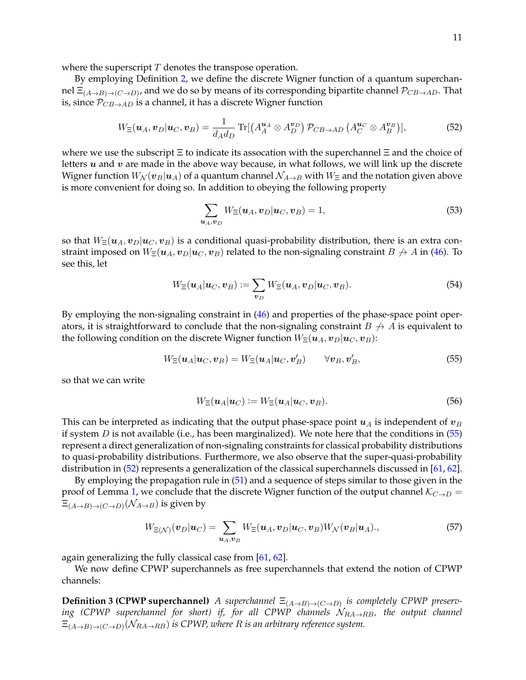where the superscript  $T$  denotes the transpose operation.

By employing Definition [2,](#page-7-4) we define the discrete Wigner function of a quantum superchannel  $\Xi_{(A\to B)\to (C\to D)}$ , and we do so by means of its corresponding bipartite channel  $\mathcal{P}_{CB\to AD}$ . That is, since  $P_{CB\rightarrow AD}$  is a channel, it has a discrete Wigner function

<span id="page-10-1"></span>
$$
W_{\Xi}(\boldsymbol{u}_A, \boldsymbol{v}_D | \boldsymbol{u}_C, \boldsymbol{v}_B) = \frac{1}{d_A d_D} \operatorname{Tr}[(A_A^{\boldsymbol{u}_A} \otimes A_D^{\boldsymbol{v}_D}) \mathcal{P}_{CB \to AD} (A_C^{\boldsymbol{u}_C} \otimes A_B^{\boldsymbol{v}_B})],\tag{52}
$$

where we use the subscript  $\Xi$  to indicate its assocation with the superchannel  $\Xi$  and the choice of letters  $u$  and  $v$  are made in the above way because, in what follows, we will link up the discrete Wigner function  $W_N(\bm{v}_B|\bm{u}_A)$  of a quantum channel  $\mathcal{N}_{A\to B}$  with  $W_{\Xi}$  and the notation given above is more convenient for doing so. In addition to obeying the following property

$$
\sum_{\boldsymbol{u}_A,\boldsymbol{v}_D} W_{\Xi}(\boldsymbol{u}_A,\boldsymbol{v}_D|\boldsymbol{u}_C,\boldsymbol{v}_B) = 1,\tag{53}
$$

so that  $W_{\Xi}(u_A, v_B|u_C, v_B)$  is a conditional quasi-probability distribution, there is an extra constraint imposed on  $W_\Xi(u_A, v_B|u_C, v_B)$  related to the non-signaling constraint  $B \nrightarrow A$  in [\(46\)](#page-9-2). To see this, let

$$
W_{\Xi}(\boldsymbol{u}_A|\boldsymbol{u}_C,\boldsymbol{v}_B) := \sum_{\boldsymbol{v}_D} W_{\Xi}(\boldsymbol{u}_A,\boldsymbol{v}_D|\boldsymbol{u}_C,\boldsymbol{v}_B). \tag{54}
$$

By employing the non-signaling constraint in  $(46)$  and properties of the phase-space point operators, it is straightforward to conclude that the non-signaling constraint  $B \nrightarrow A$  is equivalent to the following condition on the discrete Wigner function  $W_\Xi(\boldsymbol{u}_A, \boldsymbol{v}_D | \boldsymbol{u}_C, \boldsymbol{v}_B)$ :

<span id="page-10-0"></span>
$$
W_{\Xi}(\boldsymbol{u}_A|\boldsymbol{u}_C,\boldsymbol{v}_B) = W_{\Xi}(\boldsymbol{u}_A|\boldsymbol{u}_C,\boldsymbol{v}'_B) \qquad \forall \boldsymbol{v}_B, \boldsymbol{v}'_B,
$$
\n
$$
(55)
$$

so that we can write

$$
W_{\Xi}(\boldsymbol{u}_A|\boldsymbol{u}_C) := W_{\Xi}(\boldsymbol{u}_A|\boldsymbol{u}_C,\boldsymbol{v}_B). \tag{56}
$$

This can be interpreted as indicating that the output phase-space point  $u_A$  is independent of  $v_B$ if system  $D$  is not available (i.e., has been marginalized). We note here that the conditions in  $(55)$ represent a direct generalization of non-signaling constraints for classical probability distributions to quasi-probability distributions. Furthermore, we also observe that the super-quasi-probability distribution in [\(52\)](#page-10-1) represents a generalization of the classical superchannels discussed in [\[61,](#page-41-13) [62\]](#page-41-14).

By employing the propagation rule in [\(51\)](#page-9-3) and a sequence of steps similar to those given in the proof of Lemma [1,](#page-7-3) we conclude that the discrete Wigner function of the output channel  $\mathcal{K}_{C\rightarrow D}$  =  $\Xi_{(A\to B) \to (C\to D)}(\mathcal{N}_{A\to B})$  is given by

<span id="page-10-3"></span>
$$
W_{\Xi(\mathcal{N})}(\boldsymbol{v}_D|\boldsymbol{u}_C) = \sum_{\boldsymbol{u}_A,\boldsymbol{v}_B} W_{\Xi}(\boldsymbol{u}_A,\boldsymbol{v}_D|\boldsymbol{u}_C,\boldsymbol{v}_B) W_{\mathcal{N}}(\boldsymbol{v}_B|\boldsymbol{u}_A),\tag{57}
$$

again generalizing the fully classical case from [\[61,](#page-41-13) [62\]](#page-41-14).

<span id="page-10-2"></span>We now define CPWP superchannels as free superchannels that extend the notion of CPWP channels:

**Definition 3 (CPWP superchannel)** *A superchannel*  $\Xi$ <sub>(*A→B*)→(*C→D*) *is completely CPWP preserv*-</sub> *ing* (CPWP superchannel for short) if, for all CPWP channels  $N_{RA\rightarrow RB}$ , the output channel  $\Xi_{(A\to B) \to (C\to D)}(\mathcal{N}_{RA \to RB})$  is CPWP, where  $R$  is an arbitrary reference system.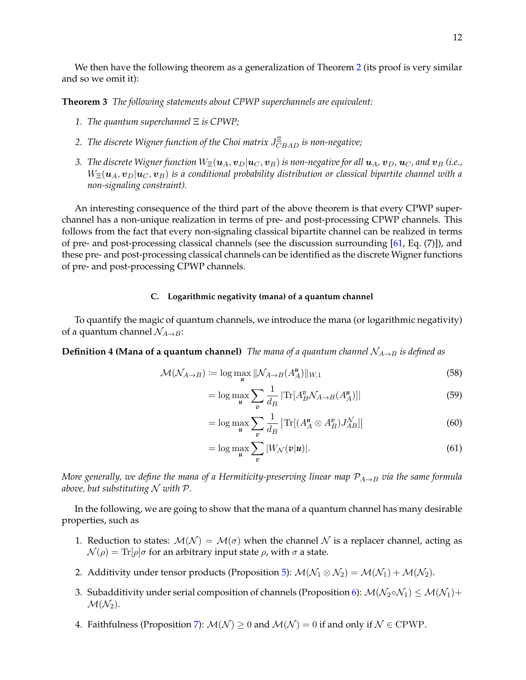We then have the following theorem as a generalization of Theorem [2](#page-8-1) (its proof is very similar and so we omit it):

<span id="page-11-2"></span>**Theorem 3** *The following statements about CPWP superchannels are equivalent:*

- *1. The quantum superchannel* Ξ *is CPWP;*
- 2. *The discrete Wigner function of the Choi matrix*  $J_{CBAD}^{\Xi}$  *is non-negative;*
- *3. The discrete Wigner function*  $W_{\Xi}(u_A, v_B | u_C, v_B)$  *is non-negative for all*  $u_A$ ,  $v_D$ ,  $u_C$ , and  $v_B$  (i.e.,  $W_{\Xi}(\boldsymbol{u}_A,\boldsymbol{v}_D|\boldsymbol{u}_C,\boldsymbol{v}_B)$  is a conditional probability distribution or classical bipartite channel with a *non-signaling constraint).*

An interesting consequence of the third part of the above theorem is that every CPWP superchannel has a non-unique realization in terms of pre- and post-processing CPWP channels. This follows from the fact that every non-signaling classical bipartite channel can be realized in terms of pre- and post-processing classical channels (see the discussion surrounding [\[61,](#page-41-13) Eq. (7)]), and these pre- and post-processing classical channels can be identified as the discrete Wigner functions of pre- and post-processing CPWP channels.

## <span id="page-11-0"></span>**C. Logarithmic negativity (mana) of a quantum channel**

To quantify the magic of quantum channels, we introduce the mana (or logarithmic negativity) of a quantum channel  $\mathcal{N}_{A\rightarrow B}$ :

**Definition 4 (Mana of a quantum channel)** *The mana of a quantum channel*  $N_{A\rightarrow B}$  *is defined as* 

$$
\mathcal{M}(\mathcal{N}_{A\to B}) := \log \max_{\mathbf{u}} \|\mathcal{N}_{A\to B}(A_A^{\mathbf{u}})\|_{W,1} \tag{58}
$$

$$
= \log \max_{\boldsymbol{u}} \sum_{\boldsymbol{v}} \frac{1}{d_B} |\text{Tr}[A_B^{\boldsymbol{v}} \mathcal{N}_{A \to B}(A_A^{\boldsymbol{u}})]| \tag{59}
$$

<span id="page-11-3"></span>
$$
= \log \max_{\mathbf{u}} \sum_{\mathbf{v}} \frac{1}{d_B} \left| \text{Tr}[(A_A^{\mathbf{u}} \otimes A_B^{\mathbf{v}}) J_{AB}^{\mathcal{N}}] \right| \tag{60}
$$

<span id="page-11-1"></span>
$$
= \log \max_{\boldsymbol{u}} \sum_{\boldsymbol{v}} |W_{\mathcal{N}}(\boldsymbol{v}|\boldsymbol{u})|.
$$
 (61)

*More generally, we define the mana of a Hermiticity-preserving linear map*  $P_{A\rightarrow B}$  *via the same formula above, but substituting* N *with* P*.*

In the following, we are going to show that the mana of a quantum channel has many desirable properties, such as

- 1. Reduction to states:  $\mathcal{M}(\mathcal{N}) = \mathcal{M}(\sigma)$  when the channel  $\mathcal N$  is a replacer channel, acting as  $\mathcal{N}(\rho) = \text{Tr}[\rho]\sigma$  for an arbitrary input state  $\rho$ , with  $\sigma$  a state.
- 2. Additivity under tensor products (Proposition [5\)](#page-12-0):  $M(\mathcal{N}_1 \otimes \mathcal{N}_2) = M(\mathcal{N}_1) + M(\mathcal{N}_2)$ .
- 3. Subadditivity under serial composition of channels (Proposition [6\)](#page-12-1):  $\mathcal{M}(\mathcal{N}_2 \circ \mathcal{N}_1) \leq \mathcal{M}(\mathcal{N}_1) +$  $\mathcal{M}(\mathcal{N}_2)$ .
- 4. Faithfulness (Proposition [7\)](#page-12-2):  $\mathcal{M}(\mathcal{N}) \geq 0$  and  $\mathcal{M}(\mathcal{N}) = 0$  if and only if  $\mathcal{N} \in \mathrm{CPWP}$ .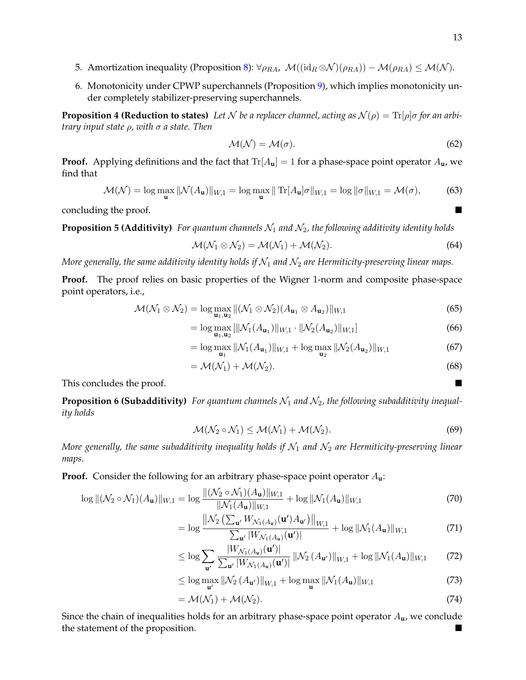- 5. Amortization inequality (Proposition [8\)](#page-13-0):  $\forall \rho_{RA}$ ,  $\mathcal{M}((id_R \otimes \mathcal{N})(\rho_{RA})) \mathcal{M}(\rho_{RA}) \leq \mathcal{M}(\mathcal{N})$ .
- 6. Monotonicity under CPWP superchannels (Proposition [9\)](#page-13-1), which implies monotonicity under completely stabilizer-preserving superchannels.

<span id="page-12-3"></span>**Proposition 4 (Reduction to states)** Let N be a replacer channel, acting as  $N(\rho) = \text{Tr}[\rho]\sigma$  for an arbi*trary input state* ρ*, with* σ *a state. Then*

$$
\mathcal{M}(\mathcal{N}) = \mathcal{M}(\sigma). \tag{62}
$$

**Proof.** Applying definitions and the fact that  $Tr[A_{\bf{u}}] = 1$  for a phase-space point operator  $A_{\bf{u}}$ , we find that

$$
\mathcal{M}(\mathcal{N}) = \log \max_{\mathbf{u}} \|\mathcal{N}(A_{\mathbf{u}})\|_{W,1} = \log \max_{\mathbf{u}} \|\operatorname{Tr}[A_{\mathbf{u}}]\sigma\|_{W,1} = \log \|\sigma\|_{W,1} = \mathcal{M}(\sigma),\tag{63}
$$

concluding the proof.

<span id="page-12-0"></span>**Proposition 5 (Additivity)** For quantum channels  $\mathcal{N}_1$  and  $\mathcal{N}_2$ , the following additivity identity holds

$$
\mathcal{M}(\mathcal{N}_1 \otimes \mathcal{N}_2) = \mathcal{M}(\mathcal{N}_1) + \mathcal{M}(\mathcal{N}_2).
$$
\n(64)

*More generally, the same additivity identity holds if*  $\mathcal{N}_1$  *and*  $\mathcal{N}_2$  *are Hermiticity-preserving linear maps.* 

**Proof.** The proof relies on basic properties of the Wigner 1-norm and composite phase-space point operators, i.e.,

$$
\mathcal{M}(\mathcal{N}_1 \otimes \mathcal{N}_2) = \log \max_{\mathbf{u}_1, \mathbf{u}_2} \| (\mathcal{N}_1 \otimes \mathcal{N}_2)(A_{\mathbf{u}_1} \otimes A_{\mathbf{u}_2}) \|_{W,1}
$$
(65)

$$
= \log \max_{\mathbf{u}_1, \mathbf{u}_2} [\|\mathcal{N}_1(A_{\mathbf{u}_1})\|_{W,1} \cdot \|\mathcal{N}_2(A_{\mathbf{u}_2})\|_{W,1}] \tag{66}
$$

$$
= \log \max_{\mathbf{u}_1} \|\mathcal{N}_1(A_{\mathbf{u}_1})\|_{W,1} + \log \max_{\mathbf{u}_2} \|\mathcal{N}_2(A_{\mathbf{u}_2})\|_{W,1}
$$
(67)

$$
= \mathcal{M}(\mathcal{N}_1) + \mathcal{M}(\mathcal{N}_2). \tag{68}
$$

This concludes the proof.

<span id="page-12-1"></span>**Proposition 6 (Subadditivity)** For quantum channels  $\mathcal{N}_1$  and  $\mathcal{N}_2$ , the following subadditivity inequal*ity holds*

$$
\mathcal{M}(\mathcal{N}_2 \circ \mathcal{N}_1) \le \mathcal{M}(\mathcal{N}_1) + \mathcal{M}(\mathcal{N}_2). \tag{69}
$$

*More generally, the same subadditivity inequality holds if*  $\mathcal{N}_1$  *and*  $\mathcal{N}_2$  *are Hermiticity-preserving linear maps.*

**Proof.** Consider the following for an arbitrary phase-space point operator A**u**:

$$
\log \left\| (\mathcal{N}_2 \circ \mathcal{N}_1)(A_{\mathbf{u}}) \right\|_{W,1} = \log \frac{\| (\mathcal{N}_2 \circ \mathcal{N}_1)(A_{\mathbf{u}}) \|_{W,1}}{\| \mathcal{N}_1(A_{\mathbf{u}}) \|_{W,1}} + \log \|\mathcal{N}_1(A_{\mathbf{u}}) \|_{W,1}
$$
(70)

$$
= \log \frac{\left\| \mathcal{N}_2 \left( \sum_{\mathbf{u}'} W_{\mathcal{N}_1(A_{\mathbf{u}})}(\mathbf{u}') A_{\mathbf{u}'} \right) \right\|_{W,1}}{\sum_{\mathbf{u}'} |W_{\mathcal{N}_1(A_{\mathbf{u}})}(\mathbf{u}')|} + \log \| \mathcal{N}_1(A_{\mathbf{u}}) \|_{W,1}
$$
(71)

$$
\leq \log \sum_{\mathbf{u}'} \frac{|W_{\mathcal{N}_1(A_{\mathbf{u}})}(\mathbf{u}')|}{\sum_{\mathbf{u}'} |W_{\mathcal{N}_1(A_{\mathbf{u}})}(\mathbf{u}')|} \left\| \mathcal{N}_2(A_{\mathbf{u}'}) \right\|_{W,1} + \log \|\mathcal{N}_1(A_{\mathbf{u}})\|_{W,1} \tag{72}
$$

$$
\leq \log \max_{\mathbf{u}'} \|\mathcal{N}_2 \left( A_{\mathbf{u}'} \right) \|_{W,1} + \log \max_{\mathbf{u}} \|\mathcal{N}_1 \left( A_{\mathbf{u}} \right) \|_{W,1} \tag{73}
$$

$$
= \mathcal{M}(\mathcal{N}_1) + \mathcal{M}(\mathcal{N}_2). \tag{74}
$$

<span id="page-12-2"></span>Since the chain of inequalities holds for an arbitrary phase-space point operator A**u**, we conclude the statement of the proposition.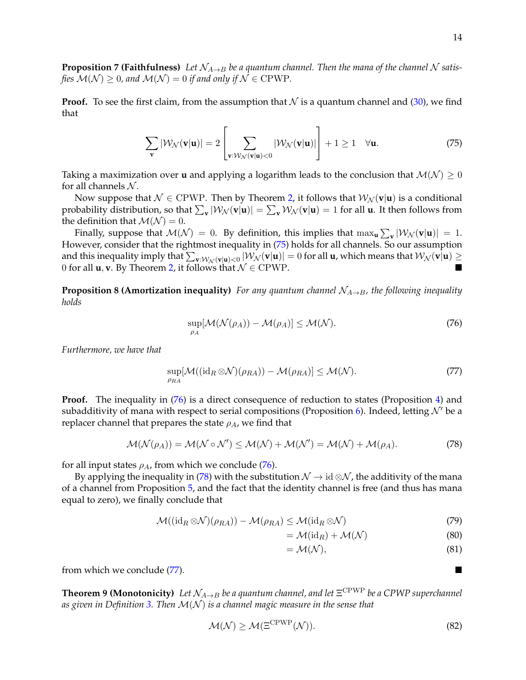**Proposition 7 (Faithfulness)** Let  $N_{A\rightarrow B}$  be a quantum channel. Then the mana of the channel N satis*fies*  $\mathcal{M}(\mathcal{N}) \geq 0$ , and  $\mathcal{M}(\mathcal{N}) = 0$  *if and only if*  $\mathcal{N} \in \mathrm{CPWP}$ .

**Proof.** To see the first claim, from the assumption that N is a quantum channel and  $(30)$ , we find that

<span id="page-13-2"></span>
$$
\sum_{\mathbf{v}} |\mathcal{W}_{\mathcal{N}}(\mathbf{v}|\mathbf{u})| = 2 \left[ \sum_{\mathbf{v}: \mathcal{W}_{\mathcal{N}}(\mathbf{v}|\mathbf{u}) < 0} |\mathcal{W}_{\mathcal{N}}(\mathbf{v}|\mathbf{u})| \right] + 1 \ge 1 \quad \forall \mathbf{u}.
$$
 (75)

Taking a maximization over **u** and applying a logarithm leads to the conclusion that  $M(N) \geq 0$ for all channels  $N$ .

Now suppose that  $N \in \text{CPWP}$ . Then by Theorem [2,](#page-8-1) it follows that  $W_N(\mathbf{v}|\mathbf{u})$  is a conditional probability distribution, so that  $\sum_{\mathbf{v}}|\mathcal{W}_{\mathcal{N}}(\mathbf{v}|\mathbf{u})| = \sum_{\mathbf{v}}\mathcal{W}_{\mathcal{N}}(\mathbf{v}|\mathbf{u}) = 1$  for all **u**. It then follows from the definition that  $\mathcal{M}(\mathcal{N}) = 0$ .

Finally, suppose that  $M(N) = 0$ . By definition, this implies that  $\max_{\mathbf{u}} \sum_{\mathbf{v}} |\mathcal{W}_{N}(\mathbf{v}|\mathbf{u})| = 1$ . However, consider that the rightmost inequality in [\(75\)](#page-13-2) holds for all channels. So our assumption and this inequality imply that  $\sum_{\mathbf{v}:\mathcal{W}_{\mathcal{N}}(\mathbf{v}|\mathbf{u})<0}|\mathcal{W}_{\mathcal{N}}(\mathbf{v}|\mathbf{u})|=0$  for all  $\mathbf{u}$ , which means that  $\mathcal{W}_{\mathcal{N}}(\mathbf{v}|\mathbf{u})\geq0$ 0 for all **u**, **v**. By Theorem [2,](#page-8-1) it follows that  $\mathcal{N} \in \text{CPWP}$ .

<span id="page-13-0"></span>**Proposition 8 (Amortization inequality)** *For any quantum channel*  $\mathcal{N}_{A\rightarrow B}$ *, the following inequality holds*

<span id="page-13-3"></span>
$$
\sup_{\rho_A} [\mathcal{M}(\mathcal{N}(\rho_A)) - \mathcal{M}(\rho_A)] \le \mathcal{M}(\mathcal{N}).
$$
\n(76)

*Furthermore, we have that*

$$
\sup_{\rho_{RA}}[\mathcal{M}((\mathrm{id}_R \otimes \mathcal{N})(\rho_{RA})) - \mathcal{M}(\rho_{RA})] \le \mathcal{M}(\mathcal{N}).
$$
\n(77)

**Proof.** The inequality in [\(76\)](#page-13-3) is a direct consequence of reduction to states (Proposition [4\)](#page-12-3) and subadditivity of mana with respect to serial compositions (Proposition [6\)](#page-12-1). Indeed, letting  $\mathcal{N}'$  be a replacer channel that prepares the state  $\rho_A$ , we find that

<span id="page-13-4"></span>
$$
\mathcal{M}(\mathcal{N}(\rho_A)) = \mathcal{M}(\mathcal{N} \circ \mathcal{N}') \le \mathcal{M}(\mathcal{N}) + \mathcal{M}(\mathcal{N}') = \mathcal{M}(\mathcal{N}) + \mathcal{M}(\rho_A). \tag{78}
$$

for all input states  $\rho_A$ , from which we conclude [\(76\)](#page-13-3).

By applying the inequality in [\(78\)](#page-13-4) with the substitution  $\mathcal{N} \to id \otimes \mathcal{N}$ , the additivity of the mana of a channel from Proposition [5,](#page-12-0) and the fact that the identity channel is free (and thus has mana equal to zero), we finally conclude that

$$
\mathcal{M}((\mathrm{id}_R \otimes \mathcal{N})(\rho_{RA})) - \mathcal{M}(\rho_{RA}) \le \mathcal{M}(\mathrm{id}_R \otimes \mathcal{N})
$$
\n(79)

$$
= \mathcal{M}(\text{id}_R) + \mathcal{M}(\mathcal{N})
$$
\n(80)

$$
= \mathcal{M}(\mathcal{N}), \tag{81}
$$

<span id="page-13-1"></span>from which we conclude [\(77\)](#page-13-5).

**Theorem 9 (Monotonicity)** Let  $\mathcal{N}_{A\rightarrow B}$  be a quantum channel, and let  $\Xi^{\text{CPWP}}$  be a CPWP superchannel *as given in Definition [3.](#page-10-2) Then* M(N ) *is a channel magic measure in the sense that*

<span id="page-13-6"></span>
$$
\mathcal{M}(\mathcal{N}) \ge \mathcal{M}(\Xi^{\mathrm{CPWP}}(\mathcal{N})).\tag{82}
$$

<span id="page-13-5"></span>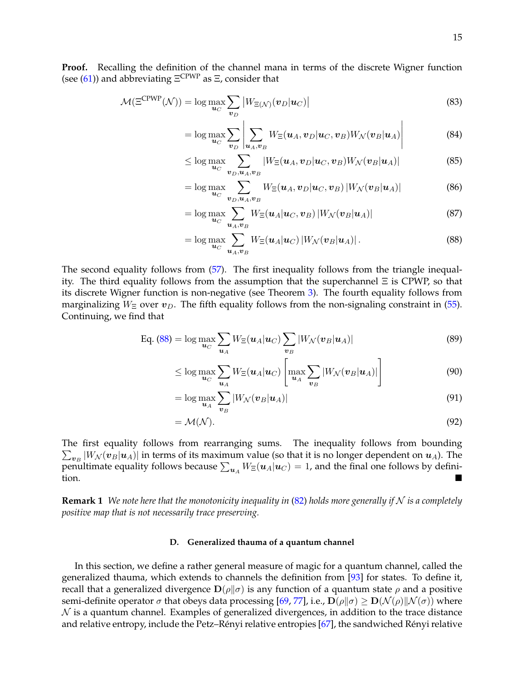**Proof.** Recalling the definition of the channel mana in terms of the discrete Wigner function (see [\(61\)](#page-11-1)) and abbreviating  $\Xi^{\text{CPWP}}$  as  $\Xi$ , consider that

$$
\mathcal{M}(\Xi^{\text{CPWP}}(\mathcal{N})) = \log \max_{\boldsymbol{u}_C} \sum_{\boldsymbol{v}_D} \left| W_{\Xi(\mathcal{N})}(\boldsymbol{v}_D | \boldsymbol{u}_C) \right| \tag{83}
$$

$$
= \log \max_{\boldsymbol{u}_C} \sum_{\boldsymbol{v}_D} \left| \sum_{\boldsymbol{u}_A, \boldsymbol{v}_B} W_{\Xi}(\boldsymbol{u}_A, \boldsymbol{v}_D | \boldsymbol{u}_C, \boldsymbol{v}_B) W_{\mathcal{N}}(\boldsymbol{v}_B | \boldsymbol{u}_A) \right| \tag{84}
$$

$$
\leq \log \max_{\boldsymbol{u}_C} \sum_{\boldsymbol{v}_D,\boldsymbol{u}_A,\boldsymbol{v}_B} |W_{\Xi}(\boldsymbol{u}_A,\boldsymbol{v}_D|\boldsymbol{u}_C,\boldsymbol{v}_B)W_{\mathcal{N}}(\boldsymbol{v}_B|\boldsymbol{u}_A)| \tag{85}
$$

$$
= \log \max_{\boldsymbol{u}_C} \sum_{\boldsymbol{v}_D, \boldsymbol{u}_A, \boldsymbol{v}_B} W_{\Xi}(\boldsymbol{u}_A, \boldsymbol{v}_D | \boldsymbol{u}_C, \boldsymbol{v}_B) |W_{\mathcal{N}}(\boldsymbol{v}_B | \boldsymbol{u}_A)| \tag{86}
$$

$$
= \log \max_{\boldsymbol{u}_C} \sum_{\boldsymbol{u}_A, \boldsymbol{v}_B} W_{\Xi}(\boldsymbol{u}_A | \boldsymbol{u}_C, \boldsymbol{v}_B) |W_{\mathcal{N}}(\boldsymbol{v}_B | \boldsymbol{u}_A)| \tag{87}
$$

<span id="page-14-1"></span>
$$
= \log \max_{\boldsymbol{u}_C} \sum_{\boldsymbol{u}_A, \boldsymbol{v}_B} W_{\Xi}(\boldsymbol{u}_A | \boldsymbol{u}_C) |W_{\mathcal{N}}(\boldsymbol{v}_B | \boldsymbol{u}_A)|. \tag{88}
$$

The second equality follows from [\(57\)](#page-10-3). The first inequality follows from the triangle inequality. The third equality follows from the assumption that the superchannel Ξ is CPWP, so that its discrete Wigner function is non-negative (see Theorem [3\)](#page-11-2). The fourth equality follows from marginalizing  $W_\Xi$  over  $v_D$ . The fifth equality follows from the non-signaling constraint in [\(55\)](#page-10-0). Continuing, we find that

Eq. (88) = 
$$
\log \max_{\mathbf{u}_C} \sum_{\mathbf{u}_A} W_{\Xi}(\mathbf{u}_A | \mathbf{u}_C) \sum_{\mathbf{v}_B} |W_{\mathcal{N}}(\mathbf{v}_B | \mathbf{u}_A)|
$$
 (89)

$$
\leq \log \max_{\boldsymbol{u}_C} \sum_{\boldsymbol{u}_A} W_{\Xi}(\boldsymbol{u}_A | \boldsymbol{u}_C) \left[ \max_{\boldsymbol{u}_A} \sum_{\boldsymbol{v}_B} |W_{\mathcal{N}}(\boldsymbol{v}_B | \boldsymbol{u}_A)| \right] \tag{90}
$$

$$
= \log \max_{\boldsymbol{u}_A} \sum_{\boldsymbol{v}_B} |W_{\mathcal{N}}(\boldsymbol{v}_B | \boldsymbol{u}_A)| \tag{91}
$$

$$
= \mathcal{M}(\mathcal{N}). \tag{92}
$$

The first equality follows from rearranging sums. The inequality follows from bounding  $\sum_{\bm{v}_B} |W_{\mathcal{N}}(\bm{v}_B|\bm{u}_A)|$  in terms of its maximum value (so that it is no longer dependent on  $\bm{u}_A$ ). The penultimate equality follows because  $\sum_{\bm{u}_A} W_{\Xi}(\bm{u}_A|\bm{u}_C)=1$ , and the final one follows by defini- $\overline{\phantom{a}}$  tion.

<span id="page-14-2"></span>**Remark 1** We note here that the monotonicity inequality in  $(82)$  holds more generally if N is a completely *positive map that is not necessarily trace preserving.*

## <span id="page-14-0"></span>**D. Generalized thauma of a quantum channel**

In this section, we define a rather general measure of magic for a quantum channel, called the generalized thauma, which extends to channels the definition from [\[93\]](#page-43-1) for states. To define it, recall that a generalized divergence  $\mathbf{D}(\rho||\sigma)$  is any function of a quantum state  $\rho$  and a positive semi-definite operator  $\sigma$  that obeys data processing [\[69,](#page-42-10) [77\]](#page-42-11), i.e.,  $\mathbf{D}(\rho||\sigma) \geq \mathbf{D}(\mathcal{N}(\rho)||\mathcal{N}(\sigma))$  where  $\mathcal N$  is a quantum channel. Examples of generalized divergences, in addition to the trace distance and relative entropy, include the Petz–Rényi relative entropies [[67\]](#page-42-12), the sandwiched Rényi relative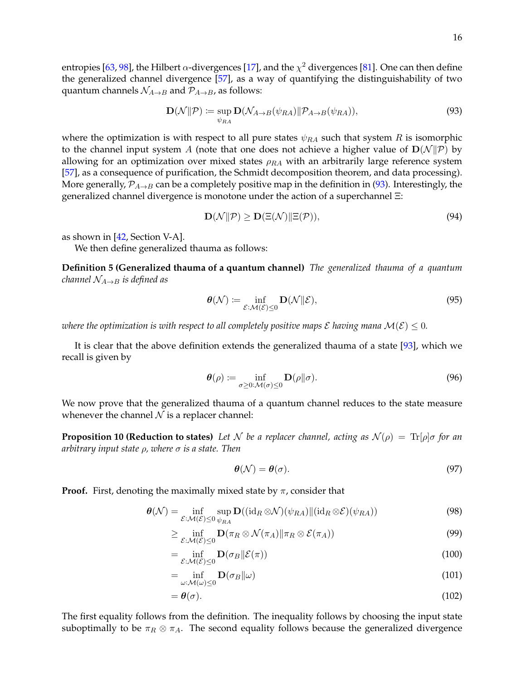entropies [\[63,](#page-41-15) [98\]](#page-43-4), the Hilbert  $\alpha$ -divergences [\[17\]](#page-40-15), and the  $\chi^2$  divergences [\[81\]](#page-42-13). One can then define the generalized channel divergence [\[57\]](#page-41-16), as a way of quantifying the distinguishability of two quantum channels  $\mathcal{N}_{A\rightarrow B}$  and  $\mathcal{P}_{A\rightarrow B}$ , as follows:

<span id="page-15-0"></span>
$$
\mathbf{D}(\mathcal{N}||\mathcal{P}) \coloneqq \sup_{\psi_{RA}} \mathbf{D}(\mathcal{N}_{A \to B}(\psi_{RA}) || \mathcal{P}_{A \to B}(\psi_{RA})), \tag{93}
$$

where the optimization is with respect to all pure states  $\psi_{RA}$  such that system R is isomorphic to the channel input system A (note that one does not achieve a higher value of  $\mathbf{D}(\mathcal{N}||\mathcal{P})$  by allowing for an optimization over mixed states  $\rho_{RA}$  with an arbitrarily large reference system [\[57\]](#page-41-16), as a consequence of purification, the Schmidt decomposition theorem, and data processing). More generally,  $\mathcal{P}_{A\rightarrow B}$  can be a completely positive map in the definition in [\(93\)](#page-15-0). Interestingly, the generalized channel divergence is monotone under the action of a superchannel Ξ:

$$
\mathbf{D}(\mathcal{N}||\mathcal{P}) \ge \mathbf{D}(\Xi(\mathcal{N})||\Xi(\mathcal{P})),\tag{94}
$$

as shown in [\[42,](#page-41-12) Section V-A].

We then define generalized thauma as follows:

**Definition 5 (Generalized thauma of a quantum channel)** *The generalized thauma of a quantum channel*  $N_{A\rightarrow B}$  *is defined as* 

<span id="page-15-1"></span>
$$
\boldsymbol{\theta}(\mathcal{N}) \coloneqq \inf_{\mathcal{E}: \mathcal{M}(\mathcal{E}) \leq 0} \mathbf{D}(\mathcal{N} \| \mathcal{E}),\tag{95}
$$

*where the optimization is with respect to all completely positive maps*  $\mathcal{E}$  *having mana*  $\mathcal{M}(\mathcal{E}) \leq 0$ *.* 

It is clear that the above definition extends the generalized thauma of a state [\[93\]](#page-43-1), which we recall is given by

<span id="page-15-3"></span>
$$
\boldsymbol{\theta}(\rho) := \inf_{\sigma \ge 0: \mathcal{M}(\sigma) \le 0} \mathbf{D}(\rho \| \sigma). \tag{96}
$$

We now prove that the generalized thauma of a quantum channel reduces to the state measure whenever the channel  $N$  is a replacer channel:

<span id="page-15-2"></span>**Proposition 10 (Reduction to states)** Let N be a replacer channel, acting as  $\mathcal{N}(\rho) = \text{Tr}[\rho]\sigma$  for an *arbitrary input state* ρ*, where* σ *is a state. Then*

$$
\boldsymbol{\theta}(\mathcal{N}) = \boldsymbol{\theta}(\sigma). \tag{97}
$$

**Proof.** First, denoting the maximally mixed state by  $\pi$ , consider that

$$
\boldsymbol{\theta}(\mathcal{N}) = \inf_{\mathcal{E}: \mathcal{M}(\mathcal{E}) \leq 0} \sup_{\psi_{RA}} \mathbf{D}((\mathrm{id}_R \otimes \mathcal{N})(\psi_{RA}) \| (\mathrm{id}_R \otimes \mathcal{E})(\psi_{RA}))
$$
(98)

$$
\geq \inf_{\mathcal{E}: \mathcal{M}(\mathcal{E}) \leq 0} \mathbf{D}(\pi_R \otimes \mathcal{N}(\pi_A) \| \pi_R \otimes \mathcal{E}(\pi_A))
$$
\n(99)

$$
= \inf_{\mathcal{E}: \mathcal{M}(\mathcal{E}) \le 0} \mathbf{D}(\sigma_B || \mathcal{E}(\pi))
$$
\n(100)

$$
= \inf_{\omega:\mathcal{M}(\omega)\leq 0} \mathbf{D}(\sigma_B \|\omega)
$$
\n(101)

$$
=\boldsymbol{\theta}(\sigma). \tag{102}
$$

The first equality follows from the definition. The inequality follows by choosing the input state suboptimally to be  $\pi_R \otimes \pi_A$ . The second equality follows because the generalized divergence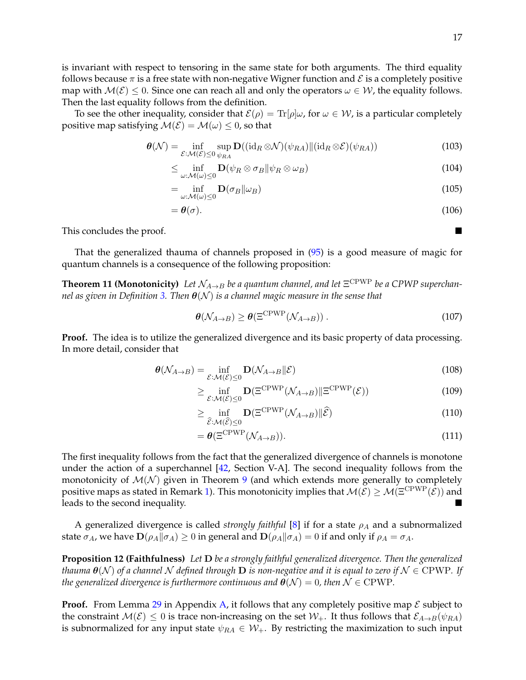is invariant with respect to tensoring in the same state for both arguments. The third equality follows because  $\pi$  is a free state with non-negative Wigner function and  $\mathcal E$  is a completely positive map with  $\mathcal{M}(\mathcal{E}) \leq 0$ . Since one can reach all and only the operators  $\omega \in \mathcal{W}$ , the equality follows. Then the last equality follows from the definition.

To see the other inequality, consider that  $\mathcal{E}(\rho) = \text{Tr}[\rho]\omega$ , for  $\omega \in \mathcal{W}$ , is a particular completely positive map satisfying  $\mathcal{M}(\mathcal{E}) = \mathcal{M}(\omega) \leq 0$ , so that

$$
\boldsymbol{\theta}(\mathcal{N}) = \inf_{\mathcal{E}: \mathcal{M}(\mathcal{E}) \leq 0} \sup_{\psi_{RA}} \mathbf{D}((\mathrm{id}_R \otimes \mathcal{N})(\psi_{RA}) \| (\mathrm{id}_R \otimes \mathcal{E})(\psi_{RA}))
$$
(103)

$$
\leq \inf_{\omega:\mathcal{M}(\omega)\leq 0} \mathbf{D}(\psi_R \otimes \sigma_B \|\psi_R \otimes \omega_B) \tag{104}
$$

$$
= \inf_{\omega:\mathcal{M}(\omega)\leq 0} \mathbf{D}(\sigma_B \|\omega_B)
$$
\n(105)

$$
=\boldsymbol{\theta}(\sigma). \tag{106}
$$

This concludes the proof.

That the generalized thauma of channels proposed in [\(95\)](#page-15-1) is a good measure of magic for quantum channels is a consequence of the following proposition:

**Theorem 11 (Monotonicity)** Let  $\mathcal{N}_{A\to B}$  be a quantum channel, and let  $\Xi^{\text{CPWP}}$  be a CPWP superchan*nel as given in Definition [3.](#page-10-2) Then* θ(N ) *is a channel magic measure in the sense that*

$$
\theta(\mathcal{N}_{A\to B}) \ge \theta(\Xi^{\text{CPWP}}(\mathcal{N}_{A\to B}))\,. \tag{107}
$$

**Proof.** The idea is to utilize the generalized divergence and its basic property of data processing. In more detail, consider that

$$
\boldsymbol{\theta}(\mathcal{N}_{A\to B}) = \inf_{\mathcal{E}:\mathcal{M}(\mathcal{E}) \leq 0} \mathbf{D}(\mathcal{N}_{A\to B}||\mathcal{E})
$$
\n(108)

$$
\geq \inf_{\mathcal{E}: \mathcal{M}(\mathcal{E}) \leq 0} \mathbf{D}(\Xi^{\mathrm{CPWP}}(\mathcal{N}_{A \to B}) \|\Xi^{\mathrm{CPWP}}(\mathcal{E})) \tag{109}
$$

$$
\geq \inf_{\widehat{\mathcal{E}}:\mathcal{M}(\widehat{\mathcal{E}})\leq 0} \mathbf{D}(\Xi^{\mathrm{CPWP}}(\mathcal{N}_{A\to B})\|\widehat{\mathcal{E}}) \tag{110}
$$

$$
= \theta(\Xi^{\text{CPWP}}(\mathcal{N}_{A\to B})).\tag{111}
$$

The first inequality follows from the fact that the generalized divergence of channels is monotone under the action of a superchannel [\[42,](#page-41-12) Section V-A]. The second inequality follows from the monotonicity of  $\mathcal{M}(\mathcal{N})$  given in Theorem [9](#page-13-1) (and which extends more generally to completely positive maps as stated in Remark [1\)](#page-14-2). This monotonicity implies that  $M(\mathcal{E}) \geq M(\Xi^{\text{CPWP}}(\mathcal{E}))$  and leads to the second inequality.

A generalized divergence is called *strongly faithful* [\[8\]](#page-39-8) if for a state  $\rho_A$  and a subnormalized state  $\sigma_A$ , we have  $\mathbf{D}(\rho_A||\sigma_A) \geq 0$  in general and  $\mathbf{D}(\rho_A||\sigma_A) = 0$  if and only if  $\rho_A = \sigma_A$ .

<span id="page-16-1"></span>**Proposition 12 (Faithfulness)** *Let* D *be a strongly faithful generalized divergence. Then the generalized thauma*  $\theta(N)$  *of a channel* N *defined through* **D** *is non-negative and it is equal to zero if*  $N \in \text{CPWP}$ *. If the generalized divergence is furthermore continuous and*  $\theta(\mathcal{N}) = 0$ , then  $\mathcal{N} \in \mathrm{CPWP}$ .

**Proof.** From Lemma [29](#page-38-4) in Appendix [A,](#page-38-2) it follows that any completely positive map  $\mathcal{E}$  subject to the constraint  $\mathcal{M}(\mathcal{E}) \leq 0$  is trace non-increasing on the set  $\mathcal{W}_+$ . It thus follows that  $\mathcal{E}_{A\to B}(\psi_{RA})$ is subnormalized for any input state  $\psi_{RA} \in \mathcal{W}_+$ . By restricting the maximization to such input

<span id="page-16-0"></span>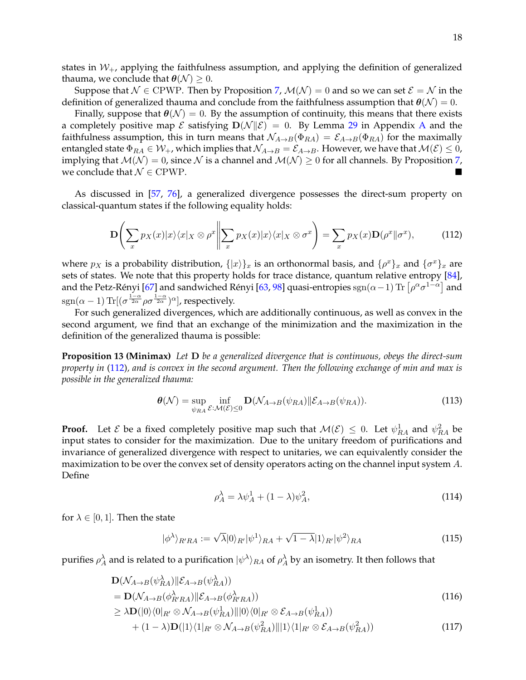states in  $W_+$ , applying the faithfulness assumption, and applying the definition of generalized thauma, we conclude that  $\theta(\mathcal{N}) \geq 0$ .

Suppose that  $\mathcal{N} \in \mathbb{C}P\mathbb{W}P$ . Then by Proposition [7,](#page-12-2)  $\mathcal{M}(\mathcal{N}) = 0$  and so we can set  $\mathcal{E} = \mathcal{N}$  in the definition of generalized thauma and conclude from the faithfulness assumption that  $\theta(\mathcal{N}) = 0$ .

Finally, suppose that  $\theta(\mathcal{N}) = 0$ . By the assumption of continuity, this means that there exists a completely positive map  $\mathcal E$  satisfying  $D(\mathcal N||\mathcal E)=0$ . By Lemma [29](#page-38-4) in [A](#page-38-2)ppendix A and the faithfulness assumption, this in turn means that  $\mathcal{N}_{A\to B}(\Phi_{RA}) = \mathcal{E}_{A\to B}(\Phi_{RA})$  for the maximally entangled state  $\Phi_{RA} \in W_+$ , which implies that  $\mathcal{N}_{A\to B} = \mathcal{E}_{A\to B}$ . However, we have that  $\mathcal{M}(\mathcal{E}) \leq 0$ , implying that  $M(\mathcal{N}) = 0$ , since N is a channel and  $M(\mathcal{N}) \geq 0$  for all channels. By Proposition [7,](#page-12-2) we conclude that  $\mathcal{N} \in \mathrm{CPWP}$ .

As discussed in [\[57,](#page-41-16) [76\]](#page-42-14), a generalized divergence possesses the direct-sum property on classical-quantum states if the following equality holds:

<span id="page-17-0"></span>
$$
\mathbf{D}\left(\sum_{x}p_{X}(x)|x\rangle\langle x|_{X}\otimes\rho^{x}\middle\|\sum_{x}p_{X}(x)|x\rangle\langle x|_{X}\otimes\sigma^{x}\right)=\sum_{x}p_{X}(x)\mathbf{D}(\rho^{x}\Vert\sigma^{x}),\tag{112}
$$

where  $p_X$  is a probability distribution,  $\{|x\rangle\}_x$  is an orthonormal basis, and  $\{\rho^x\}_x$  and  $\{\sigma^x\}_x$  are sets of states. We note that this property holds for trace distance, quantum relative entropy [\[84\]](#page-42-15), and the Petz-Rényi [[67\]](#page-42-12) and sandwiched Rényi [[63,](#page-41-15) [98\]](#page-43-4) quasi-entropies  $\text{sgn}(\alpha-1)\,\text{Tr}\left[\rho^\alpha\sigma^{1-\alpha}\right]$  and  $\mathrm{sgn}(\alpha-1)\,\text{Tr}[(\sigma^{\frac{1-\alpha}{2\alpha}}\rho\sigma^{\frac{1-\alpha}{2\alpha}})^\alpha]$ , respectively.

For such generalized divergences, which are additionally continuous, as well as convex in the second argument, we find that an exchange of the minimization and the maximization in the definition of the generalized thauma is possible:

**Proposition 13 (Minimax)** *Let* D *be a generalized divergence that is continuous, obeys the direct-sum property in* [\(112\)](#page-17-0)*, and is convex in the second argument. Then the following exchange of min and max is possible in the generalized thauma:*

<span id="page-17-1"></span>
$$
\boldsymbol{\theta}(\mathcal{N}) = \sup_{\psi_{RA}} \inf_{\mathcal{E}: \mathcal{M}(\mathcal{E}) \le 0} \mathbf{D}(\mathcal{N}_{A \to B}(\psi_{RA}) \| \mathcal{E}_{A \to B}(\psi_{RA})). \tag{113}
$$

**Proof.** Let  $\mathcal{E}$  be a fixed completely positive map such that  $\mathcal{M}(\mathcal{E}) \leq 0$ . Let  $\psi_{RA}^1$  and  $\psi_{RA}^2$  be input states to consider for the maximization. Due to the unitary freedom of purifications and invariance of generalized divergence with respect to unitaries, we can equivalently consider the maximization to be over the convex set of density operators acting on the channel input system A. Define

$$
\rho_A^{\lambda} = \lambda \psi_A^1 + (1 - \lambda)\psi_A^2,\tag{114}
$$

for  $\lambda \in [0, 1]$ . Then the state

$$
|\phi^{\lambda}\rangle_{R'RA} := \sqrt{\lambda}|0\rangle_{R'}|\psi^1\rangle_{RA} + \sqrt{1-\lambda}|1\rangle_{R'}|\psi^2\rangle_{RA}
$$
\n(115)

purifies  $\rho_A^\lambda$  and is related to a purification  $|\psi^\lambda\rangle_{RA}$  of  $\rho_A^\lambda$  by an isometry. It then follows that

$$
\mathbf{D}(\mathcal{N}_{A\to B}(\psi_{RA}^{\lambda})||\mathcal{E}_{A\to B}(\psi_{RA}^{\lambda}))
$$
\n
$$
= \mathbf{D}(\mathcal{N}_{A\to B}(\phi_{R'RA}^{\lambda})||\mathcal{E}_{A\to B}(\phi_{R'RA}^{\lambda}))
$$
\n
$$
\geq \lambda \mathbf{D}(|0\rangle\langle0|_{R'} \otimes \mathcal{N}_{A\to B}(\psi_{RA}^1)||0\rangle\langle0|_{R'} \otimes \mathcal{E}_{A\to B}(\psi_{RA}^1))
$$
\n
$$
\leq \lambda \mathbf{D}(|0\rangle\langle0|_{R'} \otimes \mathcal{N}_{A\to B}(\psi_{RA}^1)||0\rangle\langle0|_{R'} \otimes \mathcal{E}_{A\to B}(\psi_{RA}^1))
$$
\n
$$
\leq \lambda \mathbf{D}(|0\rangle\langle0|_{R'} \otimes \mathcal{N}_{A\to B}(\psi_{RA}^1)||0\rangle\langle0|_{R'} \otimes \mathcal{E}_{A\to B}(\psi_{RA}^1)|
$$
\n
$$
\leq \lambda \mathbf{D}(|0\rangle\langle0|_{R'} \otimes \mathcal{N}_{A\to B}(\psi_{RA}^1)||0\rangle\langle0|_{R'} \otimes \mathcal{E}_{A\to B}(\psi_{RA}^1)|
$$
\n
$$
\leq \lambda \mathbf{D}(|0\rangle\langle0|_{R'} \otimes \mathcal{N}_{A\to B}(\psi_{RA}^1)||0\rangle\langle0|_{R'} \otimes \mathcal{E}_{A\to B}(\psi_{RA}^1)|
$$
\n
$$
\leq \lambda \mathbf{D}(|0\rangle\langle0|_{R'} \otimes \mathcal{N}_{A\to B}(\psi_{RA}^1)||0\rangle\langle0|_{R'} \otimes \mathcal{E}_{A\to B}(\psi_{RA}^1)|
$$
\n
$$
\leq \lambda \mathbf{D}(|0\rangle\langle0|_{R'} \otimes \mathcal{N}_{A\to B}(\psi_{RA}^1)||0\rangle\langle0|_{R'} \otimes \mathcal{E}_{A\to B}(\psi_{RA}^1)|0\rangle
$$

$$
+(1-\lambda)\mathbf{D}(|1\rangle\langle 1|_{R'}\otimes\mathcal{N}_{A\to B}(\psi_{RA}^2)||1\rangle\langle 1|_{R'}\otimes\mathcal{E}_{A\to B}(\psi_{RA}^2))
$$
\n(117)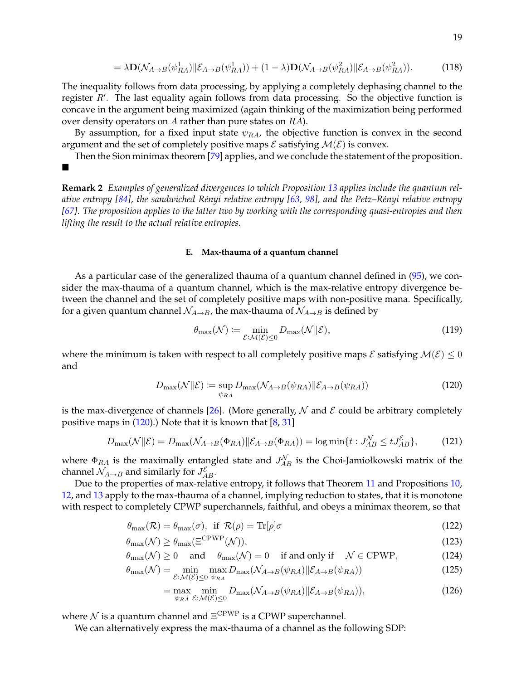$$
= \lambda \mathbf{D}(\mathcal{N}_{A \to B}(\psi_{RA}^1) \| \mathcal{E}_{A \to B}(\psi_{RA}^1)) + (1 - \lambda) \mathbf{D}(\mathcal{N}_{A \to B}(\psi_{RA}^2) \| \mathcal{E}_{A \to B}(\psi_{RA}^2)). \tag{118}
$$

The inequality follows from data processing, by applying a completely dephasing channel to the register  $R'$ . The last equality again follows from data processing. So the objective function is concave in the argument being maximized (again thinking of the maximization being performed over density operators on  $A$  rather than pure states on  $RA$ ).

By assumption, for a fixed input state  $\psi_{RA}$ , the objective function is convex in the second argument and the set of completely positive maps  $\mathcal E$  satisfying  $\mathcal M(\mathcal E)$  is convex.

Then the Sion minimax theorem [\[79\]](#page-42-16) applies, and we conclude the statement of the proposition.  $\blacksquare$ 

**Remark 2** *Examples of generalized divergences to which Proposition [13](#page-17-1) applies include the quantum relative entropy [\[84\]](#page-42-15), the sandwiched R´enyi relative entropy [\[63,](#page-41-15) [98\]](#page-43-4), and the Petz–R´enyi relative entropy [\[67\]](#page-42-12). The proposition applies to the latter two by working with the corresponding quasi-entropies and then lifting the result to the actual relative entropies.*

#### <span id="page-18-0"></span>**E. Max-thauma of a quantum channel**

As a particular case of the generalized thauma of a quantum channel defined in [\(95\)](#page-15-1), we consider the max-thauma of a quantum channel, which is the max-relative entropy divergence between the channel and the set of completely positive maps with non-positive mana. Specifically, for a given quantum channel  $\mathcal{N}_{A\rightarrow B}$ , the max-thauma of  $\mathcal{N}_{A\rightarrow B}$  is defined by

<span id="page-18-4"></span>
$$
\theta_{\max}(\mathcal{N}) \coloneqq \min_{\mathcal{E}: \mathcal{M}(\mathcal{E}) \le 0} D_{\max}(\mathcal{N} \| \mathcal{E}), \tag{119}
$$

where the minimum is taken with respect to all completely positive maps  $\mathcal E$  satisfying  $\mathcal M(\mathcal E)\leq 0$ and

<span id="page-18-1"></span>
$$
D_{\max}(\mathcal{N}||\mathcal{E}) := \sup_{\psi_{RA}} D_{\max}(\mathcal{N}_{A \to B}(\psi_{RA})||\mathcal{E}_{A \to B}(\psi_{RA})) \tag{120}
$$

is the max-divergence of channels [\[26\]](#page-40-16). (More generally,  $N$  and  $\mathcal E$  could be arbitrary completely positive maps in  $(120)$ .) Note that it is known that  $[8, 31]$  $[8, 31]$  $[8, 31]$ 

<span id="page-18-2"></span>
$$
D_{\max}(\mathcal{N}||\mathcal{E}) = D_{\max}(\mathcal{N}_{A \to B}(\Phi_{RA})||\mathcal{E}_{A \to B}(\Phi_{RA})) = \log \min \{t : J_{AB}^{\mathcal{N}} \le t J_{AB}^{\mathcal{E}}\},\tag{121}
$$

where  $\Phi_{RA}$  is the maximally entangled state and  $J_{AB}^{\mathcal{N}}$  is the Choi-Jamiołkowski matrix of the channel  $\mathcal{N}_{A\rightarrow B}$  and similarly for  $J_{AB}^{\mathcal{E}}$ .

Due to the properties of max-relative entropy, it follows that Theorem [11](#page-16-0) and Propositions [10,](#page-15-2) [12,](#page-16-1) and [13](#page-17-1) apply to the max-thauma of a channel, implying reduction to states, that it is monotone with respect to completely CPWP superchannels, faithful, and obeys a minimax theorem, so that

$$
\theta_{\max}(\mathcal{R}) = \theta_{\max}(\sigma), \text{ if } \mathcal{R}(\rho) = \text{Tr}[\rho]\sigma \tag{122}
$$

$$
\theta_{\max}(\mathcal{N}) \ge \theta_{\max}(\Xi^{\text{CPWP}}(\mathcal{N})),\tag{123}
$$

$$
\theta_{\max}(\mathcal{N}) \ge 0
$$
 and  $\theta_{\max}(\mathcal{N}) = 0$  if and only if  $\mathcal{N} \in \text{CPWP}$ , (124)

$$
\theta_{\max}(\mathcal{N}) = \min_{\mathcal{E}: \mathcal{M}(\mathcal{E}) \le 0} \max_{\psi_{RA}} D_{\max}(\mathcal{N}_{A \to B}(\psi_{RA}) \| \mathcal{E}_{A \to B}(\psi_{RA})) \tag{125}
$$

<span id="page-18-6"></span><span id="page-18-5"></span><span id="page-18-3"></span>
$$
= \max_{\psi_{RA}} \min_{\mathcal{E}: \mathcal{M}(\mathcal{E}) \le 0} D_{\max}(\mathcal{N}_{A \to B}(\psi_{RA}) \| \mathcal{E}_{A \to B}(\psi_{RA})), \tag{126}
$$

where  ${\cal N}$  is a quantum channel and  $\Xi^{\text{CPWP}}$  is a CPWP superchannel.

We can alternatively express the max-thauma of a channel as the following SDP: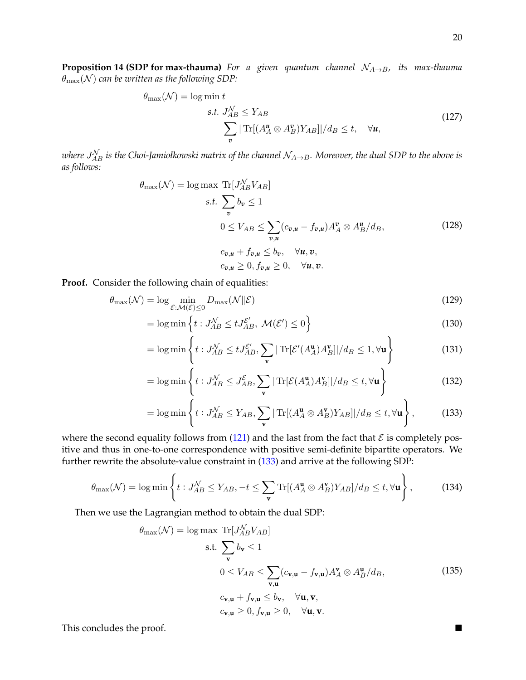**Proposition 14 (SDP for max-thauma)** *For a given quantum channel*  $N_{A\rightarrow B}$ , *its max-thauma*  $\theta_{\text{max}}(\mathcal{N})$  can be written as the following SDP:

$$
\theta_{\max}(\mathcal{N}) = \log \min t
$$
  
s.t.  $J_{AB}^{\mathcal{N}} \le Y_{AB}$   

$$
\sum_{v} |\operatorname{Tr}[(A_A^u \otimes A_B^v)Y_{AB}]|/d_B \le t, \quad \forall u,
$$
 (127)

<span id="page-19-1"></span>where  $J_{AB}^{\mathcal{N}}$  is the Choi-Jamiołkowski matrix of the channel  $\mathcal{N}_{A\to B}$ . Moreover, the dual SDP to the above is *as follows:*

$$
\theta_{\max}(\mathcal{N}) = \log \max \left( \frac{\text{Tr}[J_{AB}^{\mathcal{N}} V_{AB}]}{\sum_{v} b_{v} \leq 1} \right)
$$
  

$$
0 \leq V_{AB} \leq \sum_{v,u} (c_{v,u} - f_{v,u}) A_{A}^{v} \otimes A_{B}^{u}/d_{B},
$$
  

$$
c_{v,u} + f_{v,u} \leq b_{v}, \quad \forall u, v,
$$
  

$$
c_{v,u} \geq 0, f_{v,u} \geq 0, \quad \forall u, v.
$$
  
(128)

**Proof.** Consider the following chain of equalities:

$$
\theta_{\max}(\mathcal{N}) = \log \min_{\mathcal{E}: \mathcal{M}(\mathcal{E}) \le 0} D_{\max}(\mathcal{N} \| \mathcal{E})
$$
\n(129)

$$
= \log \min \left\{ t : J_{AB}^{\mathcal{N}} \le t J_{AB}^{\mathcal{E}'}, \ \mathcal{M}(\mathcal{E}') \le 0 \right\}
$$
\n(130)

$$
= \log \min \left\{ t : J_{AB}^{\mathcal{N}} \le t J_{AB}^{\mathcal{E}'}, \sum_{\mathbf{v}} |\operatorname{Tr}[\mathcal{E}'(A_A^{\mathbf{u}}) A_B^{\mathbf{v}}]|/d_B \le 1, \forall \mathbf{u} \right\}
$$
(131)

<span id="page-19-0"></span>
$$
= \log \min \left\{ t : J_{AB}^{\mathcal{N}} \leq J_{AB}^{\mathcal{E}}, \sum_{\mathbf{v}} |\operatorname{Tr}[\mathcal{E}(A_A^{\mathbf{u}}) A_B^{\mathbf{v}}]|/d_B \leq t, \forall \mathbf{u} \right\}
$$
(132)

$$
= \log \min \left\{ t : J_{AB}^{\mathcal{N}} \le Y_{AB}, \sum_{\mathbf{v}} |\operatorname{Tr}[(A_A^{\mathbf{u}} \otimes A_B^{\mathbf{v}})Y_{AB}]|/d_B \le t, \forall \mathbf{u} \right\},\tag{133}
$$

where the second equality follows from [\(121\)](#page-18-2) and the last from the fact that  $\mathcal E$  is completely positive and thus in one-to-one correspondence with positive semi-definite bipartite operators. We further rewrite the absolute-value constraint in [\(133\)](#page-19-0) and arrive at the following SDP:

$$
\theta_{\max}(\mathcal{N}) = \log \min \left\{ t : J_{AB}^{\mathcal{N}} \le Y_{AB}, -t \le \sum_{\mathbf{v}} \text{Tr}[(A_A^{\mathbf{u}} \otimes A_B^{\mathbf{v}})Y_{AB}]/d_B \le t, \forall \mathbf{u} \right\},\tag{134}
$$

Then we use the Lagrangian method to obtain the dual SDP:

$$
\theta_{\max}(\mathcal{N}) = \log \max_{\mathbf{v}} \text{Tr}[J_{AB}^{\mathcal{N}} V_{AB}]
$$
  
s.t. 
$$
\sum_{\mathbf{v}} b_{\mathbf{v}} \le 1
$$

$$
0 \le V_{AB} \le \sum_{\mathbf{v}, \mathbf{u}} (c_{\mathbf{v}, \mathbf{u}} - f_{\mathbf{v}, \mathbf{u}}) A_A^{\mathbf{v}} \otimes A_B^{\mathbf{u}} / d_B,
$$

$$
c_{\mathbf{v}, \mathbf{u}} + f_{\mathbf{v}, \mathbf{u}} \le b_{\mathbf{v}}, \quad \forall \mathbf{u}, \mathbf{v},
$$

$$
c_{\mathbf{v}, \mathbf{u}} \ge 0, f_{\mathbf{v}, \mathbf{u}} \ge 0, \quad \forall \mathbf{u}, \mathbf{v}.
$$
 (135)

This concludes the proof.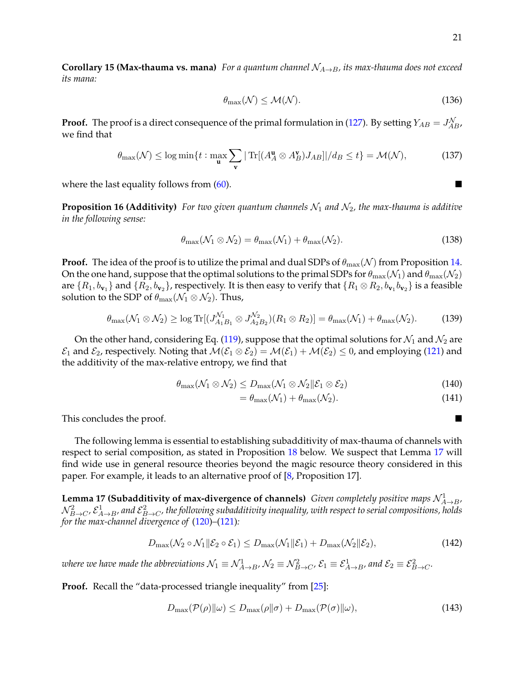**Corollary 15 (Max-thauma vs. mana)** *For a quantum channel*  $N_{A\rightarrow B}$ *, its max-thauma does not exceed its mana:*

$$
\theta_{\max}(\mathcal{N}) \le \mathcal{M}(\mathcal{N}).\tag{136}
$$

**Proof.** The proof is a direct consequence of the primal formulation in [\(127\)](#page-19-1). By setting  $Y_{AB} = J_{AB}^{\mathcal{N}}$ , we find that

$$
\theta_{\max}(\mathcal{N}) \le \log \min \{ t : \max_{\mathbf{u}} \sum_{\mathbf{v}} |\operatorname{Tr}[(A_A^{\mathbf{u}} \otimes A_B^{\mathbf{v}}) J_{AB}]| / d_B \le t \} = \mathcal{M}(\mathcal{N}),\tag{137}
$$

<span id="page-20-2"></span>where the last equality follows from  $(60)$ .

**Proposition 16 (Additivity)** For two given quantum channels  $\mathcal{N}_1$  and  $\mathcal{N}_2$ , the max-thauma is additive *in the following sense:*

$$
\theta_{\max}(\mathcal{N}_1 \otimes \mathcal{N}_2) = \theta_{\max}(\mathcal{N}_1) + \theta_{\max}(\mathcal{N}_2). \tag{138}
$$

**Proof.** The idea of the proof is to utilize the primal and dual SDPs of  $\theta_{\text{max}}(\mathcal{N})$  from Proposition [14.](#page-18-3) On the one hand, suppose that the optimal solutions to the primal SDPs for  $\theta_{\rm max}(\mathcal{N}_1)$  and  $\theta_{\rm max}(\mathcal{N}_2)$ are  $\{R_1,b_{\bf v_1}\}$  and  $\{R_2,b_{\bf v_2}\}$ , respectively. It is then easy to verify that  $\{R_1\otimes R_2,b_{\bf v_1}b_{\bf v_2}\}$  is a feasible solution to the SDP of  $\theta_{\text{max}}(\mathcal{N}_1 \otimes \mathcal{N}_2)$ . Thus,

$$
\theta_{\max}(\mathcal{N}_1 \otimes \mathcal{N}_2) \ge \log \text{Tr}[(J_{A_1B_1}^{\mathcal{N}_1} \otimes J_{A_2B_2}^{\mathcal{N}_2})(R_1 \otimes R_2)] = \theta_{\max}(\mathcal{N}_1) + \theta_{\max}(\mathcal{N}_2). \tag{139}
$$

On the other hand, considering Eq. [\(119\)](#page-18-4), suppose that the optimal solutions for  $\mathcal{N}_1$  and  $\mathcal{N}_2$  are  $\mathcal{E}_1$  and  $\mathcal{E}_2$ , respectively. Noting that  $\mathcal{M}(\mathcal{E}_1 \otimes \mathcal{E}_2) = \mathcal{M}(\mathcal{E}_1) + \mathcal{M}(\mathcal{E}_2) \leq 0$ , and employing [\(121\)](#page-18-2) and the additivity of the max-relative entropy, we find that

$$
\theta_{\max}(\mathcal{N}_1 \otimes \mathcal{N}_2) \le D_{\max}(\mathcal{N}_1 \otimes \mathcal{N}_2 \| \mathcal{E}_1 \otimes \mathcal{E}_2)
$$
\n(140)

$$
=\theta_{\max}(\mathcal{N}_1)+\theta_{\max}(\mathcal{N}_2). \tag{141}
$$

This concludes the proof.

The following lemma is essential to establishing subadditivity of max-thauma of channels with respect to serial composition, as stated in Proposition [18](#page-21-0) below. We suspect that Lemma [17](#page-20-0) will find wide use in general resource theories beyond the magic resource theory considered in this paper. For example, it leads to an alternative proof of [\[8,](#page-39-8) Proposition 17].

<span id="page-20-0"></span>**Lemma 17 (Subadditivity of max-divergence of channels)** *Given completely positive maps*  $\mathcal{N}_{A\rightarrow B}^1$ ,  $\mathcal{N}_{B\to C}^2$ ,  $\mathcal{E}_{A\to B}^1$ , and  $\mathcal{E}_{B\to C}^2$ , the following subadditivity inequality, with respect to serial compositions, holds *for the max-channel divergence of* [\(120\)](#page-18-1)*–*[\(121\)](#page-18-2)*:*

$$
D_{\max}(\mathcal{N}_2 \circ \mathcal{N}_1 \| \mathcal{E}_2 \circ \mathcal{E}_1) \le D_{\max}(\mathcal{N}_1 \| \mathcal{E}_1) + D_{\max}(\mathcal{N}_2 \| \mathcal{E}_2),\tag{142}
$$

where we have made the abbreviations  $\mathcal{N}_1\equiv\mathcal{N}_{A\to B}^1$ ,  $\mathcal{N}_2\equiv\mathcal{N}_{B\to C}^2$ ,  $\mathcal{E}_1\equiv\mathcal{E}_{A\to B}^1$ , and  $\mathcal{E}_2\equiv\mathcal{E}_{B\to C}^2$ .

**Proof.** Recall the "data-processed triangle inequality" from [\[25\]](#page-40-18):

<span id="page-20-1"></span>
$$
D_{\max}(\mathcal{P}(\rho)\|\omega) \le D_{\max}(\rho\|\sigma) + D_{\max}(\mathcal{P}(\sigma)\|\omega),\tag{143}
$$

$$
\blacksquare
$$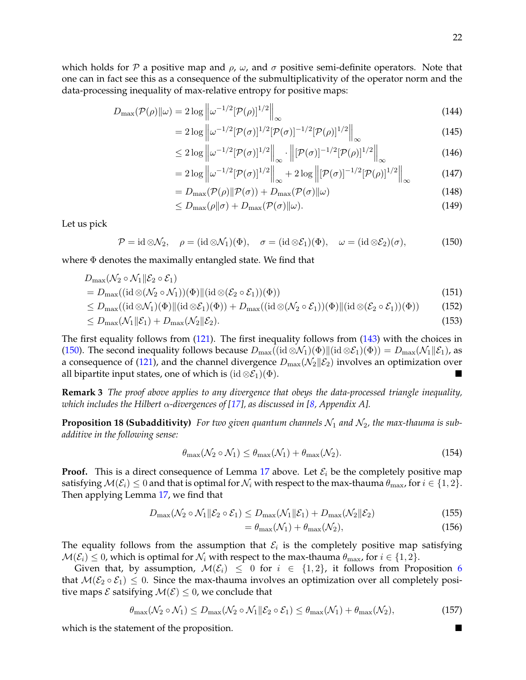which holds for P a positive map and  $\rho$ ,  $\omega$ , and  $\sigma$  positive semi-definite operators. Note that one can in fact see this as a consequence of the submultiplicativity of the operator norm and the data-processing inequality of max-relative entropy for positive maps:

$$
D_{\max}(\mathcal{P}(\rho)\|\omega) = 2\log\left\|\omega^{-1/2}[\mathcal{P}(\rho)]^{1/2}\right\|_{\infty} \tag{144}
$$

$$
= 2\log \left\| \omega^{-1/2} [\mathcal{P}(\sigma)]^{1/2} [\mathcal{P}(\sigma)]^{-1/2} [\mathcal{P}(\rho)]^{1/2} \right\|_{\infty} \tag{145}
$$

$$
\leq 2\log\left\|\omega^{-1/2}[\mathcal{P}(\sigma)]^{1/2}\right\|_{\infty}\cdot\left\|[\mathcal{P}(\sigma)]^{-1/2}[\mathcal{P}(\rho)]^{1/2}\right\|_{\infty} \tag{146}
$$

$$
= 2\log \left\| \omega^{-1/2} [\mathcal{P}(\sigma)]^{1/2} \right\|_{\infty} + 2\log \left\| [\mathcal{P}(\sigma)]^{-1/2} [\mathcal{P}(\rho)]^{1/2} \right\|_{\infty}
$$
(147)

$$
=D_{\max}(\mathcal{P}(\rho)\|\mathcal{P}(\sigma)) + D_{\max}(\mathcal{P}(\sigma)\|\omega)
$$
\n(148)

$$
\leq D_{\max}(\rho \|\sigma) + D_{\max}(\mathcal{P}(\sigma)\|\omega). \tag{149}
$$

Let us pick

<span id="page-21-1"></span>
$$
\mathcal{P} = \mathrm{id} \otimes \mathcal{N}_2, \quad \rho = (\mathrm{id} \otimes \mathcal{N}_1)(\Phi), \quad \sigma = (\mathrm{id} \otimes \mathcal{E}_1)(\Phi), \quad \omega = (\mathrm{id} \otimes \mathcal{E}_2)(\sigma), \tag{150}
$$

where  $\Phi$  denotes the maximally entangled state. We find that

$$
D_{\max}(\mathcal{N}_2\circ\mathcal{N}_1\|\mathcal{E}_2\circ\mathcal{E}_1)
$$

$$
=D_{\max}((\mathrm{id}\otimes(\mathcal{N}_2\circ\mathcal{N}_1))(\Phi)\|(\mathrm{id}\otimes(\mathcal{E}_2\circ\mathcal{E}_1))(\Phi))\tag{151}
$$

$$
\leq D_{\max}((\mathrm{id}\otimes\mathcal{N}_1)(\Phi)\|(\mathrm{id}\otimes\mathcal{E}_1)(\Phi)) + D_{\max}((\mathrm{id}\otimes(\mathcal{N}_2\circ\mathcal{E}_1))(\Phi)\|(\mathrm{id}\otimes(\mathcal{E}_2\circ\mathcal{E}_1))(\Phi))\tag{152}
$$

$$
\leq D_{\max}(\mathcal{N}_1 \| \mathcal{E}_1) + D_{\max}(\mathcal{N}_2 \| \mathcal{E}_2). \tag{153}
$$

The first equality follows from [\(121\)](#page-18-2). The first inequality follows from [\(143\)](#page-20-1) with the choices in [\(150\)](#page-21-1). The second inequality follows because  $D_{\text{max}}((id \otimes \mathcal{N}_1)(\Phi) || (id \otimes \mathcal{E}_1)(\Phi)) = D_{\text{max}}(\mathcal{N}_1 || \mathcal{E}_1)$ , as a consequence of [\(121\)](#page-18-2), and the channel divergence  $D_{\text{max}}(\mathcal{N}_2|\mathcal{E}_2)$  involves an optimization over all bipartite input states, one of which is  $(id \otimes \mathcal{E}_1)(\Phi)$ .

**Remark 3** *The proof above applies to any divergence that obeys the data-processed triangle inequality, which includes the Hilbert* α*-divergences of [\[17\]](#page-40-15), as discussed in [\[8,](#page-39-8) Appendix A].*

<span id="page-21-0"></span>**Proposition 18 (Subadditivity)** For two given quantum channels  $\mathcal{N}_1$  and  $\mathcal{N}_2$ , the max-thauma is sub*additive in the following sense:*

$$
\theta_{\max}(\mathcal{N}_2 \circ \mathcal{N}_1) \le \theta_{\max}(\mathcal{N}_1) + \theta_{\max}(\mathcal{N}_2). \tag{154}
$$

**Proof.** This is a direct consequence of Lemma [17](#page-20-0) above. Let  $\mathcal{E}_i$  be the completely positive map satisfying  $\mathcal{M}(\mathcal{E}_i) \leq 0$  and that is optimal for  $\mathcal{N}_i$  with respect to the max-thauma  $\theta_{\text{max}}$ , for  $i \in \{1, 2\}$ . Then applying Lemma [17,](#page-20-0) we find that

$$
D_{\max}(\mathcal{N}_2 \circ \mathcal{N}_1 \| \mathcal{E}_2 \circ \mathcal{E}_1) \le D_{\max}(\mathcal{N}_1 \| \mathcal{E}_1) + D_{\max}(\mathcal{N}_2 \| \mathcal{E}_2)
$$
\n(155)

$$
=\theta_{\max}(\mathcal{N}_1)+\theta_{\max}(\mathcal{N}_2),\tag{156}
$$

The equality follows from the assumption that  $\mathcal{E}_i$  is the completely positive map satisfying  $\mathcal{M}(\mathcal{E}_i) \leq 0$ , which is optimal for  $\mathcal{N}_i$  with respect to the max-thauma  $\theta_{\text{max}}$ , for  $i \in \{1, 2\}$ .

Given that, by assumption,  $\mathcal{M}(\mathcal{E}_i) \leq 0$  for  $i \in \{1,2\}$ , it follows from Proposition [6](#page-12-1) that  $M(\mathcal{E}_2 \circ \mathcal{E}_1) \leq 0$ . Since the max-thauma involves an optimization over all completely positive maps  $\mathcal E$  satsifying  $\mathcal M(\mathcal E)\leq 0$ , we conclude that

$$
\theta_{\max}(\mathcal{N}_2 \circ \mathcal{N}_1) \le D_{\max}(\mathcal{N}_2 \circ \mathcal{N}_1 \| \mathcal{E}_2 \circ \mathcal{E}_1) \le \theta_{\max}(\mathcal{N}_1) + \theta_{\max}(\mathcal{N}_2),\tag{157}
$$

<span id="page-21-2"></span>which is the statement of the proposition.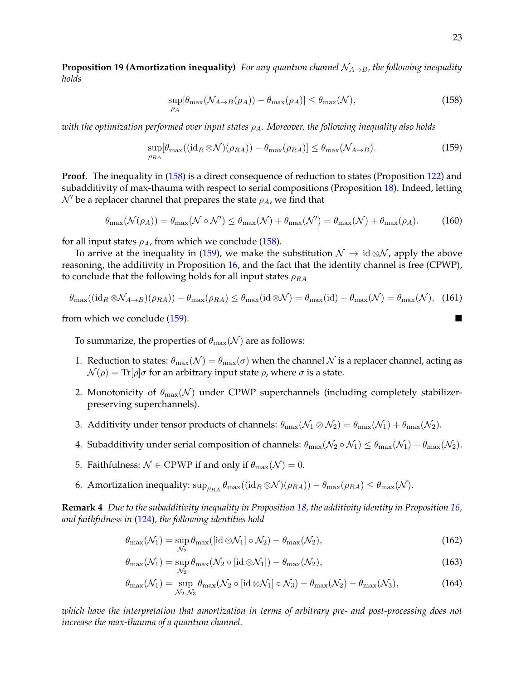**Proposition 19 (Amortization inequality)** *For any quantum channel*  $N_{A\rightarrow B}$ *, the following inequality holds*

<span id="page-22-1"></span><span id="page-22-0"></span>
$$
\sup_{\rho_A} [\theta_{\max}(\mathcal{N}_{A \to B}(\rho_A)) - \theta_{\max}(\rho_A)] \le \theta_{\max}(\mathcal{N}), \tag{158}
$$

*with the optimization performed over input states*  $ρ_A$ *. Moreover, the following inequality also holds* 

$$
\sup_{\rho_{RA}}[\theta_{\max}((\mathrm{id}_R \otimes \mathcal{N})(\rho_{RA})) - \theta_{\max}(\rho_{RA})] \le \theta_{\max}(\mathcal{N}_{A \to B}). \tag{159}
$$

**Proof.** The inequality in [\(158\)](#page-22-0) is a direct consequence of reduction to states (Proposition [122\)](#page-18-5) and subadditivity of max-thauma with respect to serial compositions (Proposition [18\)](#page-21-0). Indeed, letting  $\mathcal{N}'$  be a replacer channel that prepares the state  $\rho_A$ , we find that

$$
\theta_{\max}(\mathcal{N}(\rho_A)) = \theta_{\max}(\mathcal{N} \circ \mathcal{N}') \le \theta_{\max}(\mathcal{N}) + \theta_{\max}(\mathcal{N}') = \theta_{\max}(\mathcal{N}) + \theta_{\max}(\rho_A). \tag{160}
$$

for all input states  $\rho_A$ , from which we conclude [\(158\)](#page-22-0).

To arrive at the inequality in [\(159\)](#page-22-1), we make the substitution  $\mathcal{N} \to id \otimes \mathcal{N}$ , apply the above reasoning, the additivity in Proposition [16,](#page-20-2) and the fact that the identity channel is free (CPWP), to conclude that the following holds for all input states  $\rho_{RA}$ 

$$
\theta_{\max}((\mathrm{id}_R \otimes \mathcal{N}_{A \to B})(\rho_{RA})) - \theta_{\max}(\rho_{RA}) \le \theta_{\max}(\mathrm{id} \otimes \mathcal{N}) = \theta_{\max}(\mathrm{id}) + \theta_{\max}(\mathcal{N}) = \theta_{\max}(\mathcal{N}), \tag{161}
$$

from which we conclude [\(159\)](#page-22-1).

To summarize, the properties of  $\theta_{\text{max}}(\mathcal{N})$  are as follows:

- 1. Reduction to states:  $\theta_{\text{max}}(\mathcal{N}) = \theta_{\text{max}}(\sigma)$  when the channel  $\mathcal N$  is a replacer channel, acting as  $\mathcal{N}(\rho) = \text{Tr}[\rho]\sigma$  for an arbitrary input state  $\rho$ , where  $\sigma$  is a state.
- 2. Monotonicity of  $\theta_{\text{max}}(\mathcal{N})$  under CPWP superchannels (including completely stabilizerpreserving superchannels).
- 3. Additivity under tensor products of channels:  $\theta_{\text{max}}(\mathcal{N}_1 \otimes \mathcal{N}_2) = \theta_{\text{max}}(\mathcal{N}_1) + \theta_{\text{max}}(\mathcal{N}_2)$ .
- 4. Subadditivity under serial composition of channels:  $\theta_{\text{max}}(\mathcal{N}_2 \circ \mathcal{N}_1) \leq \theta_{\text{max}}(\mathcal{N}_1) + \theta_{\text{max}}(\mathcal{N}_2)$ .
- 5. Faithfulness:  $\mathcal{N} \in \text{CPWP}$  if and only if  $\theta_{\text{max}}(\mathcal{N}) = 0$ .
- 6. Amortization inequality:  $\sup_{\rho_{RA}} \theta_{\text{max}}((id_R \otimes \mathcal{N})(\rho_{RA})) \theta_{\text{max}}(\rho_{RA}) \leq \theta_{\text{max}}(\mathcal{N}).$

**Remark 4** *Due to the subadditivity inequality in Proposition [18,](#page-21-0) the additivity identity in Proposition [16,](#page-20-2) and faithfulness in* [\(124\)](#page-18-6)*, the following identities hold*

$$
\theta_{\max}(\mathcal{N}_1) = \sup_{\mathcal{N}_2} \theta_{\max}([\text{id} \otimes \mathcal{N}_1] \circ \mathcal{N}_2) - \theta_{\max}(\mathcal{N}_2),\tag{162}
$$

$$
\theta_{\max}(\mathcal{N}_1) = \sup_{\mathcal{N}_2} \theta_{\max}(\mathcal{N}_2 \circ [\text{id} \otimes \mathcal{N}_1]) - \theta_{\max}(\mathcal{N}_2),\tag{163}
$$

$$
\theta_{\max}(\mathcal{N}_1) = \sup_{\mathcal{N}_2, \mathcal{N}_3} \theta_{\max}(\mathcal{N}_2 \circ [\mathrm{id} \otimes \mathcal{N}_1] \circ \mathcal{N}_3) - \theta_{\max}(\mathcal{N}_2) - \theta_{\max}(\mathcal{N}_3),\tag{164}
$$

*which have the interpretation that amortization in terms of arbitrary pre- and post-processing does not increase the max-thauma of a quantum channel.*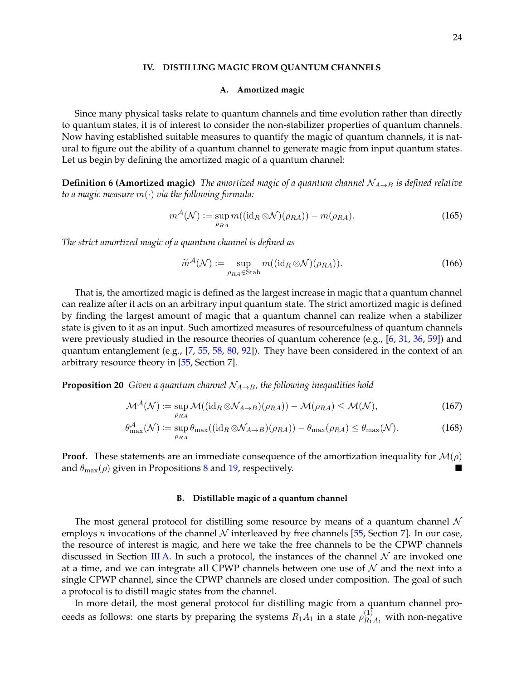#### <span id="page-23-0"></span>**IV. DISTILLING MAGIC FROM QUANTUM CHANNELS**

#### <span id="page-23-1"></span>**A. Amortized magic**

Since many physical tasks relate to quantum channels and time evolution rather than directly to quantum states, it is of interest to consider the non-stabilizer properties of quantum channels. Now having established suitable measures to quantify the magic of quantum channels, it is natural to figure out the ability of a quantum channel to generate magic from input quantum states. Let us begin by defining the amortized magic of a quantum channel:

**Definition 6 (Amortized magic)** *The amortized magic of a quantum channel*  $\mathcal{N}_{A\rightarrow B}$  *is defined relative to a magic measure* m(·) *via the following formula:*

$$
m^{\mathcal{A}}(\mathcal{N}) := \sup_{\rho_{RA}} m((\mathrm{id}_R \otimes \mathcal{N})(\rho_{RA})) - m(\rho_{RA}).
$$
\n(165)

*The strict amortized magic of a quantum channel is defined as*

$$
\widetilde{m}^{\mathcal{A}}(\mathcal{N}) := \sup_{\rho_{RA} \in \text{Stab}} m((\mathrm{id}_R \otimes \mathcal{N})(\rho_{RA})).
$$
\n(166)

That is, the amortized magic is defined as the largest increase in magic that a quantum channel can realize after it acts on an arbitrary input quantum state. The strict amortized magic is defined by finding the largest amount of magic that a quantum channel can realize when a stabilizer state is given to it as an input. Such amortized measures of resourcefulness of quantum channels were previously studied in the resource theories of quantum coherence (e.g., [\[6,](#page-39-9) [31,](#page-40-17) [36,](#page-40-19) [59\]](#page-41-17)) and quantum entanglement (e.g.,  $[7, 55, 58, 80, 92]$  $[7, 55, 58, 80, 92]$  $[7, 55, 58, 80, 92]$  $[7, 55, 58, 80, 92]$  $[7, 55, 58, 80, 92]$  $[7, 55, 58, 80, 92]$  $[7, 55, 58, 80, 92]$  $[7, 55, 58, 80, 92]$  $[7, 55, 58, 80, 92]$ ). They have been considered in the context of an arbitrary resource theory in [\[55,](#page-41-18) Section 7].

**Proposition 20** *Given a quantum channel*  $N_{A\rightarrow B}$ *, the following inequalities hold* 

$$
\mathcal{M}^{\mathcal{A}}(\mathcal{N}) \coloneqq \sup_{\rho_{RA}} \mathcal{M}((\mathrm{id}_{R} \otimes \mathcal{N}_{A \to B})(\rho_{RA})) - \mathcal{M}(\rho_{RA}) \le \mathcal{M}(\mathcal{N}), \tag{167}
$$

$$
\theta_{\max}^{\mathcal{A}}(\mathcal{N}) \coloneqq \sup_{\rho_{RA}} \theta_{\max}((\mathrm{id}_R \otimes \mathcal{N}_{A \to B})(\rho_{RA})) - \theta_{\max}(\rho_{RA}) \le \theta_{\max}(\mathcal{N}). \tag{168}
$$

**Proof.** These statements are an immediate consequence of the amortization inequality for  $\mathcal{M}(\rho)$ and  $\theta_{\text{max}}(\rho)$  given in Propositions [8](#page-13-0) and [19,](#page-21-2) respectively.

#### <span id="page-23-2"></span>**B. Distillable magic of a quantum channel**

The most general protocol for distilling some resource by means of a quantum channel  $\mathcal N$ employs *n* invocations of the channel  $N$  interleaved by free channels [\[55,](#page-41-18) Section 7]. In our case, the resource of interest is magic, and here we take the free channels to be the CPWP channels discussed in Section [III A.](#page-6-3) In such a protocol, the instances of the channel  $\mathcal N$  are invoked one at a time, and we can integrate all CPWP channels between one use of  $N$  and the next into a single CPWP channel, since the CPWP channels are closed under composition. The goal of such a protocol is to distill magic states from the channel.

In more detail, the most general protocol for distilling magic from a quantum channel proceeds as follows: one starts by preparing the systems  $R_1A_1$  in a state  $\rho_{R_1A_1}^{(1)}$  with non-negative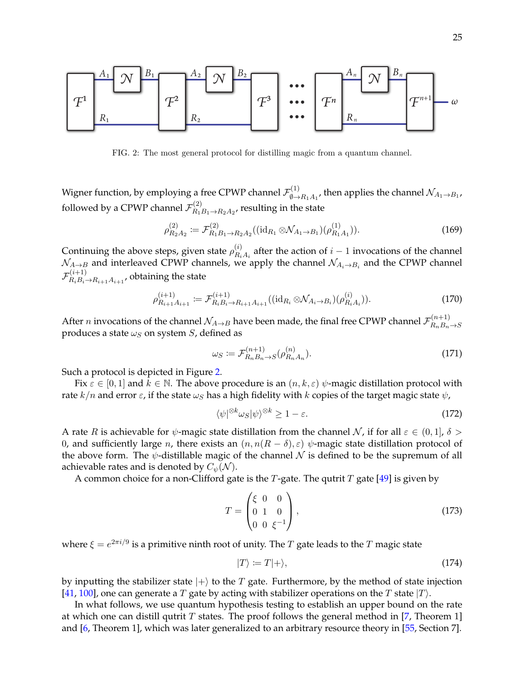

<span id="page-24-0"></span>FIG. 2: The most general protocol for distilling magic from a quantum channel.

Wigner function, by employing a free CPWP channel  $\mathcal{F}_{\emptyset}^{(1)}$  $\chi^{(1)}_{\emptyset \rightarrow R_1 A_1}$ , then applies the channel  $\mathcal{N}_{A_1 \rightarrow B_1 A_2}$ followed by a CPWP channel  $\mathcal{F}_{R_1}^{(2)}$  $R_1R_1 \rightarrow R_2A_2$ , resulting in the state

$$
\rho_{R_2A_2}^{(2)} := \mathcal{F}_{R_1B_1 \to R_2A_2}^{(2)}((\text{id}_{R_1} \otimes \mathcal{N}_{A_1 \to B_1})(\rho_{R_1A_1}^{(1)})).
$$
\n(169)

Continuing the above steps, given state  $\rho_{B_i}^{(i)}$  $R_{i}^{(i)}$  after the action of  $i-1$  invocations of the channel  $\mathcal{N}_{A\rightarrow B}$  and interleaved CPWP channels, we apply the channel  $\mathcal{N}_{A_i\rightarrow B_i}$  and the CPWP channel  ${\cal F}^{(i+1)}_{B+B+}$  $R_i R_i \rightarrow R_{i+1} A_{i+1}$ , obtaining the state

$$
\rho_{R_{i+1}A_{i+1}}^{(i+1)} := \mathcal{F}_{R_iB_i \to R_{i+1}A_{i+1}}^{(i+1)}((\mathrm{id}_{R_i} \otimes \mathcal{N}_{A_i \to B_i})(\rho_{R_iA_i}^{(i)})). \tag{170}
$$

After *n* invocations of the channel  $\mathcal{N}_{A\to B}$  have been made, the final free CPWP channel  $\mathcal{F}^{(n+1)}_{B_nB_n}$  $R_nB_n \rightarrow S$ produces a state  $\omega_S$  on system S, defined as

$$
\omega_S \coloneqq \mathcal{F}_{R_n B_n \to S}^{(n+1)}(\rho_{R_n A_n}^{(n)}). \tag{171}
$$

Such a protocol is depicted in Figure [2.](#page-24-0)

Fix  $\varepsilon \in [0,1]$  and  $k \in \mathbb{N}$ . The above procedure is an  $(n, k, \varepsilon)$   $\psi$ -magic distillation protocol with rate  $k/n$  and error  $\varepsilon$ , if the state  $\omega_S$  has a high fidelity with k copies of the target magic state  $\psi$ ,

$$
\langle \psi |^{\otimes k} \omega_S | \psi \rangle^{\otimes k} \ge 1 - \varepsilon. \tag{172}
$$

A rate R is achievable for  $\psi$ -magic state distillation from the channel N, if for all  $\varepsilon \in (0,1], \delta > 0$ 0, and sufficiently large *n*, there exists an  $(n, n(R - \delta), \varepsilon)$   $\psi$ -magic state distillation protocol of the above form. The  $\psi$ -distillable magic of the channel N is defined to be the supremum of all achievable rates and is denoted by  $C_{\psi}(\mathcal{N})$ .

A common choice for a non-Clifford gate is the T-gate. The qutrit T gate [\[49\]](#page-41-20) is given by

$$
T = \begin{pmatrix} \xi & 0 & 0 \\ 0 & 1 & 0 \\ 0 & 0 & \xi^{-1} \end{pmatrix},
$$
\n(173)

where  $\xi = e^{2\pi i/9}$  is a primitive ninth root of unity. The  $T$  gate leads to the  $T$  magic state

$$
|T\rangle := T|+\rangle,\tag{174}
$$

by inputting the stabilizer state  $|+\rangle$  to the T gate. Furthermore, by the method of state injection [\[41,](#page-41-21) [100\]](#page-43-0), one can generate a T gate by acting with stabilizer operations on the T state  $|T\rangle$ .

In what follows, we use quantum hypothesis testing to establish an upper bound on the rate at which one can distill qutrit T states. The proof follows the general method in [\[7,](#page-39-10) Theorem 1] and [\[6,](#page-39-9) Theorem 1], which was later generalized to an arbitrary resource theory in [\[55,](#page-41-18) Section 7].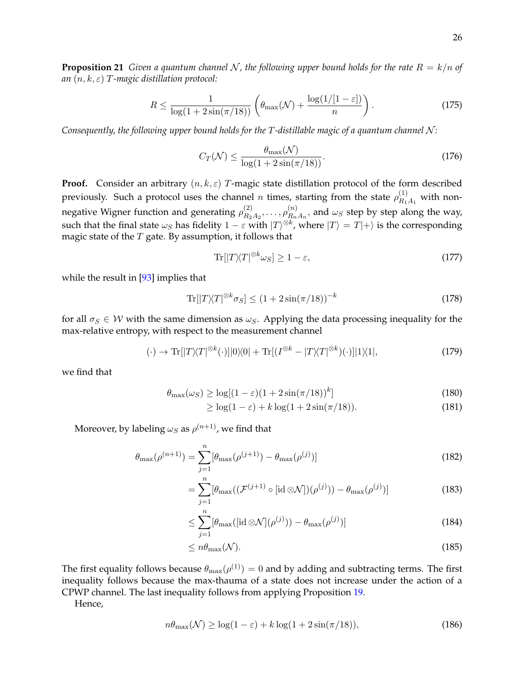**Proposition 21** *Given a quantum channel N, the following upper bound holds for the rate*  $R = k/n$  *of an* (n, k, ε) T*-magic distillation protocol:*

$$
R \le \frac{1}{\log(1 + 2\sin(\pi/18))} \left(\theta_{\max}(\mathcal{N}) + \frac{\log(1/[1-\varepsilon])}{n}\right). \tag{175}
$$

*Consequently, the following upper bound holds for the T-distillable magic of a quantum channel N:* 

$$
C_T(\mathcal{N}) \le \frac{\theta_{\text{max}}(\mathcal{N})}{\log(1 + 2\sin(\pi/18))}.
$$
\n(176)

**Proof.** Consider an arbitrary  $(n, k, \varepsilon)$  T-magic state distillation protocol of the form described previously. Such a protocol uses the channel  $n$  times, starting from the state  $\rho_{R_1A_1}^{(1)}$  with nonnegative Wigner function and generating  $\rho_{R_2}^{(2)}$  $\frac{(2)}{R_2 A_2}, \ldots, \rho_{R_n}^{(n)}$  $R_{n}^{(n)}$ , and  $\omega_{S}$  step by step along the way, such that the final state  $\omega_S$  has fidelity  $1-\varepsilon$  with  $|T\rangle^{\otimes k}$ , where  $|T\rangle=T|+\rangle$  is the corresponding magic state of the  $T$  gate. By assumption, it follows that

$$
\operatorname{Tr}[|T\rangle\langle T|^{\otimes k}\omega_{S}]\geq 1-\varepsilon,\tag{177}
$$

while the result in [\[93\]](#page-43-1) implies that

$$
\operatorname{Tr}[|T\rangle\langle T|^{\otimes k}\sigma_{S}] \le (1 + 2\sin(\pi/18))^{-k} \tag{178}
$$

for all  $\sigma_S \in W$  with the same dimension as  $\omega_S$ . Applying the data processing inequality for the max-relative entropy, with respect to the measurement channel

$$
(\cdot) \to \text{Tr}[|T\rangle\langle T|^{\otimes k}(\cdot)]|0\rangle\langle 0| + \text{Tr}[(I^{\otimes k} - |T\rangle\langle T|^{\otimes k})(\cdot)]|1\rangle\langle 1|,\tag{179}
$$

we find that

$$
\theta_{\max}(\omega_S) \ge \log[(1-\varepsilon)(1+2\sin(\pi/18))^k] \tag{180}
$$

$$
\geq \log(1 - \varepsilon) + k \log(1 + 2\sin(\pi/18)).\tag{181}
$$

Moreover, by labeling  $\omega_S$  as  $\rho^{(n+1)}$ , we find that

$$
\theta_{\max}(\rho^{(n+1)}) = \sum_{j=1}^{n} [\theta_{\max}(\rho^{(j+1)}) - \theta_{\max}(\rho^{(j)})]
$$
\n(182)

$$
= \sum_{j=1}^{n} [\theta_{\max}((\mathcal{F}^{(j+1)} \circ [\mathrm{id} \otimes \mathcal{N}])(\rho^{(j)})) - \theta_{\max}(\rho^{(j)})] \tag{183}
$$

$$
\leq \sum_{j=1}^{n} [\theta_{\max}([\text{id}\otimes\mathcal{N}](\rho^{(j)})) - \theta_{\max}(\rho^{(j)})] \tag{184}
$$

$$
\leq n\theta_{\max}(\mathcal{N}).\tag{185}
$$

The first equality follows because  $\theta_{\max}(\rho^{(1)})=0$  and by adding and subtracting terms. The first inequality follows because the max-thauma of a state does not increase under the action of a CPWP channel. The last inequality follows from applying Proposition [19.](#page-21-2)

Hence,

$$
n\theta_{\max}(\mathcal{N}) \ge \log(1-\varepsilon) + k\log(1+2\sin(\pi/18)),\tag{186}
$$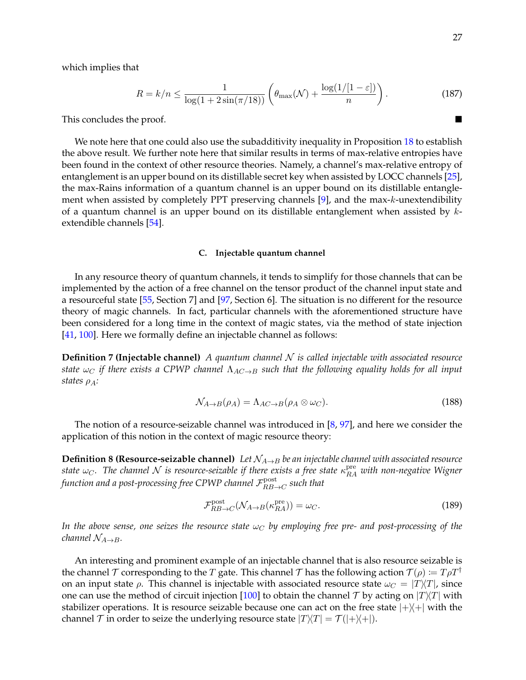which implies that

$$
R = k/n \le \frac{1}{\log(1 + 2\sin(\pi/18))} \left(\theta_{\max}(\mathcal{N}) + \frac{\log(1/[1-\varepsilon])}{n}\right). \tag{187}
$$

This concludes the proof.

We note here that one could also use the subadditivity inequality in Proposition [18](#page-21-0) to establish the above result. We further note here that similar results in terms of max-relative entropies have been found in the context of other resource theories. Namely, a channel's max-relative entropy of entanglement is an upper bound on its distillable secret key when assisted by LOCC channels [\[25\]](#page-40-18), the max-Rains information of a quantum channel is an upper bound on its distillable entangle-ment when assisted by completely PPT preserving channels [\[9\]](#page-39-11), and the max-k-unextendibility of a quantum channel is an upper bound on its distillable entanglement when assisted by  $k$ extendible channels [\[54\]](#page-41-22).

#### <span id="page-26-0"></span>**C. Injectable quantum channel**

In any resource theory of quantum channels, it tends to simplify for those channels that can be implemented by the action of a free channel on the tensor product of the channel input state and a resourceful state [\[55,](#page-41-18) Section 7] and [\[97,](#page-43-6) Section 6]. The situation is no different for the resource theory of magic channels. In fact, particular channels with the aforementioned structure have been considered for a long time in the context of magic states, via the method of state injection [\[41,](#page-41-21) [100\]](#page-43-0). Here we formally define an injectable channel as follows:

**Definition 7 (Injectable channel)** *A quantum channel* N *is called injectable with associated resource state*  $\omega_C$  *if there exists a CPWP channel*  $\Lambda_{AC\rightarrow B}$  *such that the following equality holds for all input states* ρA*:*

$$
\mathcal{N}_{A \to B}(\rho_A) = \Lambda_{AC \to B}(\rho_A \otimes \omega_C). \tag{188}
$$

The notion of a resource-seizable channel was introduced in  $[8, 97]$  $[8, 97]$  $[8, 97]$ , and here we consider the application of this notion in the context of magic resource theory:

**Definition 8 (Resource-seizable channel)** *Let*  $\mathcal{N}_{A\rightarrow B}$  *be an injectable channel with associated resource*  $s$ tate  $\omega_C$ . The channel  ${\cal N}$  is resource-seizable if there exists a free state  $\kappa_{RA}^{\rm pre}$  with non-negative Wigner function and a post-processing free CPWP channel  $\mathcal{F}_{RB-}^{\text{post}}$  $R_{BB\rightarrow C}^{post}$  such that

$$
\mathcal{F}_{RB \to C}^{post}(\mathcal{N}_{A \to B}(\kappa_{RA}^{pre})) = \omega_C.
$$
\n(189)

*In the above sense, one seizes the resource state*  $\omega_C$  *by employing free pre- and post-processing of the channel*  $\mathcal{N}_{A\rightarrow B}$ *.* 

An interesting and prominent example of an injectable channel that is also resource seizable is the channel T corresponding to the T gate. This channel T has the following action  $T(\rho) := T \rho T^{\dagger}$ on an input state  $\rho$ . This channel is injectable with associated resource state  $\omega_C = |T\rangle\langle T|$ , since one can use the method of circuit injection [\[100\]](#page-43-0) to obtain the channel T by acting on  $|T\rangle\langle T|$  with stabilizer operations. It is resource seizable because one can act on the free state  $|+\rangle\langle+|$  with the channel  $\mathcal T$  in order to seize the underlying resource state  $|T|/\mathcal T| = \mathcal T(|+\rangle\langle +|).$ 

$$
\overline{a}
$$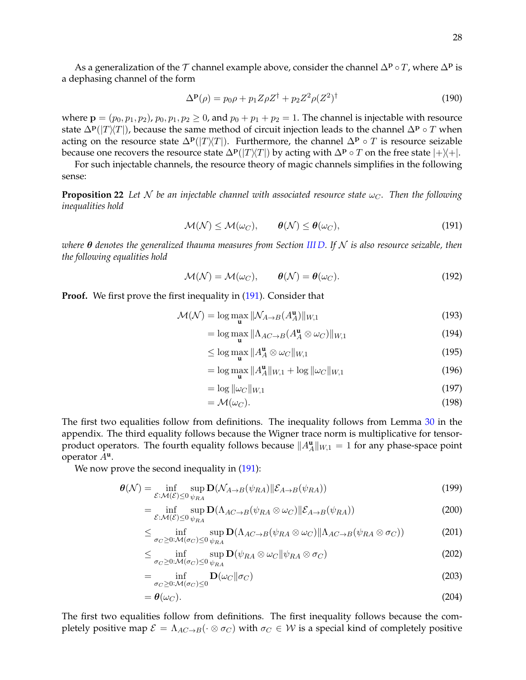As a generalization of the T channel example above, consider the channel  $\Delta^{\mathbf{p}} \circ T$ , where  $\Delta^{\mathbf{p}}$  is a dephasing channel of the form

$$
\Delta^{\mathbf{p}}(\rho) = p_0 \rho + p_1 Z \rho Z^{\dagger} + p_2 Z^2 \rho (Z^2)^{\dagger}
$$
 (190)

where  $p = (p_0, p_1, p_2)$ ,  $p_0, p_1, p_2 \ge 0$ , and  $p_0 + p_1 + p_2 = 1$ . The channel is injectable with resource state  $\Delta^{\bf p}(|T\rangle\langle T|)$ , because the same method of circuit injection leads to the channel  $\Delta^{\bf p} \circ T$  when acting on the resource state  $\Delta^{\bf p}(|T\rangle\langle T|)$ . Furthermore, the channel  $\Delta^{\bf p} \circ T$  is resource seizable because one recovers the resource state  $\Delta P(|T|/T)|$  by acting with  $\Delta P \circ T$  on the free state  $|+\rangle +|$ .

<span id="page-27-2"></span>For such injectable channels, the resource theory of magic channels simplifies in the following sense:

**Proposition 22** Let N be an injectable channel with associated resource state  $\omega_C$ . Then the following *inequalities hold*

<span id="page-27-0"></span>
$$
\mathcal{M}(\mathcal{N}) \le \mathcal{M}(\omega_C), \qquad \boldsymbol{\theta}(\mathcal{N}) \le \boldsymbol{\theta}(\omega_C), \tag{191}
$$

*where* θ *denotes the generalized thauma measures from Section [III D.](#page-14-0) If* N *is also resource seizable, then the following equalities hold*

<span id="page-27-1"></span>
$$
\mathcal{M}(\mathcal{N}) = \mathcal{M}(\omega_C), \qquad \boldsymbol{\theta}(\mathcal{N}) = \boldsymbol{\theta}(\omega_C). \tag{192}
$$

**Proof.** We first prove the first inequality in [\(191\)](#page-27-0). Consider that

$$
\mathcal{M}(\mathcal{N}) = \log \max_{\mathbf{u}} \|\mathcal{N}_{A \to B}(A_A^{\mathbf{u}})\|_{W,1} \tag{193}
$$

$$
= \log \max_{\mathbf{u}} \|\Lambda_{AC \to B}(A_A^{\mathbf{u}} \otimes \omega_C)\|_{W,1} \tag{194}
$$

$$
\leq \log \max_{\mathbf{u}} \|A_A^{\mathbf{u}} \otimes \omega_C\|_{W,1} \tag{195}
$$

$$
= \log \max_{\mathbf{u}} \|A_A^{\mathbf{u}}\|_{W,1} + \log \|\omega_C\|_{W,1}
$$
\n(196)

$$
= \log \|\omega_C\|_{W,1} \tag{197}
$$

$$
= \mathcal{M}(\omega_C). \tag{198}
$$

The first two equalities follow from definitions. The inequality follows from Lemma [30](#page-38-5) in the appendix. The third equality follows because the Wigner trace norm is multiplicative for tensorproduct operators. The fourth equality follows because  $||A_\mathcal{A}^{\mathbf{u}}||_{W,1} = 1$  for any phase-space point operator A**<sup>u</sup>** .

We now prove the second inequality in  $(191)$ :

$$
\boldsymbol{\theta}(\mathcal{N}) = \inf_{\mathcal{E}: \mathcal{M}(\mathcal{E}) \le 0} \sup_{\psi_{RA}} \mathbf{D}(\mathcal{N}_{A \to B}(\psi_{RA}) \| \mathcal{E}_{A \to B}(\psi_{RA})) \tag{199}
$$

$$
= \inf_{\mathcal{E}: \mathcal{M}(\mathcal{E}) \leq 0} \sup_{\psi_{RA}} \mathbf{D}(\Lambda_{AC \to B}(\psi_{RA} \otimes \omega_C) \| \mathcal{E}_{A \to B}(\psi_{RA})) \tag{200}
$$

$$
\leq \inf_{\sigma_C \geq 0: \mathcal{M}(\sigma_C) \leq 0} \sup_{\psi_{RA}} \mathbf{D}(\Lambda_{AC \to B}(\psi_{RA} \otimes \omega_C) \| \Lambda_{AC \to B}(\psi_{RA} \otimes \sigma_C))
$$
(201)

$$
\leq \inf_{\sigma_C \geq 0: \mathcal{M}(\sigma_C) \leq 0} \sup_{\psi_{RA}} \mathbf{D}(\psi_{RA} \otimes \omega_C || \psi_{RA} \otimes \sigma_C) \tag{202}
$$

$$
= \inf_{\sigma_C \geq 0: \mathcal{M}(\sigma_C) \leq 0} \mathbf{D}(\omega_C || \sigma_C)
$$
\n(203)

$$
=\boldsymbol{\theta}(\omega_C). \tag{204}
$$

The first two equalities follow from definitions. The first inequality follows because the completely positive map  $\mathcal{E} = \Lambda_{AC\to B}(\cdot \otimes \sigma_C)$  with  $\sigma_C \in \mathcal{W}$  is a special kind of completely positive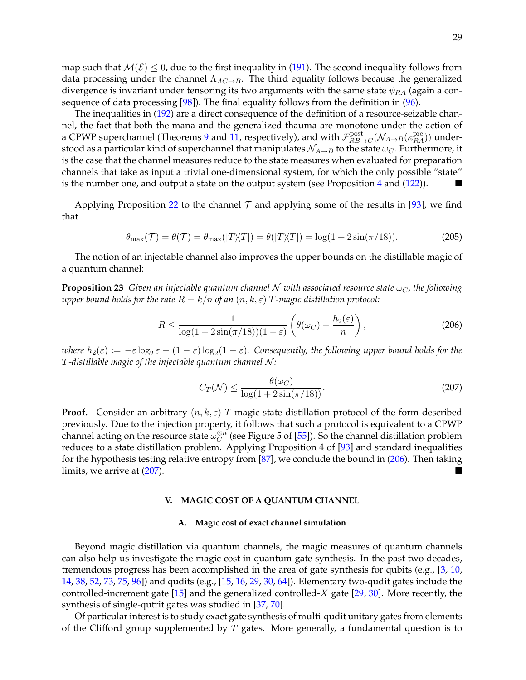map such that  $M(\mathcal{E}) \leq 0$ , due to the first inequality in [\(191\)](#page-27-0). The second inequality follows from data processing under the channel  $\Lambda_{AC\rightarrow B}$ . The third equality follows because the generalized divergence is invariant under tensoring its two arguments with the same state  $\psi_{RA}$  (again a consequence of data processing [\[98\]](#page-43-4)). The final equality follows from the definition in [\(96\)](#page-15-3).

The inequalities in [\(192\)](#page-27-1) are a direct consequence of the definition of a resource-seizable channel, the fact that both the mana and the generalized thauma are monotone under the action of a CPWP superchannel (Theorems [9](#page-13-1) and [11,](#page-16-0) respectively), and with  $\mathcal{F}_{RB-}^{\text{post}}$  $R_{B\to C}^{\rm post}({\cal N}_{A\to B}(\kappa_{RA}^{\rm pre}))$  understood as a particular kind of superchannel that manipulates  $\mathcal{N}_{A\rightarrow B}$  to the state  $\omega_C$ . Furthermore, it is the case that the channel measures reduce to the state measures when evaluated for preparation channels that take as input a trivial one-dimensional system, for which the only possible "state" is the number one, and output a state on the output system (see Proposition  $4$  and  $(122)$ ).

Applying Proposition [22](#page-27-2) to the channel  $\mathcal T$  and applying some of the results in [\[93\]](#page-43-1), we find that

$$
\theta_{\max}(\mathcal{T}) = \theta(\mathcal{T}) = \theta_{\max}(|T|\angle T|) = \theta(|T|\angle T|) = \log(1 + 2\sin(\pi/18)).\tag{205}
$$

The notion of an injectable channel also improves the upper bounds on the distillable magic of a quantum channel:

**Proposition 23** *Given an injectable quantum channel* N *with associated resource state*  $\omega_C$ , the following *upper bound holds for the rate*  $R = k/n$  *of an*  $(n, k, \varepsilon)$  *T*-magic distillation protocol:

$$
R \le \frac{1}{\log(1 + 2\sin(\pi/18))(1 - \varepsilon)} \left(\theta(\omega_C) + \frac{h_2(\varepsilon)}{n}\right),\tag{206}
$$

where  $h_2(\varepsilon) \coloneqq -\varepsilon \log_2\varepsilon - (1-\varepsilon)\log_2(1-\varepsilon)$ . Consequently, the following upper bound holds for the T*-distillable magic of the injectable quantum channel* N *:*

<span id="page-28-3"></span><span id="page-28-2"></span>
$$
C_T(\mathcal{N}) \le \frac{\theta(\omega_C)}{\log(1 + 2\sin(\pi/18))}.\tag{207}
$$

**Proof.** Consider an arbitrary  $(n, k, \varepsilon)$  T-magic state distillation protocol of the form described previously. Due to the injection property, it follows that such a protocol is equivalent to a CPWP channel acting on the resource state  $\omega_C^{\otimes n}$  $\stackrel{\otimes n}{C}$  (see Figure 5 of [\[55\]](#page-41-18)). So the channel distillation problem reduces to a state distillation problem. Applying Proposition 4 of [\[93\]](#page-43-1) and standard inequalities for the hypothesis testing relative entropy from [\[87\]](#page-42-18), we conclude the bound in [\(206\)](#page-28-2). Then taking limits, we arrive at  $(207)$ .

#### <span id="page-28-0"></span>**V. MAGIC COST OF A QUANTUM CHANNEL**

#### <span id="page-28-1"></span>**A. Magic cost of exact channel simulation**

Beyond magic distillation via quantum channels, the magic measures of quantum channels can also help us investigate the magic cost in quantum gate synthesis. In the past two decades, tremendous progress has been accomplished in the area of gate synthesis for qubits (e.g., [\[3,](#page-39-12) [10,](#page-39-13) [14,](#page-39-14) [38,](#page-40-20) [52,](#page-41-23) [73,](#page-42-19) [75,](#page-42-20) [96\]](#page-43-7)) and qudits (e.g., [\[15,](#page-40-21) [16,](#page-40-22) [29,](#page-40-23) [30,](#page-40-24) [64\]](#page-41-24)). Elementary two-qudit gates include the controlled-increment gate [\[15\]](#page-40-21) and the generalized controlled- $X$  gate [\[29,](#page-40-23) [30\]](#page-40-24). More recently, the synthesis of single-qutrit gates was studied in [\[37,](#page-40-25) [70\]](#page-42-21).

Of particular interest is to study exact gate synthesis of multi-qudit unitary gates from elements of the Clifford group supplemented by  $T$  gates. More generally, a fundamental question is to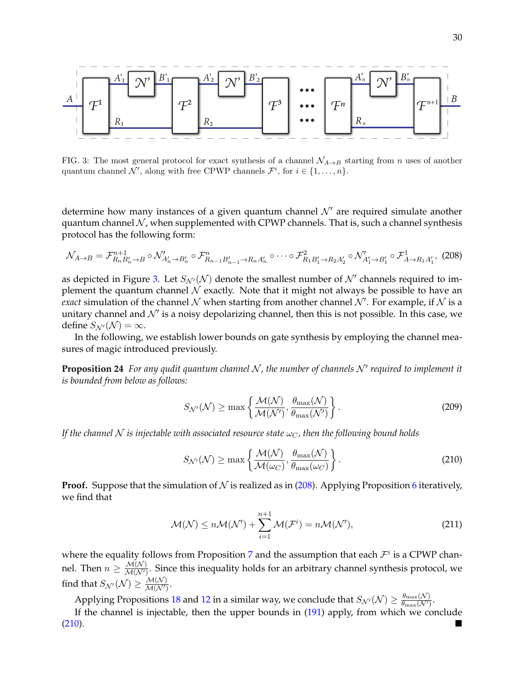

<span id="page-29-0"></span>FIG. 3: The most general protocol for exact synthesis of a channel  $\mathcal{N}_{A\rightarrow B}$  starting from n uses of another quantum channel  $\mathcal{N}'$ , along with free CPWP channels  $\mathcal{F}^i$ , for  $i \in \{1, \ldots, n\}$ .

determine how many instances of a given quantum channel  $\mathcal{N}'$  are required simulate another quantum channel  $N$ , when supplemented with CPWP channels. That is, such a channel synthesis protocol has the following form:

<span id="page-29-1"></span>
$$
\mathcal{N}_{A\to B} = \mathcal{F}_{R_n B'_n \to B}^{n+1} \circ \mathcal{N}_{A'_n \to B'_n}^{\prime} \circ \mathcal{F}_{R_{n-1} B'_{n-1} \to R_n A'_n}^{n} \circ \cdots \circ \mathcal{F}_{R_1 B'_1 \to R_2 A'_2}^{2} \circ \mathcal{N}_{A'_1 \to B'_1}^{\prime} \circ \mathcal{F}_{A \to R_1 A'_1}^{1},
$$
 (208)

as depicted in Figure [3.](#page-29-0) Let  $S_{\mathcal{N}'}(\mathcal{N})$  denote the smallest number of  $\mathcal{N}'$  channels required to implement the quantum channel  $\mathcal N$  exactly. Note that it might not always be possible to have an *exact* simulation of the channel  $N$  when starting from another channel  $N'$ . For example, if  $N$  is a unitary channel and  $\mathcal{N}'$  is a noisy depolarizing channel, then this is not possible. In this case, we define  $S_{\mathcal{N}'}(\mathcal{N}) = \infty$ .

In the following, we establish lower bounds on gate synthesis by employing the channel measures of magic introduced previously.

**Proposition 24** For any qudit quantum channel N, the number of channels N' required to implement it *is bounded from below as follows:*

<span id="page-29-3"></span>
$$
S_{\mathcal{N}'}(\mathcal{N}) \ge \max\left\{\frac{\mathcal{M}(\mathcal{N})}{\mathcal{M}(\mathcal{N}')} , \frac{\theta_{\max}(\mathcal{N})}{\theta_{\max}(\mathcal{N}')} \right\}.
$$
\n(209)

*If the channel* N *is injectable with associated resource state*  $\omega_C$ , then the following bound holds

<span id="page-29-2"></span>
$$
S_{\mathcal{N}'}(\mathcal{N}) \ge \max\left\{\frac{\mathcal{M}(\mathcal{N})}{\mathcal{M}(\omega_C)}, \frac{\theta_{\max}(\mathcal{N})}{\theta_{\max}(\omega_C)}\right\}.
$$
\n(210)

**Proof.** Suppose that the simulation of  $N$  is realized as in [\(208\)](#page-29-1). Applying Proposition [6](#page-12-1) iteratively, we find that

$$
\mathcal{M}(\mathcal{N}) \le n\mathcal{M}(\mathcal{N}') + \sum_{i=1}^{n+1} \mathcal{M}(\mathcal{F}^i) = n\mathcal{M}(\mathcal{N}'),\tag{211}
$$

where the equality follows from Proposition [7](#page-12-2) and the assumption that each  $\mathcal{F}^i$  is a CPWP channel. Then  $n \geq \frac{\mathcal{M}(\mathcal{N})}{\mathcal{M}(\mathcal{N}')}$  $\frac{\partial u(x)}{\partial u(x')}$ . Since this inequality holds for an arbitrary channel synthesis protocol, we find that  $S_{\mathcal{N}'}(\mathcal{N}) \geq \frac{\mathcal{M}(\mathcal{N})}{\mathcal{M}(\mathcal{N}')}$  $\frac{\mathcal{M}(N)}{\mathcal{M}(N')}$ 

Applying Propositions [18](#page-21-0) and [12](#page-16-1) in a similar way, we conclude that  $S_{\mathcal{N}'}(\mathcal{N}) \ge \frac{\theta_{\max}(\mathcal{N})}{\theta_{\max}(\mathcal{N}')}$  $\frac{\theta_{\max}(\mathcal{N})}{\theta_{\max}(\mathcal{N}')}$ 

If the channel is injectable, then the upper bounds in [\(191\)](#page-27-0) apply, from which we conclude [\(210\)](#page-29-2).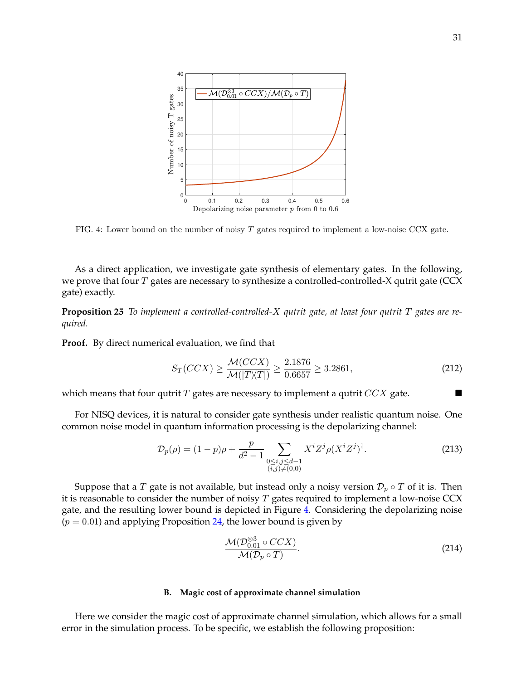

<span id="page-30-1"></span>FIG. 4: Lower bound on the number of noisy T gates required to implement a low-noise CCX gate.

As a direct application, we investigate gate synthesis of elementary gates. In the following, we prove that four  $T$  gates are necessary to synthesize a controlled-controlled-X qutrit gate (CCX gate) exactly.

**Proposition 25** *To implement a controlled-controlled-*X *qutrit gate, at least four qutrit* T *gates are required.*

**Proof.** By direct numerical evaluation, we find that

$$
S_T(CCX) \ge \frac{\mathcal{M}(CCX)}{\mathcal{M}(|T \rangle \langle T|)} \ge \frac{2.1876}{0.6657} \ge 3.2861,\tag{212}
$$

which means that four qutrit T gates are necessary to implement a qutrit  $CCX$  gate.

For NISQ devices, it is natural to consider gate synthesis under realistic quantum noise. One common noise model in quantum information processing is the depolarizing channel:

$$
\mathcal{D}_p(\rho) = (1 - p)\rho + \frac{p}{d^2 - 1} \sum_{\substack{0 \le i, j \le d - 1 \\ (i, j) \neq (0, 0)}} X^i Z^j \rho (X^i Z^j)^\dagger.
$$
 (213)

Suppose that a T gate is not available, but instead only a noisy version  $\mathcal{D}_p \circ T$  of it is. Then it is reasonable to consider the number of noisy  $T$  gates required to implement a low-noise CCX gate, and the resulting lower bound is depicted in Figure [4.](#page-30-1) Considering the depolarizing noise  $(p = 0.01)$  and applying Proposition [24,](#page-29-3) the lower bound is given by

$$
\frac{\mathcal{M}(\mathcal{D}_{0.01}^{\otimes 3} \circ CCX)}{\mathcal{M}(\mathcal{D}_p \circ T)}.
$$
\n(214)

#### <span id="page-30-0"></span>**B. Magic cost of approximate channel simulation**

Here we consider the magic cost of approximate channel simulation, which allows for a small error in the simulation process. To be specific, we establish the following proposition: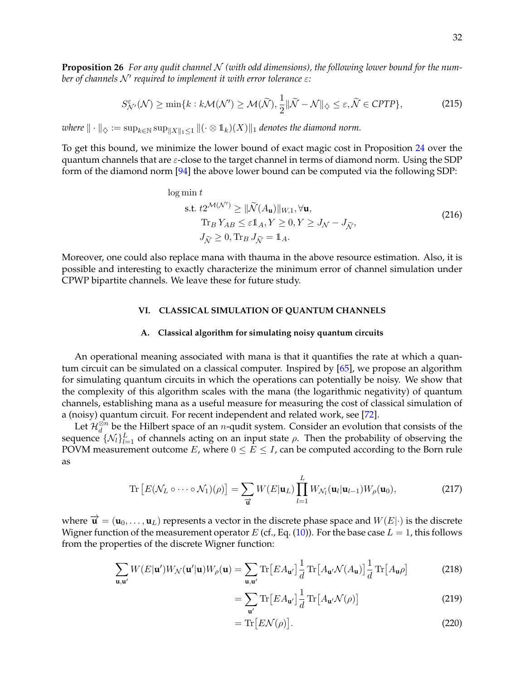**Proposition 26** For any qudit channel N (with odd dimensions), the following lower bound for the num*ber of channels N' required to implement it with error tolerance* ε:

$$
S_{\mathcal{N}'}^{\varepsilon}(\mathcal{N}) \ge \min\{k : k\mathcal{M}(\mathcal{N}') \ge \mathcal{M}(\widetilde{\mathcal{N}}), \frac{1}{2} \|\widetilde{\mathcal{N}} - \mathcal{N}\|_{\diamondsuit} \le \varepsilon, \widetilde{\mathcal{N}} \in \mathcal{CPTP}\},\tag{215}
$$

*where*  $\|\cdot\|_{\diamondsuit} := \sup_{k \in \mathbb{N}} \sup_{\|X\|_1 \leq 1} \|(\cdot \otimes 1_k)(X)\|_1$  *denotes the diamond norm.* 

To get this bound, we minimize the lower bound of exact magic cost in Proposition [24](#page-29-3) over the quantum channels that are  $\varepsilon$ -close to the target channel in terms of diamond norm. Using the SDP form of the diamond norm [\[94\]](#page-43-8) the above lower bound can be computed via the following SDP:

log min t  
\ns.t. 
$$
t2^{\mathcal{M}(\mathcal{N}')} \ge ||\widetilde{\mathcal{N}}(A_{\mathbf{u}})||_{W,1}, \forall \mathbf{u},
$$
  
\n $\text{Tr}_B Y_{AB} \le \varepsilon \mathbb{1}_A, Y \ge 0, Y \ge J_{\mathcal{N}} - J_{\widetilde{\mathcal{N}}},$   
\n $J_{\widetilde{\mathcal{N}}} \ge 0, \text{Tr}_B J_{\widetilde{\mathcal{N}}} = \mathbb{1}_A.$  (216)

Moreover, one could also replace mana with thauma in the above resource estimation. Also, it is possible and interesting to exactly characterize the minimum error of channel simulation under CPWP bipartite channels. We leave these for future study.

# <span id="page-31-0"></span>**VI. CLASSICAL SIMULATION OF QUANTUM CHANNELS**

#### <span id="page-31-1"></span>**A. Classical algorithm for simulating noisy quantum circuits**

An operational meaning associated with mana is that it quantifies the rate at which a quantum circuit can be simulated on a classical computer. Inspired by [\[65\]](#page-41-9), we propose an algorithm for simulating quantum circuits in which the operations can potentially be noisy. We show that the complexity of this algorithm scales with the mana (the logarithmic negativity) of quantum channels, establishing mana as a useful measure for measuring the cost of classical simulation of a (noisy) quantum circuit. For recent independent and related work, see [\[72\]](#page-42-22).

Let  $\mathcal{H}_d^{\otimes n}$  be the Hilbert space of an *n*-qudit system. Consider an evolution that consists of the sequence  $\{\mathcal{N}_l\}_{l=1}^L$  of channels acting on an input state  $\rho$ . Then the probability of observing the POVM measurement outcome  $E$ , where  $0 \le E \le I$ , can be computed according to the Born rule as

$$
\operatorname{Tr}\left[E(\mathcal{N}_L \circ \cdots \circ \mathcal{N}_1)(\rho)\right] = \sum_{\overrightarrow{\mathbf{u}}} W(E|\mathbf{u}_L) \prod_{l=1}^L W_{\mathcal{N}_l}(\mathbf{u}_l|\mathbf{u}_{l-1}) W_{\rho}(\mathbf{u}_0),\tag{217}
$$

where  $\vec{\mathbf{u}} = (\mathbf{u}_0, \dots, \mathbf{u}_L)$  represents a vector in the discrete phase space and  $W(E|\cdot)$  is the discrete Wigner function of the measurement operator E (cf., Eq. [\(10\)](#page-4-0)). For the base case  $L = 1$ , this follows from the properties of the discrete Wigner function:

$$
\sum_{\mathbf{u}, \mathbf{u}'} W(E|\mathbf{u}') W_{\mathcal{N}}(\mathbf{u}'|\mathbf{u}) W_{\rho}(\mathbf{u}) = \sum_{\mathbf{u}, \mathbf{u}'} \text{Tr}\left[EA_{\mathbf{u}'}\right] \frac{1}{d} \text{Tr}\left[A_{\mathbf{u}'} \mathcal{N}(A_{\mathbf{u}})\right] \frac{1}{d} \text{Tr}\left[A_{\mathbf{u}} \rho\right]
$$
(218)

$$
= \sum_{\mathbf{u}'} \text{Tr}\left[EA_{\mathbf{u}'}\right] \frac{1}{d} \text{Tr}\left[A_{\mathbf{u}'}\mathcal{N}(\rho)\right]
$$
 (219)

$$
= \operatorname{Tr}\left[ E\mathcal{N}(\rho) \right]. \tag{220}
$$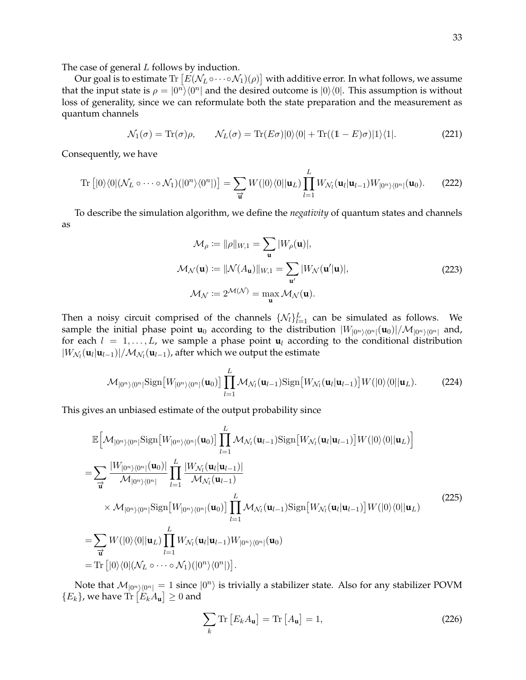The case of general *L* follows by induction.

Our goal is to estimate Tr  $\left[ E(\mathcal{N}_L\circ\cdots\circ \mathcal{N}_1)(\rho)\right]$  with additive error. In what follows, we assume that the input state is  $\rho = |0^n\rangle\langle 0^n|$  and the desired outcome is  $|0\rangle\langle 0|$ . This assumption is without loss of generality, since we can reformulate both the state preparation and the measurement as quantum channels

$$
\mathcal{N}_1(\sigma) = \text{Tr}(\sigma)\rho, \qquad \mathcal{N}_L(\sigma) = \text{Tr}(E\sigma)|0\rangle\langle 0| + \text{Tr}((1 - E)\sigma)|1\rangle\langle 1|.
$$
 (221)

Consequently, we have

$$
\operatorname{Tr}\left[|0\rangle\langle 0|(\mathcal{N}_L \circ \cdots \circ \mathcal{N}_1)(|0^n\rangle\langle 0^n|)\right] = \sum_{\overrightarrow{\mathbf{u}}} W(|0\rangle\langle 0||\mathbf{u}_L) \prod_{l=1}^L W_{\mathcal{N}_l}(\mathbf{u}_l|\mathbf{u}_{l-1}) W_{|0^n\rangle\langle 0^n|}(\mathbf{u}_0). \tag{222}
$$

To describe the simulation algorithm, we define the *negativity* of quantum states and channels as

$$
\mathcal{M}_{\rho} := ||\rho||_{W,1} = \sum_{\mathbf{u}} |W_{\rho}(\mathbf{u})|,
$$
  

$$
\mathcal{M}_{\mathcal{N}}(\mathbf{u}) := ||\mathcal{N}(A_{\mathbf{u}})||_{W,1} = \sum_{\mathbf{u}'} |W_{\mathcal{N}}(\mathbf{u}'|\mathbf{u})|,
$$
  

$$
\mathcal{M}_{\mathcal{N}} := 2^{\mathcal{M}(\mathcal{N})} = \max_{\mathbf{u}} \mathcal{M}_{\mathcal{N}}(\mathbf{u}).
$$
 (223)

Then a noisy circuit comprised of the channels  $\{\mathcal{N}_l\}_{l=1}^L$  can be simulated as follows. We sample the initial phase point  $\bf{u}_0$  according to the distribution  $|W_{|0^n\rangle\langle0^n|}(\bf{u}_0)|/\mathcal{M}_{|0^n\rangle\langle0^n|}$  and, for each  $l = 1, \ldots, L$ , we sample a phase point  $\mathbf{u}_l$  according to the conditional distribution  $|W_{\mathcal{N}_l}(\mathbf{u}_l|\mathbf{u}_{l-1})|/\mathcal{M}_{\mathcal{N}_l}(\mathbf{u}_{l-1})$ , after which we output the estimate

$$
\mathcal{M}_{|0^n\rangle\langle 0^n|} \text{Sign}\big[W_{|0^n\rangle\langle 0^n|}(\mathbf{u}_0)\big] \prod_{l=1}^L \mathcal{M}_{\mathcal{N}_l}(\mathbf{u}_{l-1}) \text{Sign}\big[W_{\mathcal{N}_l}(\mathbf{u}_l|\mathbf{u}_{l-1})\big] W(|0\rangle\langle 0||\mathbf{u}_L). \tag{224}
$$

This gives an unbiased estimate of the output probability since

$$
\mathbb{E}\Big[\mathcal{M}_{|0^n\rangle\langle0^n|}\mathrm{Sign}\big[W_{|0^n\rangle\langle0^n|}(\mathbf{u}_0)\big]\prod_{l=1}^{L}\mathcal{M}_{\mathcal{N}_l}(\mathbf{u}_{l-1})\mathrm{Sign}\big[W_{\mathcal{N}_l}(\mathbf{u}_l|\mathbf{u}_{l-1})\big]W(|0\rangle\langle0||\mathbf{u}_L)\Big]
$$
\n
$$
=\sum_{\overrightarrow{\mathbf{u}}}\frac{|W_{|0^n\rangle\langle0^n|}(\mathbf{u}_0)|}{\mathcal{M}_{|0^n\rangle\langle0^n|}}\prod_{l=1}^{L}\frac{|W_{\mathcal{N}_l}(\mathbf{u}_l|\mathbf{u}_{l-1})|}{\mathcal{M}_{\mathcal{N}_l}(\mathbf{u}_{l-1})}\times M_{|0^n\rangle\langle0^n|}\mathrm{Sign}\big[W_{|0^n\rangle\langle0^n|}(\mathbf{u}_0)\big]\prod_{l=1}^{L}\mathcal{M}_{\mathcal{N}_l}(\mathbf{u}_{l-1})\mathrm{Sign}\big[W_{\mathcal{N}_l}(\mathbf{u}_l|\mathbf{u}_{l-1})\big]W(|0\rangle\langle0||\mathbf{u}_L)\Big]
$$
\n
$$
=\sum_{\overrightarrow{\mathbf{u}}}W(|0\rangle\langle0||\mathbf{u}_L)\prod_{l=1}^{L}W_{\mathcal{N}_l}(\mathbf{u}_l|\mathbf{u}_{l-1})W_{|0^n\rangle\langle0^n|}(\mathbf{u}_0)
$$
\n
$$
=\mathrm{Tr}\big[|0\rangle\langle0|(\mathcal{N}_L\circ\cdots\circ\mathcal{N}_1)(|0^n\rangle\langle0^n|)\big].
$$
\n(225)

Note that  $\mathcal{M}_{|0^n\rangle\langle0^n|} = 1$  since  $|0^n\rangle$  is trivially a stabilizer state. Also for any stabilizer POVM  $\{E_k\}$ , we have  $\text{Tr}\left[E_kA_{\mathbf{u}}\right]\geq 0$  and

$$
\sum_{k} \text{Tr} \left[ E_k A_{\mathbf{u}} \right] = \text{Tr} \left[ A_{\mathbf{u}} \right] = 1,\tag{226}
$$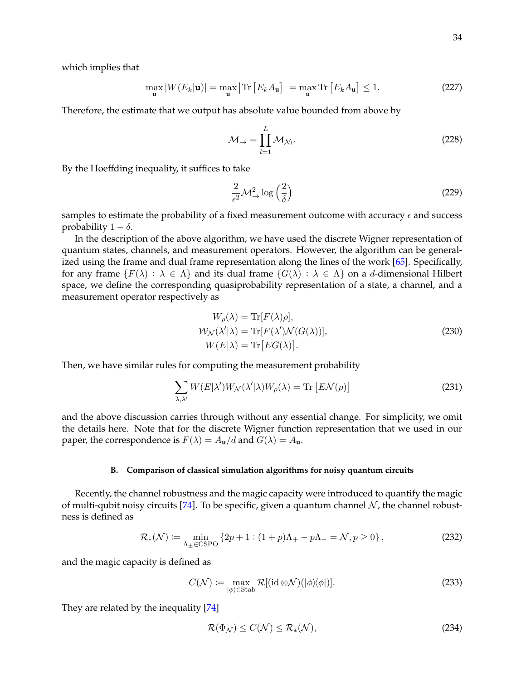which implies that

$$
\max_{\mathbf{u}} |W(E_k|\mathbf{u})| = \max_{\mathbf{u}} \left| \text{Tr} \left[ E_k A_{\mathbf{u}} \right] \right| = \max_{\mathbf{u}} \text{Tr} \left[ E_k A_{\mathbf{u}} \right] \le 1. \tag{227}
$$

Therefore, the estimate that we output has absolute value bounded from above by

$$
\mathcal{M}_{\rightarrow} = \prod_{l=1}^{L} \mathcal{M}_{\mathcal{N}_l}.
$$
 (228)

By the Hoeffding inequality, it suffices to take

$$
\frac{2}{\epsilon^2} \mathcal{M}^2_{\to} \log\left(\frac{2}{\delta}\right) \tag{229}
$$

samples to estimate the probability of a fixed measurement outcome with accuracy  $\epsilon$  and success probability  $1 - \delta$ .

In the description of the above algorithm, we have used the discrete Wigner representation of quantum states, channels, and measurement operators. However, the algorithm can be generalized using the frame and dual frame representation along the lines of the work [\[65\]](#page-41-9). Specifically, for any frame  $\{F(\lambda) : \lambda \in \Lambda\}$  and its dual frame  $\{G(\lambda) : \lambda \in \Lambda\}$  on a d-dimensional Hilbert space, we define the corresponding quasiprobability representation of a state, a channel, and a measurement operator respectively as

$$
W_{\rho}(\lambda) = \text{Tr}[F(\lambda)\rho],
$$
  
\n
$$
W_{\mathcal{N}}(\lambda'|\lambda) = \text{Tr}[F(\lambda')\mathcal{N}(G(\lambda))],
$$
  
\n
$$
W(E|\lambda) = \text{Tr}[EG(\lambda)].
$$
\n(230)

Then, we have similar rules for computing the measurement probability

$$
\sum_{\lambda,\lambda'} W(E|\lambda')W_{\mathcal{N}}(\lambda'|\lambda)W_{\rho}(\lambda) = \text{Tr}\left[ E\mathcal{N}(\rho) \right] \tag{231}
$$

and the above discussion carries through without any essential change. For simplicity, we omit the details here. Note that for the discrete Wigner function representation that we used in our paper, the correspondence is  $F(\lambda) = A_{\mathbf{u}}/d$  and  $G(\lambda) = A_{\mathbf{u}}$ .

## <span id="page-33-0"></span>**B. Comparison of classical simulation algorithms for noisy quantum circuits**

Recently, the channel robustness and the magic capacity were introduced to quantify the magic of multi-qubit noisy circuits [\[74\]](#page-42-3). To be specific, given a quantum channel  $\mathcal N$ , the channel robustness is defined as

$$
\mathcal{R}_{*}(\mathcal{N}) \coloneqq \min_{\Lambda_{\pm} \in \text{CSPO}} \left\{ 2p + 1 : (1 + p)\Lambda_{+} - p\Lambda_{-} = \mathcal{N}, p \ge 0 \right\},\tag{232}
$$

and the magic capacity is defined as

$$
C(\mathcal{N}) \coloneqq \max_{|\phi\rangle \in \text{Stab}} \mathcal{R}[(\text{id} \otimes \mathcal{N})(|\phi\rangle\langle\phi|)]. \tag{233}
$$

They are related by the inequality [\[74\]](#page-42-3)

<span id="page-33-2"></span><span id="page-33-1"></span>
$$
\mathcal{R}(\Phi_{\mathcal{N}}) \le C(\mathcal{N}) \le \mathcal{R}_*(\mathcal{N}),\tag{234}
$$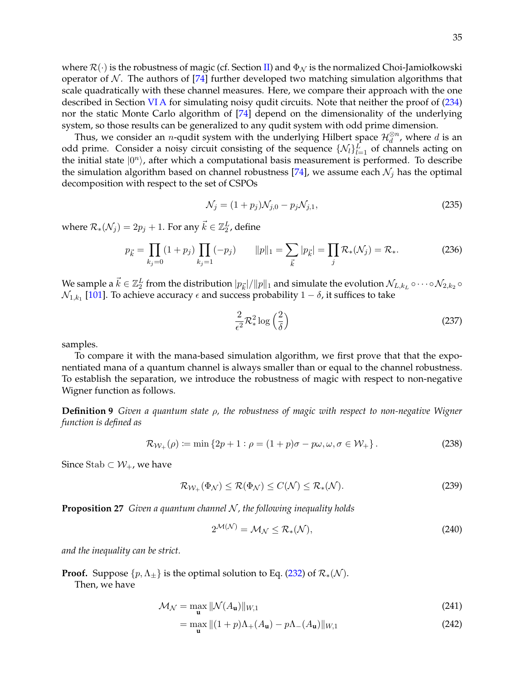where  $\mathcal{R}(\cdot)$  is the robustness of magic (cf. Section [II\)](#page-3-0) and  $\Phi_{\mathcal{N}}$  is the normalized Choi-Jamiołkowski operator of  $\mathcal N$ . The authors of [\[74\]](#page-42-3) further developed two matching simulation algorithms that scale quadratically with these channel measures. Here, we compare their approach with the one described in Section [VI A](#page-31-1) for simulating noisy qudit circuits. Note that neither the proof of [\(234\)](#page-33-1) nor the static Monte Carlo algorithm of [\[74\]](#page-42-3) depend on the dimensionality of the underlying system, so those results can be generalized to any qudit system with odd prime dimension.

Thus, we consider an *n*-qudit system with the underlying Hilbert space  $\mathcal{H}_d^{\otimes n}$ , where d is an odd prime. Consider a noisy circuit consisting of the sequence  $\{\mathcal{N}_l\}_{l=1}^L$  of channels acting on the initial state  $|0^n\rangle$ , after which a computational basis measurement is performed. To describe the simulation algorithm based on channel robustness [\[74\]](#page-42-3), we assume each  $\mathcal{N}_j$  has the optimal decomposition with respect to the set of CSPOs

$$
\mathcal{N}_j = (1 + p_j)\mathcal{N}_{j,0} - p_j\mathcal{N}_{j,1},\tag{235}
$$

where  $\mathcal{R}_*(\mathcal{N}_j) = 2p_j + 1.$  For any  $\vec{k} \in \mathbb{Z}_2^L$ , define

$$
p_{\vec{k}} = \prod_{k_j=0} (1 + p_j) \prod_{k_j=1} (-p_j) \qquad ||p||_1 = \sum_{\vec{k}} |p_{\vec{k}}| = \prod_j \mathcal{R}_*(\mathcal{N}_j) = \mathcal{R}_*.
$$
 (236)

We sample a  $\vec k\in\Z_2^L$  from the distribution  $|p_{\vec k}|/\|p\|_1$  and simulate the evolution  $\mathcal N_{L,k_L}\circ\cdots\circ\mathcal N_{2,k_2}\circ$  $\mathcal{N}_{1,k_1}$  [\[101\]](#page-43-9). To achieve accuracy  $\epsilon$  and success probability  $1-\delta$ , it suffices to take

$$
\frac{2}{\epsilon^2} \mathcal{R}_*^2 \log\left(\frac{2}{\delta}\right) \tag{237}
$$

samples.

To compare it with the mana-based simulation algorithm, we first prove that that the exponentiated mana of a quantum channel is always smaller than or equal to the channel robustness. To establish the separation, we introduce the robustness of magic with respect to non-negative Wigner function as follows.

**Definition 9** *Given a quantum state* ρ*, the robustness of magic with respect to non-negative Wigner function is defined as*

$$
\mathcal{R}_{\mathcal{W}_+}(\rho) \coloneqq \min\left\{2p + 1 : \rho = (1 + p)\sigma - p\omega, \omega, \sigma \in \mathcal{W}_+\right\}.
$$
 (238)

Since Stab ⊂  $W_+$ , we have

$$
\mathcal{R}_{\mathcal{W}_+}(\Phi_{\mathcal{N}}) \le \mathcal{R}(\Phi_{\mathcal{N}}) \le C(\mathcal{N}) \le \mathcal{R}_*(\mathcal{N}).\tag{239}
$$

<span id="page-34-1"></span>**Proposition 27** *Given a quantum channel N, the following inequality holds* 

<span id="page-34-0"></span>
$$
2^{\mathcal{M}(\mathcal{N})} = \mathcal{M}_{\mathcal{N}} \leq \mathcal{R}_{*}(\mathcal{N}),\tag{240}
$$

*and the inequality can be strict.*

**Proof.** Suppose  $\{p, \Lambda_{\pm}\}\$ is the optimal solution to Eq. [\(232\)](#page-33-2) of  $\mathcal{R}_*(\mathcal{N})$ .

Then, we have

$$
\mathcal{M}_{\mathcal{N}} = \max_{\mathbf{u}} \|\mathcal{N}(A_{\mathbf{u}})\|_{W,1} \tag{241}
$$

$$
= \max_{\mathbf{u}} \|(1+p)\Lambda_{+}(A_{\mathbf{u}}) - p\Lambda_{-}(A_{\mathbf{u}})\|_{W,1}
$$
\n(242)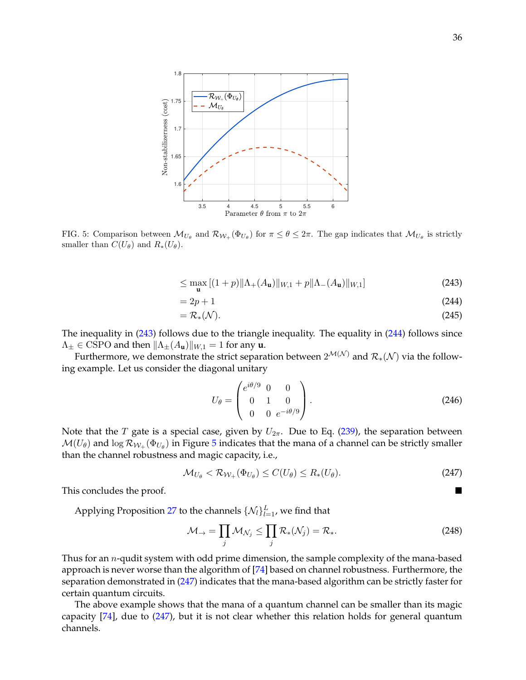

<span id="page-35-2"></span>FIG. 5: Comparison between  $\mathcal{M}_{U_{\theta}}$  and  $\mathcal{R}_{W_+}(\Phi_{U_{\theta}})$  for  $\pi \leq \theta \leq 2\pi$ . The gap indicates that  $\mathcal{M}_{U_{\theta}}$  is strictly smaller than  $C(U_{\theta})$  and  $R_*(U_{\theta})$ .

$$
\leq \max_{\mathbf{u}} \left[ (1+p) \| \Lambda_+(A_{\mathbf{u}}) \|_{W,1} + p \| \Lambda_-(A_{\mathbf{u}}) \|_{W,1} \right] \tag{243}
$$

$$
=2p+1
$$
\n<sup>(244)</sup>

$$
=\mathcal{R}_{*}(\mathcal{N}).\tag{245}
$$

The inequality in [\(243\)](#page-35-0) follows due to the triangle inequality. The equality in [\(244\)](#page-35-1) follows since  $\Lambda_{\pm} \in$  CSPO and then  $\|\Lambda_{\pm}(A_{\mathbf{u}})\|_{W,1} = 1$  for any **u**.

Furthermore, we demonstrate the strict separation between  $2^{\mathcal{M}(\mathcal{N})}$  and  $\mathcal{R}_*(\mathcal{N})$  via the following example. Let us consider the diagonal unitary

<span id="page-35-3"></span><span id="page-35-1"></span><span id="page-35-0"></span>
$$
U_{\theta} = \begin{pmatrix} e^{i\theta/9} & 0 & 0 \\ 0 & 1 & 0 \\ 0 & 0 & e^{-i\theta/9} \end{pmatrix}.
$$
 (246)

Note that the T gate is a special case, given by  $U_{2\pi}$ . Due to Eq. [\(239\)](#page-34-0), the separation between  $\mathcal{M}(U_\theta)$  and  $\log \mathcal{R}_{\mathcal{W}_+}(\Phi_{U_\theta})$  in Figure [5](#page-35-2) indicates that the mana of a channel can be strictly smaller than the channel robustness and magic capacity, i.e.,

$$
\mathcal{M}_{U_{\theta}} < \mathcal{R}_{\mathcal{W}_+}(\Phi_{U_{\theta}}) \le C(U_{\theta}) \le R_*(U_{\theta}).\tag{247}
$$

This concludes the proof.

Applying Proposition [27](#page-34-1) to the channels  $\{\mathcal{N}_l\}_{l=1}^L$ , we find that

$$
\mathcal{M}_{\rightarrow} = \prod_{j} \mathcal{M}_{\mathcal{N}_j} \le \prod_{j} \mathcal{R}_*(\mathcal{N}_j) = \mathcal{R}_*.
$$
 (248)

Thus for an  $n$ -qudit system with odd prime dimension, the sample complexity of the mana-based approach is never worse than the algorithm of [\[74\]](#page-42-3) based on channel robustness. Furthermore, the separation demonstrated in [\(247\)](#page-35-3) indicates that the mana-based algorithm can be strictly faster for certain quantum circuits.

The above example shows that the mana of a quantum channel can be smaller than its magic capacity [\[74\]](#page-42-3), due to [\(247\)](#page-35-3), but it is not clear whether this relation holds for general quantum channels.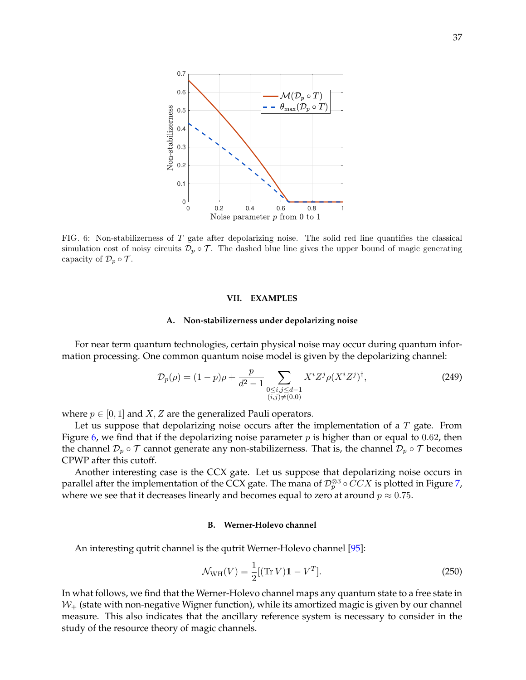

<span id="page-36-3"></span>FIG. 6: Non-stabilizerness of T gate after depolarizing noise. The solid red line quantifies the classical simulation cost of noisy circuits  $\mathcal{D}_p \circ \mathcal{T}$ . The dashed blue line gives the upper bound of magic generating capacity of  $\mathcal{D}_p \circ \mathcal{T}$ .

#### <span id="page-36-0"></span>**VII. EXAMPLES**

#### <span id="page-36-1"></span>**A. Non-stabilizerness under depolarizing noise**

For near term quantum technologies, certain physical noise may occur during quantum information processing. One common quantum noise model is given by the depolarizing channel:

$$
\mathcal{D}_p(\rho) = (1 - p)\rho + \frac{p}{d^2 - 1} \sum_{\substack{0 \le i, j \le d - 1 \\ (i, j) \neq (0, 0)}} X^i Z^j \rho (X^i Z^j)^\dagger,\tag{249}
$$

where  $p \in [0, 1]$  and  $X, Z$  are the generalized Pauli operators.

Let us suppose that depolarizing noise occurs after the implementation of a  $T$  gate. From Figure [6,](#page-36-3) we find that if the depolarizing noise parameter  $p$  is higher than or equal to 0.62, then the channel  $\mathcal{D}_p \circ \mathcal{T}$  cannot generate any non-stabilizerness. That is, the channel  $\mathcal{D}_p \circ \mathcal{T}$  becomes CPWP after this cutoff.

Another interesting case is the CCX gate. Let us suppose that depolarizing noise occurs in parallel after the implementation of the CCX gate. The mana of  $\mathcal{D}_p^{\otimes 3}\circ CCX$  is plotted in Figure [7,](#page-37-0) where we see that it decreases linearly and becomes equal to zero at around  $p \approx 0.75$ .

#### <span id="page-36-2"></span>**B. Werner-Holevo channel**

An interesting qutrit channel is the qutrit Werner-Holevo channel [\[95\]](#page-43-10):

$$
\mathcal{N}_{\text{WH}}(V) = \frac{1}{2} [(\text{Tr } V) \mathbb{1} - V^T]. \tag{250}
$$

In what follows, we find that the Werner-Holevo channel maps any quantum state to a free state in  $W_{+}$  (state with non-negative Wigner function), while its amortized magic is given by our channel measure. This also indicates that the ancillary reference system is necessary to consider in the study of the resource theory of magic channels.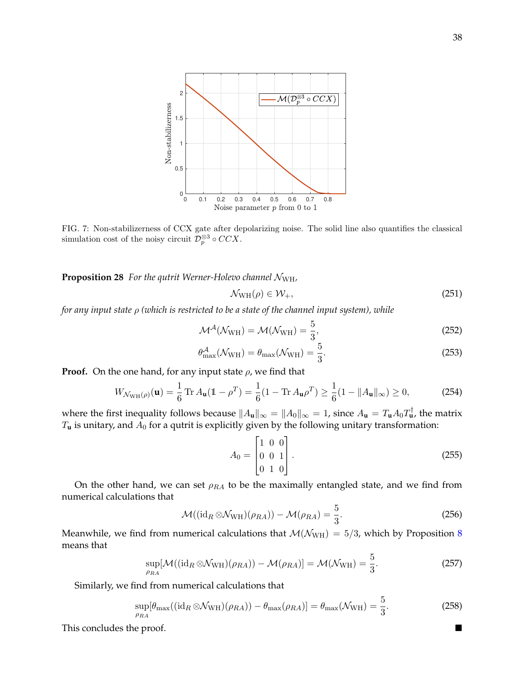

<span id="page-37-0"></span>FIG. 7: Non-stabilizerness of CCX gate after depolarizing noise. The solid line also quantifies the classical simulation cost of the noisy circuit  $\mathcal{D}_{p}^{\otimes 3} \circ CCX$ .

**Proposition 28** *For the qutrit Werner-Holevo channel* NWH*,*

$$
\mathcal{N}_{\text{WH}}(\rho) \in \mathcal{W}_{+},\tag{251}
$$

*for any input state* ρ *(which is restricted to be a state of the channel input system), while*

$$
\mathcal{M}^{\mathcal{A}}(\mathcal{N}_{WH}) = \mathcal{M}(\mathcal{N}_{WH}) = \frac{5}{3},\tag{252}
$$

$$
\theta_{\text{max}}^{\mathcal{A}}(\mathcal{N}_{\text{WH}}) = \theta_{\text{max}}(\mathcal{N}_{\text{WH}}) = \frac{5}{3}.
$$
\n(253)

**Proof.** On the one hand, for any input state  $\rho$ , we find that

$$
W_{\mathcal{N}_{\text{WH}}(\rho)}(\mathbf{u}) = \frac{1}{6} \text{Tr} \, A_{\mathbf{u}} (\mathbb{1} - \rho^T) = \frac{1}{6} (1 - \text{Tr} \, A_{\mathbf{u}} \rho^T) \ge \frac{1}{6} (1 - \|A_{\mathbf{u}}\|_{\infty}) \ge 0, \tag{254}
$$

where the first inequality follows because  $\|A_{\bf u}\|_\infty=\|A_0\|_\infty=1$ , since  $A_{\bf u}=T_{\bf u}A_0T_{\bf u}^\dagger$ , the matrix  $T_{\bf u}$  is unitary, and  $A_0$  for a qutrit is explicitly given by the following unitary transformation:

$$
A_0 = \begin{bmatrix} 1 & 0 & 0 \\ 0 & 0 & 1 \\ 0 & 1 & 0 \end{bmatrix} .
$$
 (255)

On the other hand, we can set  $\rho_{RA}$  to be the maximally entangled state, and we find from numerical calculations that

$$
\mathcal{M}((\mathrm{id}_R \otimes \mathcal{N}_{\mathrm{WH}})(\rho_{RA})) - \mathcal{M}(\rho_{RA}) = \frac{5}{3}.
$$
 (256)

Meanwhile, we find from numerical calculations that  $M(N_{\text{WH}}) = 5/3$ , which by Proposition [8](#page-13-0) means that

$$
\sup_{\rho_{RA}}[\mathcal{M}((\mathrm{id}_R \otimes \mathcal{N}_{WH})(\rho_{RA})) - \mathcal{M}(\rho_{RA})] = \mathcal{M}(\mathcal{N}_{WH}) = \frac{5}{3}.
$$
 (257)

Similarly, we find from numerical calculations that

$$
\sup_{\rho_{RA}}[\theta_{\max}((\mathrm{id}_R \otimes \mathcal{N}_{\mathrm{WH}})(\rho_{RA})) - \theta_{\max}(\rho_{RA})] = \theta_{\max}(\mathcal{N}_{\mathrm{WH}}) = \frac{5}{3}.
$$
 (258)

This concludes the proof.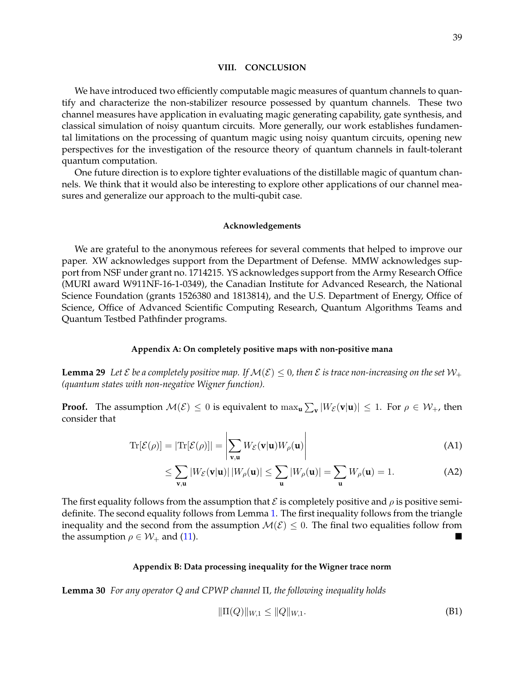#### <span id="page-38-0"></span>**VIII. CONCLUSION**

We have introduced two efficiently computable magic measures of quantum channels to quantify and characterize the non-stabilizer resource possessed by quantum channels. These two channel measures have application in evaluating magic generating capability, gate synthesis, and classical simulation of noisy quantum circuits. More generally, our work establishes fundamental limitations on the processing of quantum magic using noisy quantum circuits, opening new perspectives for the investigation of the resource theory of quantum channels in fault-tolerant quantum computation.

One future direction is to explore tighter evaluations of the distillable magic of quantum channels. We think that it would also be interesting to explore other applications of our channel measures and generalize our approach to the multi-qubit case.

#### <span id="page-38-1"></span>**Acknowledgements**

We are grateful to the anonymous referees for several comments that helped to improve our paper. XW acknowledges support from the Department of Defense. MMW acknowledges support from NSF under grant no. 1714215. YS acknowledges support from the Army Research Office (MURI award W911NF-16-1-0349), the Canadian Institute for Advanced Research, the National Science Foundation (grants 1526380 and 1813814), and the U.S. Department of Energy, Office of Science, Office of Advanced Scientific Computing Research, Quantum Algorithms Teams and Quantum Testbed Pathfinder programs.

## <span id="page-38-2"></span>**Appendix A: On completely positive maps with non-positive mana**

<span id="page-38-4"></span>**Lemma 29** Let *E* be a completely positive map. If  $\mathcal{M}(\mathcal{E}) \leq 0$ , then *E* is trace non-increasing on the set  $\mathcal{W}_+$ *(quantum states with non-negative Wigner function).*

**Proof.** The assumption  $\mathcal{M}(\mathcal{E}) \leq 0$  is equivalent to  $\max_{\mathbf{u}} \sum_{\mathbf{v}} |W_{\mathcal{E}}(\mathbf{v}|\mathbf{u})| \leq 1$ . For  $\rho \in \mathcal{W}_+$ , then consider that

$$
\mathrm{Tr}[\mathcal{E}(\rho)] = |\mathrm{Tr}[\mathcal{E}(\rho)]| = \left| \sum_{\mathbf{v}, \mathbf{u}} W_{\mathcal{E}}(\mathbf{v}|\mathbf{u}) W_{\rho}(\mathbf{u}) \right| \tag{A1}
$$

$$
\leq \sum_{\mathbf{v}, \mathbf{u}} |W_{\mathcal{E}}(\mathbf{v}|\mathbf{u})| |W_{\rho}(\mathbf{u})| \leq \sum_{\mathbf{u}} |W_{\rho}(\mathbf{u})| = \sum_{\mathbf{u}} W_{\rho}(\mathbf{u}) = 1.
$$
 (A2)

The first equality follows from the assumption that  $\mathcal E$  is completely positive and  $\rho$  is positive semidefinite. The second equality follows from Lemma [1.](#page-7-3) The first inequality follows from the triangle inequality and the second from the assumption  $\mathcal{M}(\mathcal{E}) \leq 0$ . The final two equalities follow from the assumption  $\rho \in \mathcal{W}_+$  and [\(11\)](#page-4-1).

# <span id="page-38-3"></span>**Appendix B: Data processing inequality for the Wigner trace norm**

<span id="page-38-5"></span>**Lemma 30** *For any operator* Q *and CPWP channel* Π*, the following inequality holds*

$$
\|\Pi(Q)\|_{W,1} \le \|Q\|_{W,1}.\tag{B1}
$$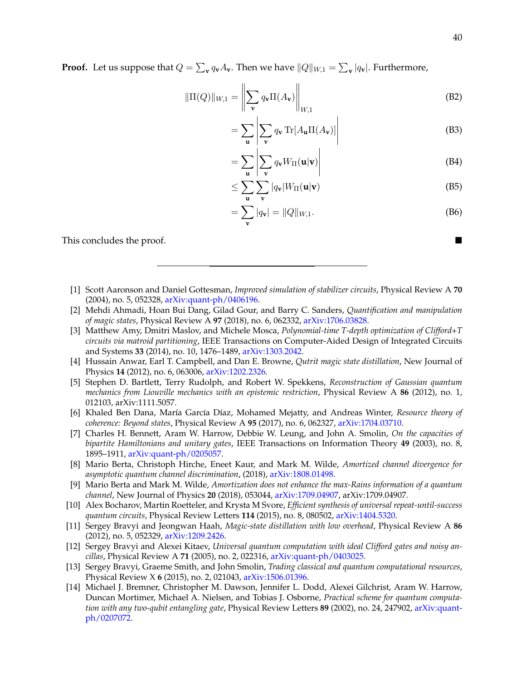**Proof.** Let us suppose that  $Q = \sum_{\mathbf{v}} q_{\mathbf{v}} A_{\mathbf{v}}$ . Then we have  $||Q||_{W,1} = \sum_{\mathbf{v}} |q_{\mathbf{v}}|$ . Furthermore,

$$
\|\Pi(Q)\|_{W,1} = \left\| \sum_{\mathbf{v}} q_{\mathbf{v}} \Pi(A_{\mathbf{v}}) \right\|_{W,1}
$$
\n(B2)

$$
= \sum_{\mathbf{u}} \left| \sum_{\mathbf{v}} q_{\mathbf{v}} \operatorname{Tr} [A_{\mathbf{u}} \Pi(A_{\mathbf{v}})] \right| \tag{B3}
$$

$$
= \sum_{\mathbf{u}} \left| \sum_{\mathbf{v}} q_{\mathbf{v}} W_{\Pi}(\mathbf{u}|\mathbf{v}) \right| \tag{B4}
$$

$$
\leq \sum_{\mathbf{u}} \sum_{\mathbf{v}} |q_{\mathbf{v}}| W_{\Pi}(\mathbf{u}|\mathbf{v}) \tag{B5}
$$

<span id="page-39-0"></span>
$$
= \sum_{\mathbf{v}} |q_{\mathbf{v}}| = ||Q||_{W,1}.
$$
 (B6)

This concludes the proof.

- <span id="page-39-1"></span>[1] Scott Aaronson and Daniel Gottesman, *Improved simulation of stabilizer circuits*, Physical Review A **70** (2004), no. 5, 052328, [arXiv:quant-ph/0406196.](http://arxiv.org/abs/arXiv:quant-ph/0406196)
- <span id="page-39-6"></span>[2] Mehdi Ahmadi, Hoan Bui Dang, Gilad Gour, and Barry C. Sanders, *Quantification and manipulation of magic states*, Physical Review A **97** (2018), no. 6, 062332, [arXiv:1706.03828.](http://arxiv.org/abs/arXiv:1706.03828)
- <span id="page-39-12"></span>[3] Matthew Amy, Dmitri Maslov, and Michele Mosca, *Polynomial-time T-depth optimization of Clifford+T circuits via matroid partitioning*, IEEE Transactions on Computer-Aided Design of Integrated Circuits and Systems **33** (2014), no. 10, 1476–1489, [arXiv:1303.2042.](http://arxiv.org/abs/arXiv:1303.2042)
- <span id="page-39-5"></span>[4] Hussain Anwar, Earl T. Campbell, and Dan E. Browne, *Qutrit magic state distillation*, New Journal of Physics **14** (2012), no. 6, 063006, [arXiv:1202.2326.](http://arxiv.org/abs/arXiv:1202.2326)
- <span id="page-39-7"></span>[5] Stephen D. Bartlett, Terry Rudolph, and Robert W. Spekkens, *Reconstruction of Gaussian quantum mechanics from Liouville mechanics with an epistemic restriction*, Physical Review A **86** (2012), no. 1, 012103, arXiv:1111.5057.
- <span id="page-39-9"></span>[6] Khaled Ben Dana, Mar´ıa Garc´ıa D´ıaz, Mohamed Mejatty, and Andreas Winter, *Resource theory of coherence: Beyond states*, Physical Review A **95** (2017), no. 6, 062327, [arXiv:1704.03710.](http://arxiv.org/abs/arXiv:1704.03710)
- <span id="page-39-10"></span>[7] Charles H. Bennett, Aram W. Harrow, Debbie W. Leung, and John A. Smolin, *On the capacities of bipartite Hamiltonians and unitary gates*, IEEE Transactions on Information Theory **49** (2003), no. 8, 1895–1911, [arXiv:quant-ph/0205057.](http://arxiv.org/abs/arXiv:quant-ph/0205057)
- <span id="page-39-8"></span>[8] Mario Berta, Christoph Hirche, Eneet Kaur, and Mark M. Wilde, *Amortized channel divergence for asymptotic quantum channel discrimination*, (2018), [arXiv:1808.01498.](http://arxiv.org/abs/arXiv:1808.01498)
- <span id="page-39-11"></span>[9] Mario Berta and Mark M. Wilde, *Amortization does not enhance the max-Rains information of a quantum channel*, New Journal of Physics **20** (2018), 053044, [arXiv:1709.04907,](http://arxiv.org/abs/arXiv:1709.04907) arXiv:1709.04907.
- <span id="page-39-13"></span>[10] Alex Bocharov, Martin Roetteler, and Krysta M Svore, *Efficient synthesis of universal repeat-until-success quantum circuits*, Physical Review Letters **114** (2015), no. 8, 080502, [arXiv:1404.5320.](http://arxiv.org/abs/arXiv:1404.5320)
- <span id="page-39-3"></span>[11] Sergey Bravyi and Jeongwan Haah, *Magic-state distillation with low overhead*, Physical Review A **86** (2012), no. 5, 052329, [arXiv:1209.2426.](http://arxiv.org/abs/arXiv:1209.2426)
- <span id="page-39-2"></span>[12] Sergey Bravyi and Alexei Kitaev, *Universal quantum computation with ideal Clifford gates and noisy ancillas*, Physical Review A **71** (2005), no. 2, 022316, [arXiv:quant-ph/0403025.](http://arxiv.org/abs/arXiv:quant-ph/0403025)
- <span id="page-39-4"></span>[13] Sergey Bravyi, Graeme Smith, and John Smolin, *Trading classical and quantum computational resources*, Physical Review X **6** (2015), no. 2, 021043, [arXiv:1506.01396.](http://arxiv.org/abs/arXiv:1506.01396)
- <span id="page-39-14"></span>[14] Michael J. Bremner, Christopher M. Dawson, Jennifer L. Dodd, Alexei Gilchrist, Aram W. Harrow, Duncan Mortimer, Michael A. Nielsen, and Tobias J. Osborne, *Practical scheme for quantum computation with any two-qubit entangling gate*, Physical Review Letters **89** (2002), no. 24, 247902, [arXiv:quant](http://arxiv.org/abs/arXiv:quant-ph/0207072)[ph/0207072.](http://arxiv.org/abs/arXiv:quant-ph/0207072)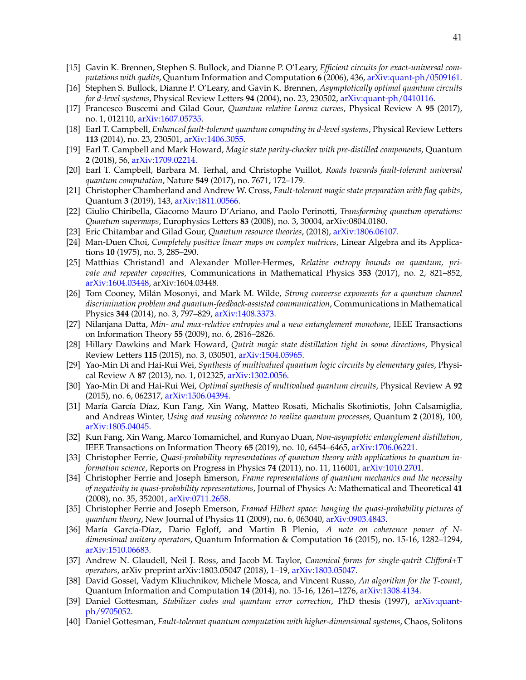- <span id="page-40-21"></span>[15] Gavin K. Brennen, Stephen S. Bullock, and Dianne P. O'Leary, *Efficient circuits for exact-universal computations with qudits*, Quantum Information and Computation **6** (2006), 436, [arXiv:quant-ph/0509161.](http://arxiv.org/abs/arXiv:quant-ph/0509161)
- <span id="page-40-22"></span>[16] Stephen S. Bullock, Dianne P. O'Leary, and Gavin K. Brennen, *Asymptotically optimal quantum circuits for d-level systems*, Physical Review Letters **94** (2004), no. 23, 230502, [arXiv:quant-ph/0410116.](http://arxiv.org/abs/arXiv:quant-ph/0410116)
- <span id="page-40-15"></span>[17] Francesco Buscemi and Gilad Gour, *Quantum relative Lorenz curves*, Physical Review A **95** (2017), no. 1, 012110, [arXiv:1607.05735.](http://arxiv.org/abs/arXiv:1607.05735)
- <span id="page-40-5"></span>[18] Earl T. Campbell, *Enhanced fault-tolerant quantum computing in d-level systems*, Physical Review Letters **113** (2014), no. 23, 230501, [arXiv:1406.3055.](http://arxiv.org/abs/arXiv:1406.3055)
- <span id="page-40-3"></span>[19] Earl T. Campbell and Mark Howard, *Magic state parity-checker with pre-distilled components*, Quantum **2** (2018), 56, [arXiv:1709.02214.](http://arxiv.org/abs/arXiv:1709.02214)
- <span id="page-40-0"></span>[20] Earl T. Campbell, Barbara M. Terhal, and Christophe Vuillot, *Roads towards fault-tolerant universal quantum computation*, Nature **549** (2017), no. 7671, 172–179.
- <span id="page-40-4"></span>[21] Christopher Chamberland and Andrew W. Cross, *Fault-tolerant magic state preparation with flag qubits*, Quantum **3** (2019), 143, [arXiv:1811.00566.](http://arxiv.org/abs/arXiv:1811.00566)
- <span id="page-40-14"></span>[22] Giulio Chiribella, Giacomo Mauro D'Ariano, and Paolo Perinotti, *Transforming quantum operations: Quantum supermaps*, Europhysics Letters **83** (2008), no. 3, 30004, arXiv:0804.0180.
- <span id="page-40-2"></span>[23] Eric Chitambar and Gilad Gour, *Quantum resource theories*, (2018), [arXiv:1806.06107.](http://arxiv.org/abs/arXiv:1806.06107)
- <span id="page-40-13"></span>[24] Man-Duen Choi, *Completely positive linear maps on complex matrices*, Linear Algebra and its Applications **10** (1975), no. 3, 285–290.
- <span id="page-40-18"></span>[25] Matthias Christandl and Alexander Müller-Hermes, Relative entropy bounds on quantum, pri*vate and repeater capacities*, Communications in Mathematical Physics **353** (2017), no. 2, 821–852, [arXiv:1604.03448,](http://arxiv.org/abs/arXiv:1604.03448) arXiv:1604.03448.
- <span id="page-40-16"></span>[26] Tom Cooney, Milán Mosonyi, and Mark M. Wilde, *Strong converse exponents for a quantum channel discrimination problem and quantum-feedback-assisted communication*, Communications in Mathematical Physics **344** (2014), no. 3, 797–829, [arXiv:1408.3373.](http://arxiv.org/abs/arXiv:1408.3373)
- <span id="page-40-12"></span>[27] Nilanjana Datta, *Min- and max-relative entropies and a new entanglement monotone*, IEEE Transactions on Information Theory **55** (2009), no. 6, 2816–2826.
- <span id="page-40-6"></span>[28] Hillary Dawkins and Mark Howard, *Qutrit magic state distillation tight in some directions*, Physical Review Letters **115** (2015), no. 3, 030501, [arXiv:1504.05965.](http://arxiv.org/abs/arXiv:1504.05965)
- <span id="page-40-23"></span>[29] Yao-Min Di and Hai-Rui Wei, *Synthesis of multivalued quantum logic circuits by elementary gates*, Physical Review A **87** (2013), no. 1, 012325, [arXiv:1302.0056.](http://arxiv.org/abs/arXiv:1302.0056)
- <span id="page-40-24"></span>[30] Yao-Min Di and Hai-Rui Wei, *Optimal synthesis of multivalued quantum circuits*, Physical Review A **92** (2015), no. 6, 062317, [arXiv:1506.04394.](http://arxiv.org/abs/arXiv:1506.04394)
- <span id="page-40-17"></span>[31] María García Díaz, Kun Fang, Xin Wang, Matteo Rosati, Michalis Skotiniotis, John Calsamiglia, and Andreas Winter, *Using and reusing coherence to realize quantum processes*, Quantum **2** (2018), 100, [arXiv:1805.04045.](http://arxiv.org/abs/arXiv:1805.04045)
- <span id="page-40-11"></span>[32] Kun Fang, Xin Wang, Marco Tomamichel, and Runyao Duan, *Non-asymptotic entanglement distillation*, IEEE Transactions on Information Theory **65** (2019), no. 10, 6454–6465, [arXiv:1706.06221.](http://arxiv.org/abs/arXiv:1706.06221)
- <span id="page-40-8"></span>[33] Christopher Ferrie, *Quasi-probability representations of quantum theory with applications to quantum information science*, Reports on Progress in Physics **74** (2011), no. 11, 116001, [arXiv:1010.2701.](http://arxiv.org/abs/arXiv:1010.2701)
- <span id="page-40-9"></span>[34] Christopher Ferrie and Joseph Emerson, *Frame representations of quantum mechanics and the necessity of negativity in quasi-probability representations*, Journal of Physics A: Mathematical and Theoretical **41** (2008), no. 35, 352001, [arXiv:0711.2658.](http://arxiv.org/abs/arXiv:0711.2658)
- <span id="page-40-10"></span>[35] Christopher Ferrie and Joseph Emerson, *Framed Hilbert space: hanging the quasi-probability pictures of quantum theory*, New Journal of Physics **11** (2009), no. 6, 063040, [arXiv:0903.4843.](http://arxiv.org/abs/arXiv:0903.4843)
- <span id="page-40-19"></span>[36] María García-Díaz, Dario Egloff, and Martin B Plenio, *A note on coherence power of* N*dimensional unitary operators*, Quantum Information & Computation **16** (2015), no. 15-16, 1282–1294, [arXiv:1510.06683.](http://arxiv.org/abs/arXiv:1510.06683)
- <span id="page-40-25"></span>[37] Andrew N. Glaudell, Neil J. Ross, and Jacob M. Taylor, *Canonical forms for single-qutrit Clifford+T operators*, arXiv preprint arXiv:1803.05047 (2018), 1–19, [arXiv:1803.05047.](http://arxiv.org/abs/arXiv:1803.05047)
- <span id="page-40-20"></span>[38] David Gosset, Vadym Kliuchnikov, Michele Mosca, and Vincent Russo, *An algorithm for the T-count*, Quantum Information and Computation **14** (2014), no. 15-16, 1261–1276, [arXiv:1308.4134.](http://arxiv.org/abs/arXiv:1308.4134)
- <span id="page-40-1"></span>[39] Daniel Gottesman, *Stabilizer codes and quantum error correction*, PhD thesis (1997), [arXiv:quant](http://arxiv.org/abs/arXiv:quant-ph/9705052)[ph/9705052.](http://arxiv.org/abs/arXiv:quant-ph/9705052)
- <span id="page-40-7"></span>[40] Daniel Gottesman, *Fault-tolerant quantum computation with higher-dimensional systems*, Chaos, Solitons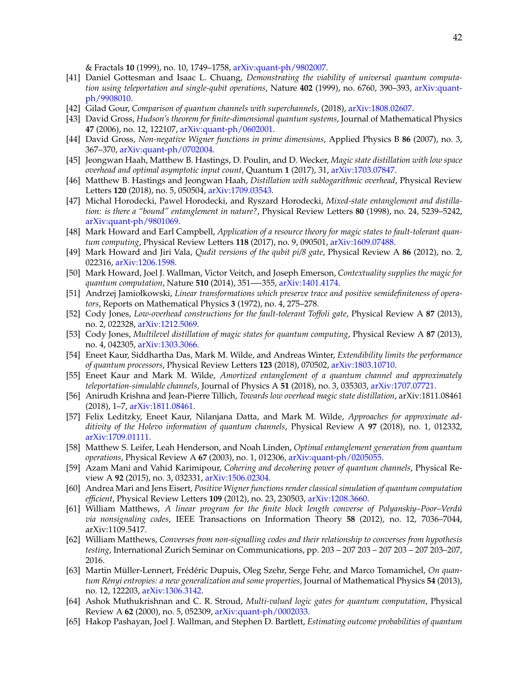& Fractals **10** (1999), no. 10, 1749–1758, [arXiv:quant-ph/9802007.](http://arxiv.org/abs/arXiv:quant-ph/9802007)

- <span id="page-41-21"></span>[41] Daniel Gottesman and Isaac L. Chuang, *Demonstrating the viability of universal quantum computation using teleportation and single-qubit operations*, Nature **402** (1999), no. 6760, 390–393, [arXiv:quant](http://arxiv.org/abs/arXiv:quant-ph/9908010)[ph/9908010.](http://arxiv.org/abs/arXiv:quant-ph/9908010)
- <span id="page-41-12"></span>[42] Gilad Gour, *Comparison of quantum channels with superchannels*, (2018), [arXiv:1808.02607.](http://arxiv.org/abs/arXiv:1808.02607)
- <span id="page-41-7"></span>[43] David Gross, *Hudson's theorem for finite-dimensional quantum systems*, Journal of Mathematical Physics **47** (2006), no. 12, 122107, [arXiv:quant-ph/0602001.](http://arxiv.org/abs/arXiv:quant-ph/0602001)
- <span id="page-41-8"></span>[44] David Gross, *Non-negative Wigner functions in prime dimensions*, Applied Physics B **86** (2007), no. 3, 367–370, [arXiv:quant-ph/0702004.](http://arxiv.org/abs/arXiv:quant-ph/0702004)
- <span id="page-41-0"></span>[45] Jeongwan Haah, Matthew B. Hastings, D. Poulin, and D. Wecker, *Magic state distillation with low space overhead and optimal asymptotic input count*, Quantum **1** (2017), 31, [arXiv:1703.07847.](http://arxiv.org/abs/arXiv:1703.07847)
- <span id="page-41-1"></span>[46] Matthew B. Hastings and Jeongwan Haah, *Distillation with sublogarithmic overhead*, Physical Review Letters **120** (2018), no. 5, 050504, [arXiv:1709.03543.](http://arxiv.org/abs/arXiv:1709.03543)
- <span id="page-41-10"></span>[47] Michal Horodecki, Pawel Horodecki, and Ryszard Horodecki, *Mixed-state entanglement and distillation: is there a "bound" entanglement in nature?*, Physical Review Letters **80** (1998), no. 24, 5239–5242, [arXiv:quant-ph/9801069.](http://arxiv.org/abs/arXiv:quant-ph/9801069)
- <span id="page-41-4"></span>[48] Mark Howard and Earl Campbell, *Application of a resource theory for magic states to fault-tolerant quantum computing*, Physical Review Letters **118** (2017), no. 9, 090501, [arXiv:1609.07488.](http://arxiv.org/abs/arXiv:1609.07488)
- <span id="page-41-20"></span>[49] Mark Howard and Jiri Vala, *Qudit versions of the qubit pi/8 gate*, Physical Review A **86** (2012), no. 2, 022316, [arXiv:1206.1598.](http://arxiv.org/abs/arXiv:1206.1598)
- <span id="page-41-6"></span>[50] Mark Howard, Joel J. Wallman, Victor Veitch, and Joseph Emerson, *Contextuality supplies the magic for quantum computation*, Nature **510** (2014), 351—-355, [arXiv:1401.4174.](http://arxiv.org/abs/arXiv:1401.4174)
- <span id="page-41-11"></span>[51] Andrzej Jamiołkowski, *Linear transformations which preserve trace and positive semidefiniteness of operators*, Reports on Mathematical Physics **3** (1972), no. 4, 275–278.
- <span id="page-41-23"></span>[52] Cody Jones, *Low-overhead constructions for the fault-tolerant Toffoli gate*, Physical Review A **87** (2013), no. 2, 022328, [arXiv:1212.5069.](http://arxiv.org/abs/arXiv:1212.5069)
- <span id="page-41-2"></span>[53] Cody Jones, *Multilevel distillation of magic states for quantum computing*, Physical Review A **87** (2013), no. 4, 042305, [arXiv:1303.3066.](http://arxiv.org/abs/arXiv:1303.3066)
- <span id="page-41-22"></span>[54] Eneet Kaur, Siddhartha Das, Mark M. Wilde, and Andreas Winter, *Extendibility limits the performance of quantum processors*, Physical Review Letters **123** (2018), 070502, [arXiv:1803.10710.](http://arxiv.org/abs/arXiv:1803.10710)
- <span id="page-41-18"></span>[55] Eneet Kaur and Mark M. Wilde, *Amortized entanglement of a quantum channel and approximately teleportation-simulable channels*, Journal of Physics A **51** (2018), no. 3, 035303, [arXiv:1707.07721.](http://arxiv.org/abs/arXiv:1707.07721)
- <span id="page-41-3"></span>[56] Anirudh Krishna and Jean-Pierre Tillich, *Towards low overhead magic state distillation*, arXiv:1811.08461 (2018), 1–7, [arXiv:1811.08461.](http://arxiv.org/abs/arXiv:1811.08461)
- <span id="page-41-16"></span>[57] Felix Leditzky, Eneet Kaur, Nilanjana Datta, and Mark M. Wilde, *Approaches for approximate additivity of the Holevo information of quantum channels*, Physical Review A **97** (2018), no. 1, 012332, [arXiv:1709.01111.](http://arxiv.org/abs/arXiv:1709.01111)
- <span id="page-41-19"></span>[58] Matthew S. Leifer, Leah Henderson, and Noah Linden, *Optimal entanglement generation from quantum operations*, Physical Review A **67** (2003), no. 1, 012306, [arXiv:quant-ph/0205055.](http://arxiv.org/abs/arXiv:quant-ph/0205055)
- <span id="page-41-17"></span>[59] Azam Mani and Vahid Karimipour, *Cohering and decohering power of quantum channels*, Physical Review A **92** (2015), no. 3, 032331, [arXiv:1506.02304.](http://arxiv.org/abs/arXiv:1506.02304)
- <span id="page-41-5"></span>[60] Andrea Mari and Jens Eisert, *Positive Wigner functions render classical simulation of quantum computation efficient*, Physical Review Letters **109** (2012), no. 23, 230503, [arXiv:1208.3660.](http://arxiv.org/abs/arXiv:1208.3660)
- <span id="page-41-13"></span>[61] William Matthews, *A linear program for the finite block length converse of Polyanskiy–Poor–Verdú via nonsignaling codes*, IEEE Transactions on Information Theory **58** (2012), no. 12, 7036–7044, arXiv:1109.5417.
- <span id="page-41-14"></span>[62] William Matthews, *Converses from non-signalling codes and their relationship to converses from hypothesis testing*, International Zurich Seminar on Communications, pp. 203 – 207 203 – 207 203 – 207 203–207, 2016.
- <span id="page-41-15"></span>[63] Martin Müller-Lennert, Frédéric Dupuis, Oleg Szehr, Serge Fehr, and Marco Tomamichel, On quan*tum R´enyi entropies: a new generalization and some properties*, Journal of Mathematical Physics **54** (2013), no. 12, 122203, [arXiv:1306.3142.](http://arxiv.org/abs/arXiv:1306.3142)
- <span id="page-41-24"></span>[64] Ashok Muthukrishnan and C. R. Stroud, *Multi-valued logic gates for quantum computation*, Physical Review A **62** (2000), no. 5, 052309, [arXiv:quant-ph/0002033.](http://arxiv.org/abs/arXiv:quant-ph/0002033)
- <span id="page-41-9"></span>[65] Hakop Pashayan, Joel J. Wallman, and Stephen D. Bartlett, *Estimating outcome probabilities of quantum*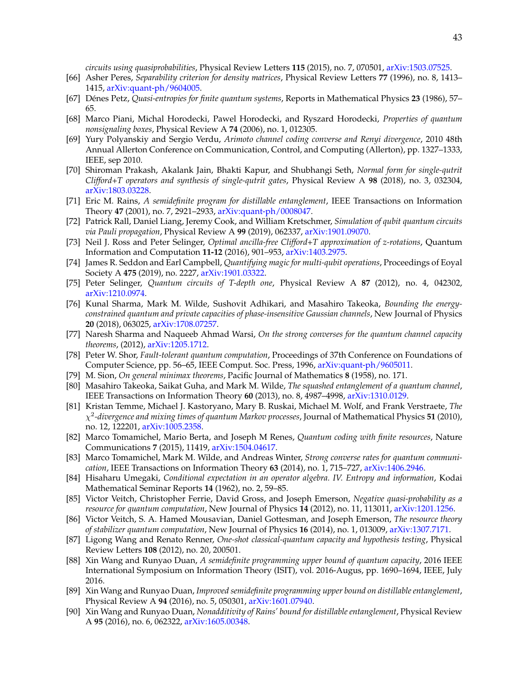*circuits using quasiprobabilities*, Physical Review Letters **115** (2015), no. 7, 070501, [arXiv:1503.07525.](http://arxiv.org/abs/arXiv:1503.07525)

- <span id="page-42-4"></span>[66] Asher Peres, *Separability criterion for density matrices*, Physical Review Letters **77** (1996), no. 8, 1413– 1415, [arXiv:quant-ph/9604005.](http://arxiv.org/abs/arXiv:quant-ph/9604005)
- <span id="page-42-12"></span>[67] Denes Petz, ´ *Quasi-entropies for finite quantum systems*, Reports in Mathematical Physics **23** (1986), 57– 65.
- <span id="page-42-9"></span>[68] Marco Piani, Michal Horodecki, Pawel Horodecki, and Ryszard Horodecki, *Properties of quantum nonsignaling boxes*, Physical Review A **74** (2006), no. 1, 012305.
- <span id="page-42-10"></span>[69] Yury Polyanskiy and Sergio Verdu, *Arimoto channel coding converse and Renyi divergence*, 2010 48th Annual Allerton Conference on Communication, Control, and Computing (Allerton), pp. 1327–1333, IEEE, sep 2010.
- <span id="page-42-21"></span>[70] Shiroman Prakash, Akalank Jain, Bhakti Kapur, and Shubhangi Seth, *Normal form for single-qutrit Clifford+T operators and synthesis of single-qutrit gates*, Physical Review A **98** (2018), no. 3, 032304, [arXiv:1803.03228.](http://arxiv.org/abs/arXiv:1803.03228)
- <span id="page-42-5"></span>[71] Eric M. Rains, *A semidefinite program for distillable entanglement*, IEEE Transactions on Information Theory **47** (2001), no. 7, 2921–2933, [arXiv:quant-ph/0008047.](http://arxiv.org/abs/arXiv:quant-ph/0008047)
- <span id="page-42-22"></span>[72] Patrick Rall, Daniel Liang, Jeremy Cook, and William Kretschmer, *Simulation of qubit quantum circuits via Pauli propagation*, Physical Review A **99** (2019), 062337, [arXiv:1901.09070.](http://arxiv.org/abs/arXiv:1901.09070)
- <span id="page-42-19"></span>[73] Neil J. Ross and Peter Selinger, *Optimal ancilla-free Clifford+T approximation of z-rotations*, Quantum Information and Computation **11-12** (2016), 901–953, [arXiv:1403.2975.](http://arxiv.org/abs/arXiv:1403.2975)
- <span id="page-42-3"></span>[74] James R. Seddon and Earl Campbell, *Quantifying magic for multi-qubit operations*, Proceedings of Eoyal Society A **475** (2019), no. 2227, [arXiv:1901.03322.](http://arxiv.org/abs/arXiv:1901.03322)
- <span id="page-42-20"></span>[75] Peter Selinger, *Quantum circuits of T-depth one*, Physical Review A **87** (2012), no. 4, 042302, [arXiv:1210.0974.](http://arxiv.org/abs/arXiv:1210.0974)
- <span id="page-42-14"></span>[76] Kunal Sharma, Mark M. Wilde, Sushovit Adhikari, and Masahiro Takeoka, *Bounding the energyconstrained quantum and private capacities of phase-insensitive Gaussian channels*, New Journal of Physics **20** (2018), 063025, [arXiv:1708.07257.](http://arxiv.org/abs/arXiv:1708.07257)
- <span id="page-42-11"></span>[77] Naresh Sharma and Naqueeb Ahmad Warsi, *On the strong converses for the quantum channel capacity theorems*, (2012), [arXiv:1205.1712.](http://arxiv.org/abs/arXiv:1205.1712)
- <span id="page-42-0"></span>[78] Peter W. Shor, *Fault-tolerant quantum computation*, Proceedings of 37th Conference on Foundations of Computer Science, pp. 56–65, IEEE Comput. Soc. Press, 1996, [arXiv:quant-ph/9605011.](http://arxiv.org/abs/arXiv:quant-ph/9605011)
- <span id="page-42-16"></span>[79] M. Sion, *On general minimax theorems*, Pacific Journal of Mathematics **8** (1958), no. 171.
- <span id="page-42-17"></span>[80] Masahiro Takeoka, Saikat Guha, and Mark M. Wilde, *The squashed entanglement of a quantum channel*, IEEE Transactions on Information Theory **60** (2013), no. 8, 4987–4998, [arXiv:1310.0129.](http://arxiv.org/abs/arXiv:1310.0129)
- <span id="page-42-13"></span>[81] Kristan Temme, Michael J. Kastoryano, Mary B. Ruskai, Michael M. Wolf, and Frank Verstraete, *The* χ 2 *-divergence and mixing times of quantum Markov processes*, Journal of Mathematical Physics **51** (2010), no. 12, 122201, [arXiv:1005.2358.](http://arxiv.org/abs/arXiv:1005.2358)
- <span id="page-42-6"></span>[82] Marco Tomamichel, Mario Berta, and Joseph M Renes, *Quantum coding with finite resources*, Nature Communications **7** (2015), 11419, [arXiv:1504.04617.](http://arxiv.org/abs/arXiv:1504.04617)
- <span id="page-42-7"></span>[83] Marco Tomamichel, Mark M. Wilde, and Andreas Winter, *Strong converse rates for quantum communication*, IEEE Transactions on Information Theory **63** (2014), no. 1, 715–727, [arXiv:1406.2946.](http://arxiv.org/abs/arXiv:1406.2946)
- <span id="page-42-15"></span>[84] Hisaharu Umegaki, *Conditional expectation in an operator algebra. IV. Entropy and information*, Kodai Mathematical Seminar Reports **14** (1962), no. 2, 59–85.
- <span id="page-42-1"></span>[85] Victor Veitch, Christopher Ferrie, David Gross, and Joseph Emerson, *Negative quasi-probability as a resource for quantum computation*, New Journal of Physics **14** (2012), no. 11, 113011, [arXiv:1201.1256.](http://arxiv.org/abs/arXiv:1201.1256)
- <span id="page-42-2"></span>[86] Victor Veitch, S. A. Hamed Mousavian, Daniel Gottesman, and Joseph Emerson, *The resource theory of stabilizer quantum computation*, New Journal of Physics **16** (2014), no. 1, 013009, [arXiv:1307.7171.](http://arxiv.org/abs/arXiv:1307.7171)
- <span id="page-42-18"></span>[87] Ligong Wang and Renato Renner, *One-shot classical-quantum capacity and hypothesis testing*, Physical Review Letters **108** (2012), no. 20, 200501.
- <span id="page-42-8"></span>[88] Xin Wang and Runyao Duan, *A semidefinite programming upper bound of quantum capacity*, 2016 IEEE International Symposium on Information Theory (ISIT), vol. 2016-Augus, pp. 1690–1694, IEEE, July 2016.
- [89] Xin Wang and Runyao Duan, *Improved semidefinite programming upper bound on distillable entanglement*, Physical Review A **94** (2016), no. 5, 050301, [arXiv:1601.07940.](http://arxiv.org/abs/arXiv:1601.07940)
- [90] Xin Wang and Runyao Duan, *Nonadditivity of Rains' bound for distillable entanglement*, Physical Review A **95** (2016), no. 6, 062322, [arXiv:1605.00348.](http://arxiv.org/abs/arXiv:1605.00348)